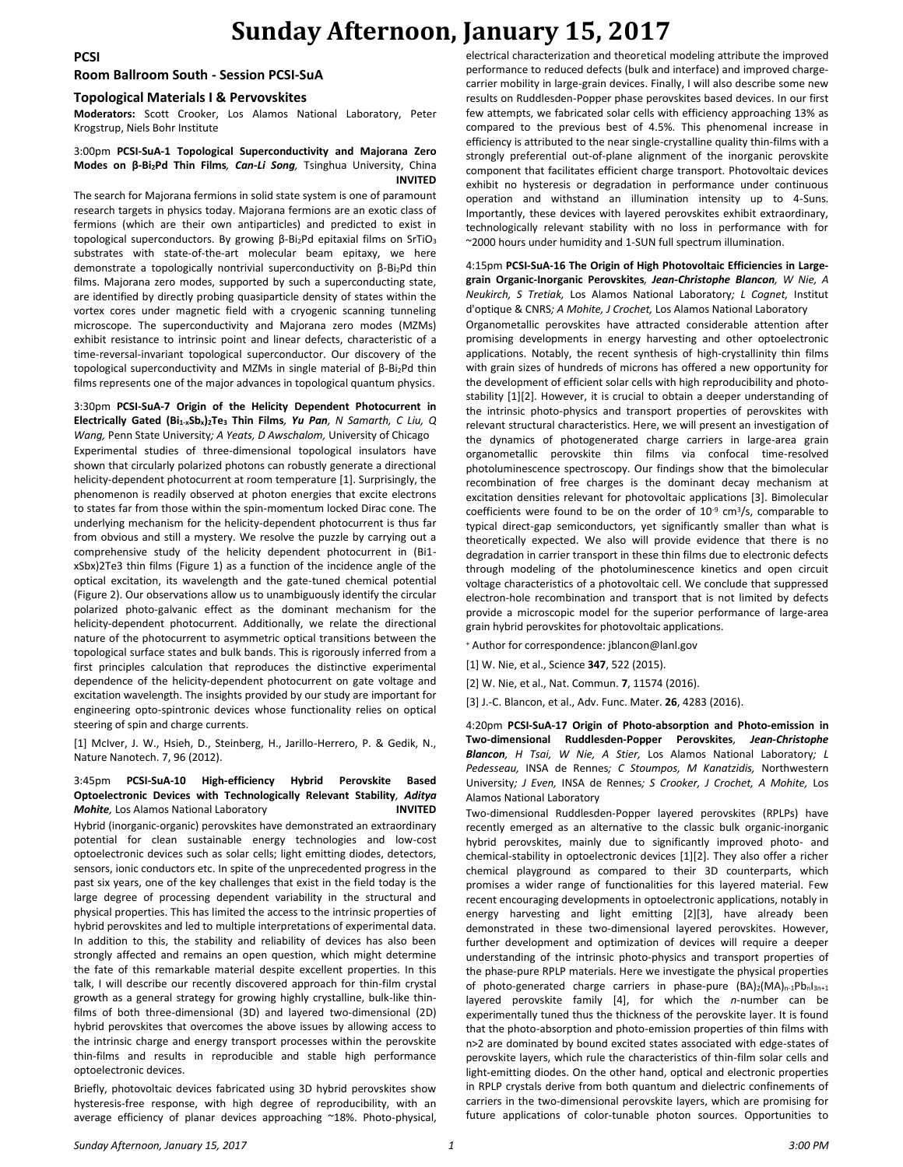## **Sunday Afternoon, January 15, 2017**

**Room Ballroom South - Session PCSI-SuA**

#### **Topological Materials I & Pervovskites**

**Moderators:** Scott Crooker, Los Alamos National Laboratory, Peter Krogstrup, Niels Bohr Institute

#### 3:00pm **PCSI-SuA-1 Topological Superconductivity and Majorana Zero Modes on β-Bi2Pd Thin Films***, Can-Li Song,* Tsinghua University, China **INVITED**

The search for Majorana fermions in solid state system is one of paramount research targets in physics today. Majorana fermions are an exotic class of fermions (which are their own antiparticles) and predicted to exist in topological superconductors. By growing β-Bi2Pd epitaxial films on SrTiO<sup>3</sup> substrates with state-of-the-art molecular beam epitaxy, we here demonstrate a topologically nontrivial superconductivity on β-Bi2Pd thin films. Majorana zero modes, supported by such a superconducting state, are identified by directly probing quasiparticle density of states within the vortex cores under magnetic field with a cryogenic scanning tunneling microscope. The superconductivity and Majorana zero modes (MZMs) exhibit resistance to intrinsic point and linear defects, characteristic of a time-reversal-invariant topological superconductor. Our discovery of the topological superconductivity and MZMs in single material of β-Bi2Pd thin films represents one of the major advances in topological quantum physics.

### 3:30pm **PCSI-SuA-7 Origin of the Helicity Dependent Photocurrent in Electrically Gated (Bi1-xSbx)2Te<sup>3</sup> Thin Films***, Yu Pan, N Samarth, C Liu, Q Wang,* Penn State University*; A Yeats, D Awschalom,* University of Chicago

Experimental studies of three-dimensional topological insulators have shown that circularly polarized photons can robustly generate a directional helicity-dependent photocurrent at room temperature [1]. Surprisingly, the phenomenon is readily observed at photon energies that excite electrons to states far from those within the spin-momentum locked Dirac cone. The underlying mechanism for the helicity-dependent photocurrent is thus far from obvious and still a mystery. We resolve the puzzle by carrying out a comprehensive study of the helicity dependent photocurrent in (Bi1 xSbx)2Te3 thin films (Figure 1) as a function of the incidence angle of the optical excitation, its wavelength and the gate-tuned chemical potential (Figure 2). Our observations allow us to unambiguously identify the circular polarized photo-galvanic effect as the dominant mechanism for the helicity-dependent photocurrent. Additionally, we relate the directional nature of the photocurrent to asymmetric optical transitions between the topological surface states and bulk bands. This is rigorously inferred from a first principles calculation that reproduces the distinctive experimental dependence of the helicity-dependent photocurrent on gate voltage and excitation wavelength. The insights provided by our study are important for engineering opto-spintronic devices whose functionality relies on optical steering of spin and charge currents.

[1] McIver, J. W., Hsieh, D., Steinberg, H., Jarillo-Herrero, P. & Gedik, N., Nature Nanotech. 7, 96 (2012).

#### 3:45pm **PCSI-SuA-10 High-efficiency Hybrid Perovskite Based Optoelectronic Devices with Technologically Relevant Stability***, Aditya Mohite,* Los Alamos National Laboratory **INVITED**

Hybrid (inorganic-organic) perovskites have demonstrated an extraordinary potential for clean sustainable energy technologies and low-cost optoelectronic devices such as solar cells; light emitting diodes, detectors, sensors, ionic conductors etc. In spite of the unprecedented progress in the past six years, one of the key challenges that exist in the field today is the large degree of processing dependent variability in the structural and physical properties. This has limited the access to the intrinsic properties of hybrid perovskites and led to multiple interpretations of experimental data. In addition to this, the stability and reliability of devices has also been strongly affected and remains an open question, which might determine the fate of this remarkable material despite excellent properties. In this talk, I will describe our recently discovered approach for thin-film crystal growth as a general strategy for growing highly crystalline, bulk-like thinfilms of both three-dimensional (3D) and layered two-dimensional (2D) hybrid perovskites that overcomes the above issues by allowing access to the intrinsic charge and energy transport processes within the perovskite thin-films and results in reproducible and stable high performance optoelectronic devices.

Briefly, photovoltaic devices fabricated using 3D hybrid perovskites show hysteresis-free response, with high degree of reproducibility, with an average efficiency of planar devices approaching ~18%. Photo-physical, electrical characterization and theoretical modeling attribute the improved performance to reduced defects (bulk and interface) and improved chargecarrier mobility in large-grain devices. Finally, I will also describe some new results on Ruddlesden-Popper phase perovskites based devices. In our first few attempts, we fabricated solar cells with efficiency approaching 13% as compared to the previous best of 4.5%. This phenomenal increase in efficiency is attributed to the near single-crystalline quality thin-films with a strongly preferential out-of-plane alignment of the inorganic perovskite component that facilitates efficient charge transport. Photovoltaic devices exhibit no hysteresis or degradation in performance under continuous operation and withstand an illumination intensity up to 4-Suns. Importantly, these devices with layered perovskites exhibit extraordinary, technologically relevant stability with no loss in performance with for ~2000 hours under humidity and 1-SUN full spectrum illumination.

4:15pm **PCSI-SuA-16 The Origin of High Photovoltaic Efficiencies in Largegrain Organic-Inorganic Perovskites***, Jean-Christophe Blancon, W Nie, A Neukirch, S Tretiak,* Los Alamos National Laboratory*; L Cognet,* Institut d'optique & CNRS*; A Mohite, J Crochet,* Los Alamos National Laboratory Organometallic perovskites have attracted considerable attention after promising developments in energy harvesting and other optoelectronic applications. Notably, the recent synthesis of high-crystallinity thin films with grain sizes of hundreds of microns has offered a new opportunity for the development of efficient solar cells with high reproducibility and photostability [1][2]. However, it is crucial to obtain a deeper understanding of the intrinsic photo-physics and transport properties of perovskites with relevant structural characteristics. Here, we will present an investigation of the dynamics of photogenerated charge carriers in large-area grain organometallic perovskite thin films via confocal time-resolved photoluminescence spectroscopy. Our findings show that the bimolecular recombination of free charges is the dominant decay mechanism at excitation densities relevant for photovoltaic applications [3]. Bimolecular coefficients were found to be on the order of  $10^{-9}$  cm<sup>3</sup>/s, comparable to typical direct-gap semiconductors, yet significantly smaller than what is theoretically expected. We also will provide evidence that there is no degradation in carrier transport in these thin films due to electronic defects through modeling of the photoluminescence kinetics and open circuit voltage characteristics of a photovoltaic cell. We conclude that suppressed electron-hole recombination and transport that is not limited by defects provide a microscopic model for the superior performance of large-area grain hybrid perovskites for photovoltaic applications.

- <sup>+</sup> Author for correspondence: jblancon@lanl.gov
- [1] W. Nie, et al., Science **347**, 522 (2015).
- [2] W. Nie, et al., Nat. Commun. **7**, 11574 (2016).

[3] J.-C. Blancon, et al., Adv. Func. Mater. **26**, 4283 (2016).

4:20pm **PCSI-SuA-17 Origin of Photo-absorption and Photo-emission in Two-dimensional Ruddlesden-Popper Perovskites***, Jean-Christophe Blancon, H Tsai, W Nie, A Stier,* Los Alamos National Laboratory*; L Pedesseau,* INSA de Rennes*; C Stoumpos, M Kanatzidis,* Northwestern University*; J Even,* INSA de Rennes*; S Crooker, J Crochet, A Mohite,* Los Alamos National Laboratory

Two-dimensional Ruddlesden-Popper layered perovskites (RPLPs) have recently emerged as an alternative to the classic bulk organic-inorganic hybrid perovskites, mainly due to significantly improved photo- and chemical-stability in optoelectronic devices [1][2]. They also offer a richer chemical playground as compared to their 3D counterparts, which promises a wider range of functionalities for this layered material. Few recent encouraging developments in optoelectronic applications, notably in energy harvesting and light emitting [2][3], have already been demonstrated in these two-dimensional layered perovskites. However, further development and optimization of devices will require a deeper understanding of the intrinsic photo-physics and transport properties of the phase-pure RPLP materials. Here we investigate the physical properties of photo-generated charge carriers in phase-pure  $(BA)_2(MA)_{n-1}Pb_nI_{3n+1}$ layered perovskite family [4], for which the *n*-number can be experimentally tuned thus the thickness of the perovskite layer. It is found that the photo-absorption and photo-emission properties of thin films with n>2 are dominated by bound excited states associated with edge-states of perovskite layers, which rule the characteristics of thin-film solar cells and light-emitting diodes. On the other hand, optical and electronic properties in RPLP crystals derive from both quantum and dielectric confinements of carriers in the two-dimensional perovskite layers, which are promising for future applications of color-tunable photon sources. Opportunities to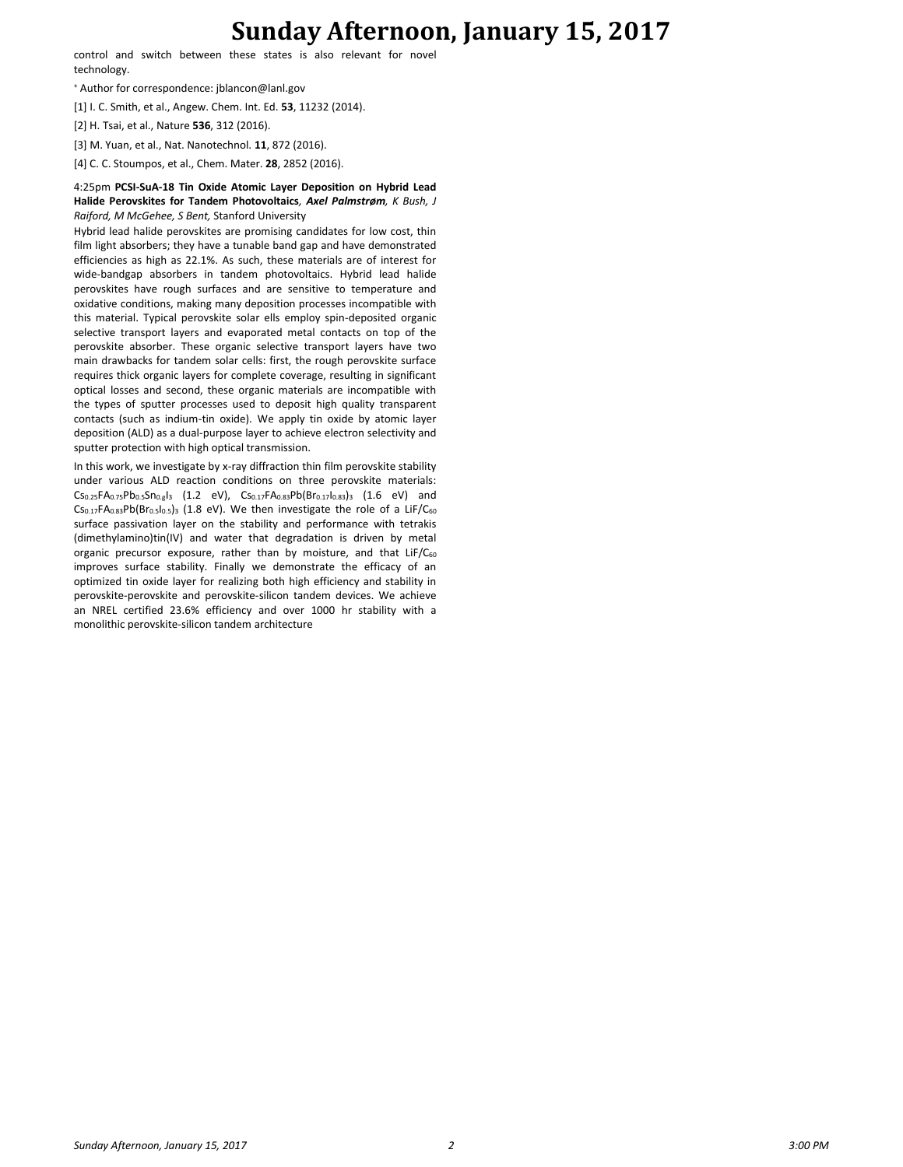## **Sunday Afternoon, January 15, 2017**

control and switch between these states is also relevant for novel technology.

<sup>+</sup> Author for correspondence: jblancon@lanl.gov

[1] I. C. Smith, et al., Angew. Chem. Int. Ed. **53**, 11232 (2014).

[2] H. Tsai, et al., Nature **536**, 312 (2016).

[3] M. Yuan, et al., Nat. Nanotechnol. **11**, 872 (2016).

[4] C. C. Stoumpos, et al., Chem. Mater. **28**, 2852 (2016).

#### 4:25pm **PCSI-SuA-18 Tin Oxide Atomic Layer Deposition on Hybrid Lead Halide Perovskites for Tandem Photovoltaics***, Axel Palmstrøm, K Bush, J Raiford, M McGehee, S Bent,* Stanford University

Hybrid lead halide perovskites are promising candidates for low cost, thin film light absorbers; they have a tunable band gap and have demonstrated efficiencies as high as 22.1%. As such, these materials are of interest for wide-bandgap absorbers in tandem photovoltaics. Hybrid lead halide perovskites have rough surfaces and are sensitive to temperature and oxidative conditions, making many deposition processes incompatible with this material. Typical perovskite solar ells employ spin-deposited organic selective transport layers and evaporated metal contacts on top of the perovskite absorber. These organic selective transport layers have two main drawbacks for tandem solar cells: first, the rough perovskite surface requires thick organic layers for complete coverage, resulting in significant optical losses and second, these organic materials are incompatible with the types of sputter processes used to deposit high quality transparent contacts (such as indium-tin oxide). We apply tin oxide by atomic layer deposition (ALD) as a dual-purpose layer to achieve electron selectivity and sputter protection with high optical transmission.

In this work, we investigate by x-ray diffraction thin film perovskite stability under various ALD reaction conditions on three perovskite materials:  $CS_{0.25}FA_{0.75}Pb_{0.5}Sn_{0.g13}$  (1.2 eV),  $Cs_{0.17}FA_{0.83}Pb(Br_{0.17}I_{0.83})_3$  (1.6 eV) and  $Cs<sub>0.17</sub>FA<sub>0.83</sub>Pb(Br<sub>0.5</sub>I<sub>0.5</sub>)<sub>3</sub>$  (1.8 eV). We then investigate the role of a LiF/C<sub>60</sub> surface passivation layer on the stability and performance with tetrakis (dimethylamino)tin(IV) and water that degradation is driven by metal organic precursor exposure, rather than by moisture, and that  $LiF/C<sub>60</sub>$ improves surface stability. Finally we demonstrate the efficacy of an optimized tin oxide layer for realizing both high efficiency and stability in perovskite-perovskite and perovskite-silicon tandem devices. We achieve an NREL certified 23.6% efficiency and over 1000 hr stability with a monolithic perovskite-silicon tandem architecture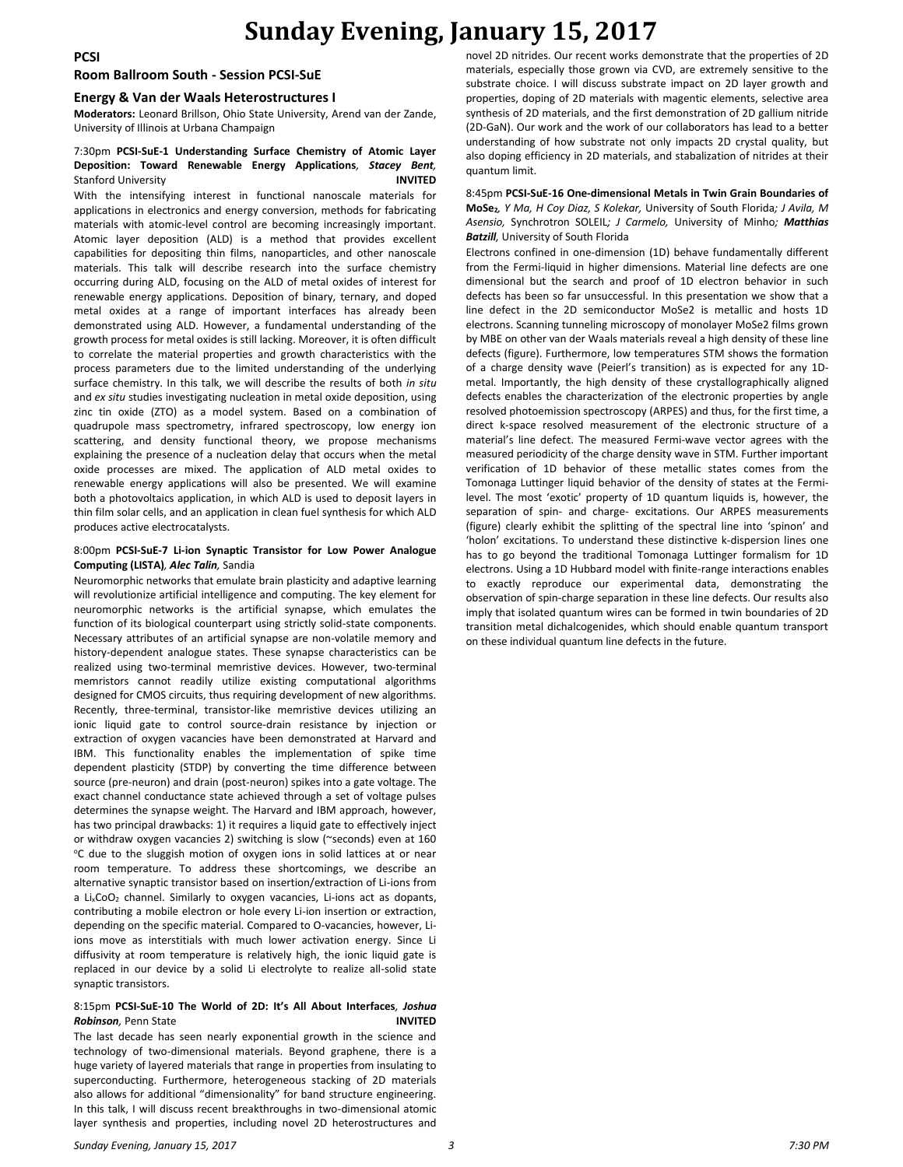## **Sunday Evening, January 15, 2017**

**Room Ballroom South - Session PCSI-SuE**

#### **Energy & Van der Waals Heterostructures I**

**Moderators:** Leonard Brillson, Ohio State University, Arend van der Zande, University of Illinois at Urbana Champaign

#### 7:30pm **PCSI-SuE-1 Understanding Surface Chemistry of Atomic Layer Deposition: Toward Renewable Energy Applications***, Stacey Bent,*  Stanford University **INVITED**

With the intensifying interest in functional nanoscale materials for applications in electronics and energy conversion, methods for fabricating materials with atomic-level control are becoming increasingly important. Atomic layer deposition (ALD) is a method that provides excellent capabilities for depositing thin films, nanoparticles, and other nanoscale materials. This talk will describe research into the surface chemistry occurring during ALD, focusing on the ALD of metal oxides of interest for renewable energy applications. Deposition of binary, ternary, and doped metal oxides at a range of important interfaces has already been demonstrated using ALD. However, a fundamental understanding of the growth process for metal oxides is still lacking. Moreover, it is often difficult to correlate the material properties and growth characteristics with the process parameters due to the limited understanding of the underlying surface chemistry. In this talk, we will describe the results of both *in situ* and *ex situ* studies investigating nucleation in metal oxide deposition, using zinc tin oxide (ZTO) as a model system. Based on a combination of quadrupole mass spectrometry, infrared spectroscopy, low energy ion scattering, and density functional theory, we propose mechanisms explaining the presence of a nucleation delay that occurs when the metal oxide processes are mixed. The application of ALD metal oxides to renewable energy applications will also be presented. We will examine both a photovoltaics application, in which ALD is used to deposit layers in thin film solar cells, and an application in clean fuel synthesis for which ALD produces active electrocatalysts.

#### 8:00pm **PCSI-SuE-7 Li-ion Synaptic Transistor for Low Power Analogue Computing (LISTA)***, Alec Talin,* Sandia

Neuromorphic networks that emulate brain plasticity and adaptive learning will revolutionize artificial intelligence and computing. The key element for neuromorphic networks is the artificial synapse, which emulates the function of its biological counterpart using strictly solid-state components. Necessary attributes of an artificial synapse are non-volatile memory and history-dependent analogue states. These synapse characteristics can be realized using two-terminal memristive devices. However, two-terminal memristors cannot readily utilize existing computational algorithms designed for CMOS circuits, thus requiring development of new algorithms. Recently, three-terminal, transistor-like memristive devices utilizing an ionic liquid gate to control source-drain resistance by injection or extraction of oxygen vacancies have been demonstrated at Harvard and IBM. This functionality enables the implementation of spike time dependent plasticity (STDP) by converting the time difference between source (pre-neuron) and drain (post-neuron) spikes into a gate voltage. The exact channel conductance state achieved through a set of voltage pulses determines the synapse weight. The Harvard and IBM approach, however, has two principal drawbacks: 1) it requires a liquid gate to effectively inject or withdraw oxygen vacancies 2) switching is slow (~seconds) even at 160 <sup>o</sup>C due to the sluggish motion of oxygen ions in solid lattices at or near room temperature. To address these shortcomings, we describe an alternative synaptic transistor based on insertion/extraction of Li-ions from a Li<sub>x</sub>CoO<sub>2</sub> channel. Similarly to oxygen vacancies, Li-ions act as dopants, contributing a mobile electron or hole every Li-ion insertion or extraction, depending on the specific material. Compared to O-vacancies, however, Liions move as interstitials with much lower activation energy. Since Li diffusivity at room temperature is relatively high, the ionic liquid gate is replaced in our device by a solid Li electrolyte to realize all-solid state synaptic transistors.

#### 8:15pm **PCSI-SuE-10 The World of 2D: It's All About Interfaces***, Joshua Robinson,* Penn State **INVITED**

The last decade has seen nearly exponential growth in the science and technology of two-dimensional materials. Beyond graphene, there is a huge variety of layered materials that range in properties from insulating to superconducting. Furthermore, heterogeneous stacking of 2D materials also allows for additional "dimensionality" for band structure engineering. In this talk, I will discuss recent breakthroughs in two-dimensional atomic layer synthesis and properties, including novel 2D heterostructures and

novel 2D nitrides. Our recent works demonstrate that the properties of 2D materials, especially those grown via CVD, are extremely sensitive to the substrate choice. I will discuss substrate impact on 2D layer growth and properties, doping of 2D materials with magentic elements, selective area synthesis of 2D materials, and the first demonstration of 2D gallium nitride (2D-GaN). Our work and the work of our collaborators has lead to a better understanding of how substrate not only impacts 2D crystal quality, but also doping efficiency in 2D materials, and stabalization of nitrides at their quantum limit.

#### 8:45pm **PCSI-SuE-16 One-dimensional Metals in Twin Grain Boundaries of MoSe2***, Y Ma, H Coy Diaz, S Kolekar,* University of South Florida*; J Avila, M Asensio,* Synchrotron SOLEIL*; J Carmelo,* University of Minho*; Matthias Batzill,* University of South Florida

Electrons confined in one-dimension (1D) behave fundamentally different from the Fermi-liquid in higher dimensions. Material line defects are one dimensional but the search and proof of 1D electron behavior in such defects has been so far unsuccessful. In this presentation we show that a line defect in the 2D semiconductor MoSe2 is metallic and hosts 1D electrons. Scanning tunneling microscopy of monolayer MoSe2 films grown by MBE on other van der Waals materials reveal a high density of these line defects (figure). Furthermore, low temperatures STM shows the formation of a charge density wave (Peierl's transition) as is expected for any 1Dmetal. Importantly, the high density of these crystallographically aligned defects enables the characterization of the electronic properties by angle resolved photoemission spectroscopy (ARPES) and thus, for the first time, a direct k-space resolved measurement of the electronic structure of a material's line defect. The measured Fermi-wave vector agrees with the measured periodicity of the charge density wave in STM. Further important verification of 1D behavior of these metallic states comes from the Tomonaga Luttinger liquid behavior of the density of states at the Fermilevel. The most 'exotic' property of 1D quantum liquids is, however, the separation of spin- and charge- excitations. Our ARPES measurements (figure) clearly exhibit the splitting of the spectral line into 'spinon' and 'holon' excitations. To understand these distinctive k-dispersion lines one has to go beyond the traditional Tomonaga Luttinger formalism for 1D electrons. Using a 1D Hubbard model with finite-range interactions enables to exactly reproduce our experimental data, demonstrating the observation of spin-charge separation in these line defects. Our results also imply that isolated quantum wires can be formed in twin boundaries of 2D transition metal dichalcogenides, which should enable quantum transport on these individual quantum line defects in the future.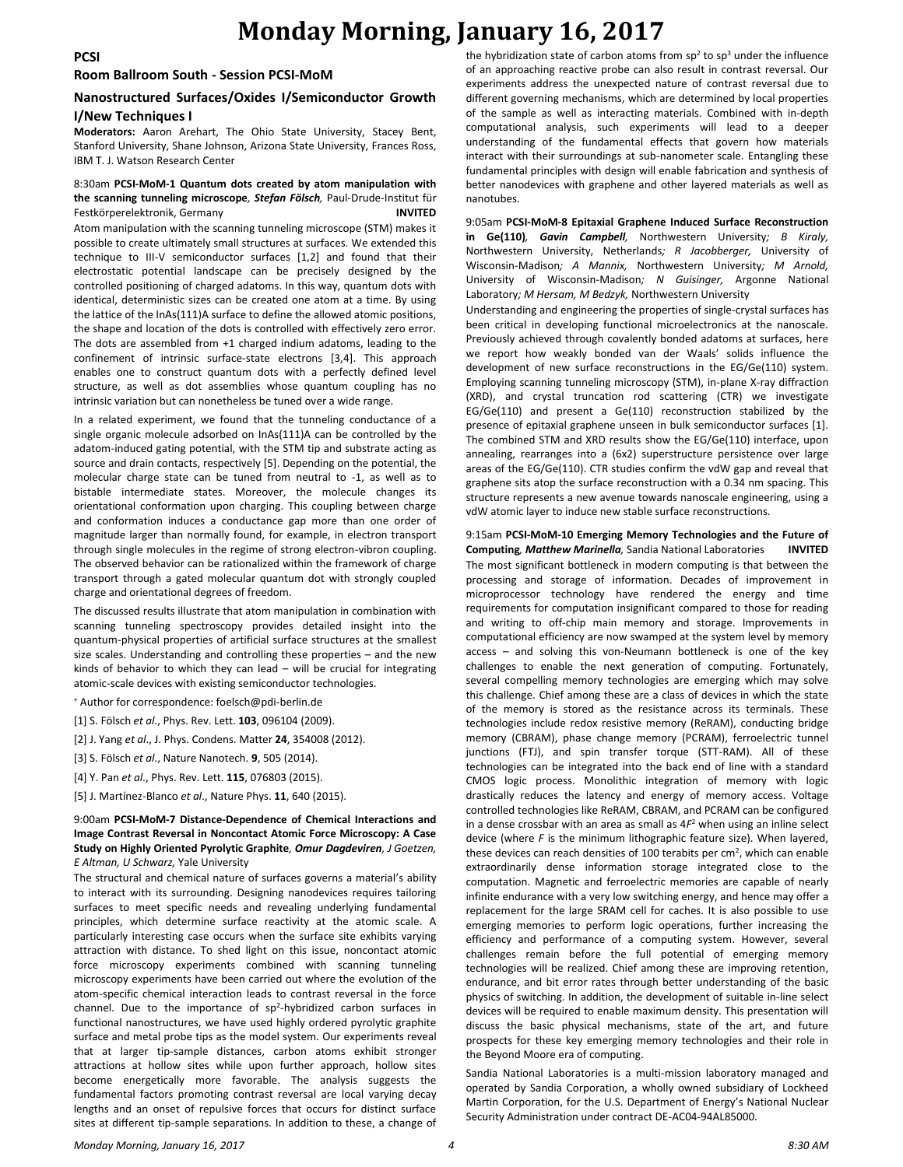#### **Room Ballroom South - Session PCSI-MoM**

### **Nanostructured Surfaces/Oxides I/Semiconductor Growth I/New Techniques I**

**Moderators:** Aaron Arehart, The Ohio State University, Stacey Bent, Stanford University, Shane Johnson, Arizona State University, Frances Ross, IBM T. J. Watson Research Center

#### 8:30am **PCSI-MoM-1 Quantum dots created by atom manipulation with the scanning tunneling microscope***, Stefan Fölsch,* Paul-Drude-Institut für Festkörperelektronik, Germany **INVITED**

Atom manipulation with the scanning tunneling microscope (STM) makes it possible to create ultimately small structures at surfaces. We extended this technique to III-V semiconductor surfaces [1,2] and found that their electrostatic potential landscape can be precisely designed by the controlled positioning of charged adatoms. In this way, quantum dots with identical, deterministic sizes can be created one atom at a time. By using the lattice of the InAs(111)A surface to define the allowed atomic positions, the shape and location of the dots is controlled with effectively zero error. The dots are assembled from +1 charged indium adatoms, leading to the confinement of intrinsic surface-state electrons [3,4]. This approach enables one to construct quantum dots with a perfectly defined level structure, as well as dot assemblies whose quantum coupling has no intrinsic variation but can nonetheless be tuned over a wide range.

In a related experiment, we found that the tunneling conductance of a single organic molecule adsorbed on InAs(111)A can be controlled by the adatom-induced gating potential, with the STM tip and substrate acting as source and drain contacts, respectively [5]. Depending on the potential, the molecular charge state can be tuned from neutral to -1, as well as to bistable intermediate states. Moreover, the molecule changes its orientational conformation upon charging. This coupling between charge and conformation induces a conductance gap more than one order of magnitude larger than normally found, for example, in electron transport through single molecules in the regime of strong electron-vibron coupling. The observed behavior can be rationalized within the framework of charge transport through a gated molecular quantum dot with strongly coupled charge and orientational degrees of freedom.

The discussed results illustrate that atom manipulation in combination with scanning tunneling spectroscopy provides detailed insight into the quantum-physical properties of artificial surface structures at the smallest size scales. Understanding and controlling these properties – and the new kinds of behavior to which they can lead – will be crucial for integrating atomic-scale devices with existing semiconductor technologies.

<sup>+</sup> Author for correspondence: foelsch@pdi-berlin.de

- [1] S. Fölsch *et al*., Phys. Rev. Lett. **103**, 096104 (2009).
- [2] J. Yang *et al*., J. Phys. Condens. Matter **24**, 354008 (2012).
- [3] S. Fölsch *et al*., Nature Nanotech. **9**, 505 (2014).
- [4] Y. Pan *et al*., Phys. Rev. Lett. **115**, 076803 (2015).
- [5] J. Martínez-Blanco *et al*., Nature Phys. **11**, 640 (2015).

#### 9:00am **PCSI-MoM-7 Distance-Dependence of Chemical Interactions and Image Contrast Reversal in Noncontact Atomic Force Microscopy: A Case Study on Highly Oriented Pyrolytic Graphite***, Omur Dagdeviren, J Goetzen, E Altman, U Schwarz,* Yale University

The structural and chemical nature of surfaces governs a material's ability to interact with its surrounding. Designing nanodevices requires tailoring surfaces to meet specific needs and revealing underlying fundamental principles, which determine surface reactivity at the atomic scale. A particularly interesting case occurs when the surface site exhibits varying attraction with distance. To shed light on this issue, noncontact atomic force microscopy experiments combined with scanning tunneling microscopy experiments have been carried out where the evolution of the atom-specific chemical interaction leads to contrast reversal in the force channel. Due to the importance of sp<sup>2</sup>-hybridized carbon surfaces in functional nanostructures, we have used highly ordered pyrolytic graphite surface and metal probe tips as the model system. Our experiments reveal that at larger tip-sample distances, carbon atoms exhibit stronger attractions at hollow sites while upon further approach, hollow sites become energetically more favorable. The analysis suggests the fundamental factors promoting contrast reversal are local varying decay lengths and an onset of repulsive forces that occurs for distinct surface sites at different tip-sample separations. In addition to these, a change of

the hybridization state of carbon atoms from  $sp^2$  to  $sp^3$  under the influence of an approaching reactive probe can also result in contrast reversal. Our experiments address the unexpected nature of contrast reversal due to different governing mechanisms, which are determined by local properties of the sample as well as interacting materials. Combined with in-depth computational analysis, such experiments will lead to a deeper understanding of the fundamental effects that govern how materials interact with their surroundings at sub-nanometer scale. Entangling these fundamental principles with design will enable fabrication and synthesis of better nanodevices with graphene and other layered materials as well as nanotubes.

9:05am **PCSI-MoM-8 Epitaxial Graphene Induced Surface Reconstruction in Ge(110)***, Gavin Campbell,* Northwestern University*; B Kiraly,*  Northwestern University, Netherlands*; R Jacobberger,* University of Wisconsin-Madison*; A Mannix,* Northwestern University*; M Arnold,*  University of Wisconsin-Madison*; N Guisinger,* Argonne National Laboratory*; M Hersam, M Bedzyk,* Northwestern University

Understanding and engineering the properties of single-crystal surfaces has been critical in developing functional microelectronics at the nanoscale. Previously achieved through covalently bonded adatoms at surfaces, here we report how weakly bonded van der Waals' solids influence the development of new surface reconstructions in the EG/Ge(110) system. Employing scanning tunneling microscopy (STM), in-plane X-ray diffraction (XRD), and crystal truncation rod scattering (CTR) we investigate EG/Ge(110) and present a Ge(110) reconstruction stabilized by the presence of epitaxial graphene unseen in bulk semiconductor surfaces [1]. The combined STM and XRD results show the EG/Ge(110) interface, upon annealing, rearranges into a (6x2) superstructure persistence over large areas of the EG/Ge(110). CTR studies confirm the vdW gap and reveal that graphene sits atop the surface reconstruction with a 0.34 nm spacing. This structure represents a new avenue towards nanoscale engineering, using a vdW atomic layer to induce new stable surface reconstructions.

9:15am **PCSI-MoM-10 Emerging Memory Technologies and the Future of Computing***, Matthew Marinella,* Sandia National Laboratories **INVITED** The most significant bottleneck in modern computing is that between the processing and storage of information. Decades of improvement in microprocessor technology have rendered the energy and time requirements for computation insignificant compared to those for reading and writing to off-chip main memory and storage. Improvements in computational efficiency are now swamped at the system level by memory access – and solving this von-Neumann bottleneck is one of the key challenges to enable the next generation of computing. Fortunately, several compelling memory technologies are emerging which may solve this challenge. Chief among these are a class of devices in which the state of the memory is stored as the resistance across its terminals. These technologies include redox resistive memory (ReRAM), conducting bridge memory (CBRAM), phase change memory (PCRAM), ferroelectric tunnel junctions (FTJ), and spin transfer torque (STT-RAM). All of these technologies can be integrated into the back end of line with a standard CMOS logic process. Monolithic integration of memory with logic drastically reduces the latency and energy of memory access. Voltage controlled technologies like ReRAM, CBRAM, and PCRAM can be configured in a dense crossbar with an area as small as 4*F* <sup>2</sup> when using an inline select device (where *F* is the minimum lithographic feature size). When layered, these devices can reach densities of 100 terabits per cm<sup>2</sup>, which can enable extraordinarily dense information storage integrated close to the computation. Magnetic and ferroelectric memories are capable of nearly infinite endurance with a very low switching energy, and hence may offer a replacement for the large SRAM cell for caches. It is also possible to use emerging memories to perform logic operations, further increasing the efficiency and performance of a computing system. However, several challenges remain before the full potential of emerging memory technologies will be realized. Chief among these are improving retention, endurance, and bit error rates through better understanding of the basic physics of switching. In addition, the development of suitable in-line select devices will be required to enable maximum density. This presentation will discuss the basic physical mechanisms, state of the art, and future prospects for these key emerging memory technologies and their role in the Beyond Moore era of computing.

Sandia National Laboratories is a multi-mission laboratory managed and operated by Sandia Corporation, a wholly owned subsidiary of Lockheed Martin Corporation, for the U.S. Department of Energy's National Nuclear Security Administration under contract DE-AC04-94AL85000.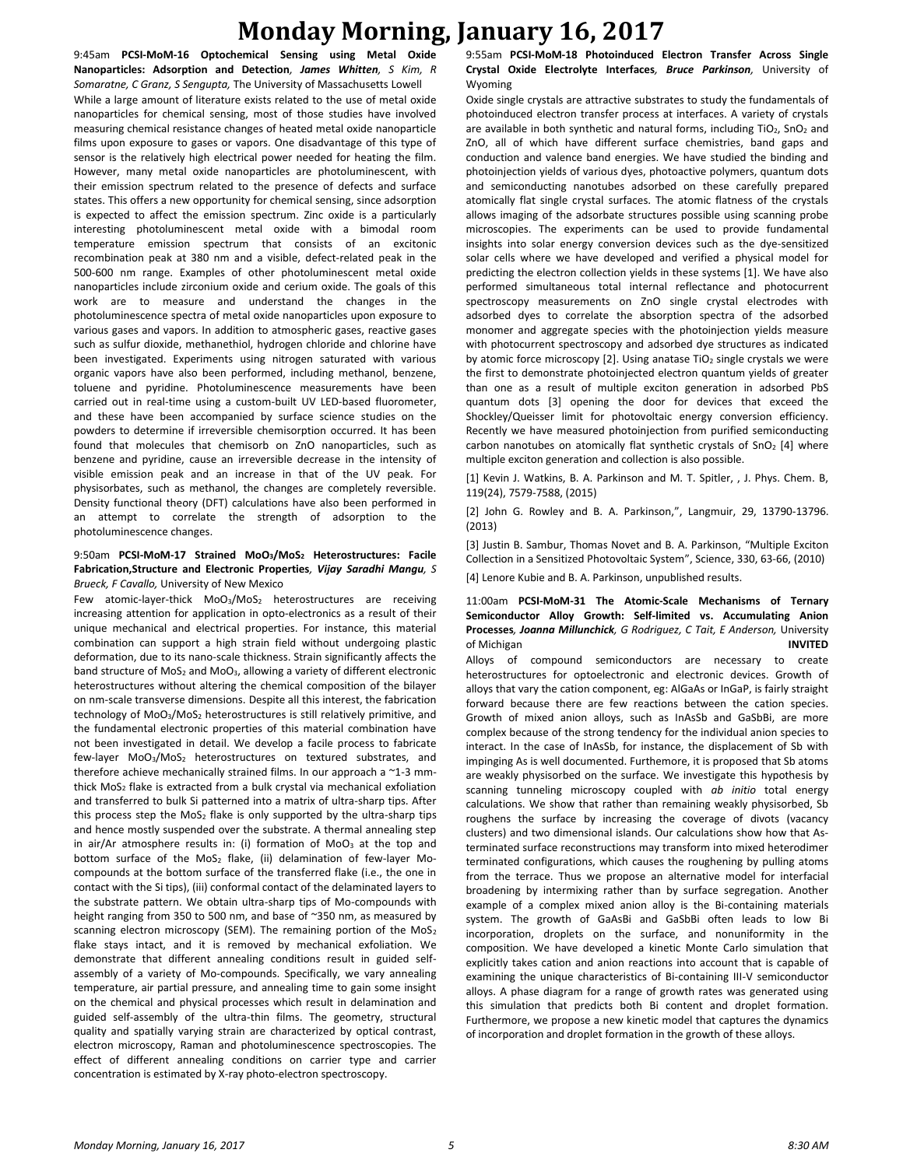9:45am **PCSI-MoM-16 Optochemical Sensing using Metal Oxide Nanoparticles: Adsorption and Detection***, James Whitten, S Kim, R Somaratne, C Granz, S Sengupta,* The University of Massachusetts Lowell While a large amount of literature exists related to the use of metal oxide nanoparticles for chemical sensing, most of those studies have involved measuring chemical resistance changes of heated metal oxide nanoparticle films upon exposure to gases or vapors. One disadvantage of this type of sensor is the relatively high electrical power needed for heating the film. However, many metal oxide nanoparticles are photoluminescent, with their emission spectrum related to the presence of defects and surface states. This offers a new opportunity for chemical sensing, since adsorption is expected to affect the emission spectrum. Zinc oxide is a particularly interesting photoluminescent metal oxide with a bimodal room temperature emission spectrum that consists of an excitonic recombination peak at 380 nm and a visible, defect-related peak in the 500-600 nm range. Examples of other photoluminescent metal oxide nanoparticles include zirconium oxide and cerium oxide. The goals of this work are to measure and understand the changes in the photoluminescence spectra of metal oxide nanoparticles upon exposure to various gases and vapors. In addition to atmospheric gases, reactive gases such as sulfur dioxide, methanethiol, hydrogen chloride and chlorine have been investigated. Experiments using nitrogen saturated with various organic vapors have also been performed, including methanol, benzene, toluene and pyridine. Photoluminescence measurements have been carried out in real-time using a custom-built UV LED-based fluorometer, and these have been accompanied by surface science studies on the powders to determine if irreversible chemisorption occurred. It has been found that molecules that chemisorb on ZnO nanoparticles, such as benzene and pyridine, cause an irreversible decrease in the intensity of visible emission peak and an increase in that of the UV peak. For physisorbates, such as methanol, the changes are completely reversible. Density functional theory (DFT) calculations have also been performed in an attempt to correlate the strength of adsorption to the photoluminescence changes.

#### 9:50am **PCSI-MoM-17 Strained MoO3/MoS<sup>2</sup> Heterostructures: Facile Fabrication,Structure and Electronic Properties***, Vijay Saradhi Mangu, S Brueck, F Cavallo,* University of New Mexico

Few atomic-layer-thick MoO<sub>3</sub>/MoS<sub>2</sub> heterostructures are receiving increasing attention for application in opto-electronics as a result of their unique mechanical and electrical properties. For instance, this material combination can support a high strain field without undergoing plastic deformation, due to its nano-scale thickness. Strain significantly affects the band structure of MoS<sub>2</sub> and MoO<sub>3</sub>, allowing a variety of different electronic heterostructures without altering the chemical composition of the bilayer on nm-scale transverse dimensions. Despite all this interest, the fabrication technology of MoO<sub>3</sub>/MoS<sub>2</sub> heterostructures is still relatively primitive, and the fundamental electronic properties of this material combination have not been investigated in detail. We develop a facile process to fabricate few-layer  $MoO<sub>3</sub>/MoS<sub>2</sub>$  heterostructures on textured substrates, and therefore achieve mechanically strained films. In our approach a ~1-3 mmthick MoS<sub>2</sub> flake is extracted from a bulk crystal via mechanical exfoliation and transferred to bulk Si patterned into a matrix of ultra-sharp tips. After this process step the  $MoS<sub>2</sub>$  flake is only supported by the ultra-sharp tips and hence mostly suspended over the substrate. A thermal annealing step in air/Ar atmosphere results in: (i) formation of  $MoO<sub>3</sub>$  at the top and bottom surface of the MoS<sub>2</sub> flake, (ii) delamination of few-layer Mocompounds at the bottom surface of the transferred flake (i.e., the one in contact with the Si tips), (iii) conformal contact of the delaminated layers to the substrate pattern. We obtain ultra-sharp tips of Mo-compounds with height ranging from 350 to 500 nm, and base of ~350 nm, as measured by scanning electron microscopy (SEM). The remaining portion of the  $MoS<sub>2</sub>$ flake stays intact, and it is removed by mechanical exfoliation. We demonstrate that different annealing conditions result in guided selfassembly of a variety of Mo-compounds. Specifically, we vary annealing temperature, air partial pressure, and annealing time to gain some insight on the chemical and physical processes which result in delamination and guided self-assembly of the ultra-thin films. The geometry, structural quality and spatially varying strain are characterized by optical contrast, electron microscopy, Raman and photoluminescence spectroscopies. The effect of different annealing conditions on carrier type and carrier concentration is estimated by X-ray photo-electron spectroscopy.

9:55am **PCSI-MoM-18 Photoinduced Electron Transfer Across Single Crystal Oxide Electrolyte Interfaces***, Bruce Parkinson,* University of Wyoming

Oxide single crystals are attractive substrates to study the fundamentals of photoinduced electron transfer process at interfaces. A variety of crystals are available in both synthetic and natural forms, including  $TiO<sub>2</sub>$ , SnO<sub>2</sub> and ZnO, all of which have different surface chemistries, band gaps and conduction and valence band energies. We have studied the binding and photoinjection yields of various dyes, photoactive polymers, quantum dots and semiconducting nanotubes adsorbed on these carefully prepared atomically flat single crystal surfaces. The atomic flatness of the crystals allows imaging of the adsorbate structures possible using scanning probe microscopies. The experiments can be used to provide fundamental insights into solar energy conversion devices such as the dye-sensitized solar cells where we have developed and verified a physical model for predicting the electron collection yields in these systems [1]. We have also performed simultaneous total internal reflectance and photocurrent spectroscopy measurements on ZnO single crystal electrodes with adsorbed dyes to correlate the absorption spectra of the adsorbed monomer and aggregate species with the photoinjection yields measure with photocurrent spectroscopy and adsorbed dye structures as indicated by atomic force microscopy [2]. Using anatase TiO<sub>2</sub> single crystals we were the first to demonstrate photoinjected electron quantum yields of greater than one as a result of multiple exciton generation in adsorbed PbS quantum dots [3] opening the door for devices that exceed the Shockley/Queisser limit for photovoltaic energy conversion efficiency. Recently we have measured photoinjection from purified semiconducting carbon nanotubes on atomically flat synthetic crystals of  $SnO<sub>2</sub>$  [4] where multiple exciton generation and collection is also possible.

[1] Kevin J. Watkins, B. A. Parkinson and M. T. Spitler, , J. Phys. Chem. B, 119(24), 7579-7588, (2015)

[2] John G. Rowley and B. A. Parkinson,", Langmuir, 29, 13790-13796. (2013)

[3] Justin B. Sambur, Thomas Novet and B. A. Parkinson, "Multiple Exciton Collection in a Sensitized Photovoltaic System", Science, 330, 63-66, (2010) [4] Lenore Kubie and B. A. Parkinson, unpublished results.

11:00am **PCSI-MoM-31 The Atomic-Scale Mechanisms of Ternary Semiconductor Alloy Growth: Self-limited vs. Accumulating Anion Processes***, Joanna Millunchick, G Rodriguez, C Tait, E Anderson,* University of Michigan **INVITED**

Alloys of compound semiconductors are necessary to create heterostructures for optoelectronic and electronic devices. Growth of alloys that vary the cation component, eg: AlGaAs or InGaP, is fairly straight forward because there are few reactions between the cation species. Growth of mixed anion alloys, such as InAsSb and GaSbBi, are more complex because of the strong tendency for the individual anion species to interact. In the case of InAsSb, for instance, the displacement of Sb with impinging As is well documented. Furthemore, it is proposed that Sb atoms are weakly physisorbed on the surface. We investigate this hypothesis by scanning tunneling microscopy coupled with *ab initio* total energy calculations. We show that rather than remaining weakly physisorbed, Sb roughens the surface by increasing the coverage of divots (vacancy clusters) and two dimensional islands. Our calculations show how that Asterminated surface reconstructions may transform into mixed heterodimer terminated configurations, which causes the roughening by pulling atoms from the terrace. Thus we propose an alternative model for interfacial broadening by intermixing rather than by surface segregation. Another example of a complex mixed anion alloy is the Bi-containing materials system. The growth of GaAsBi and GaSbBi often leads to low Bi incorporation, droplets on the surface, and nonuniformity in the composition. We have developed a kinetic Monte Carlo simulation that explicitly takes cation and anion reactions into account that is capable of examining the unique characteristics of Bi-containing III-V semiconductor alloys. A phase diagram for a range of growth rates was generated using this simulation that predicts both Bi content and droplet formation. Furthermore, we propose a new kinetic model that captures the dynamics of incorporation and droplet formation in the growth of these alloys.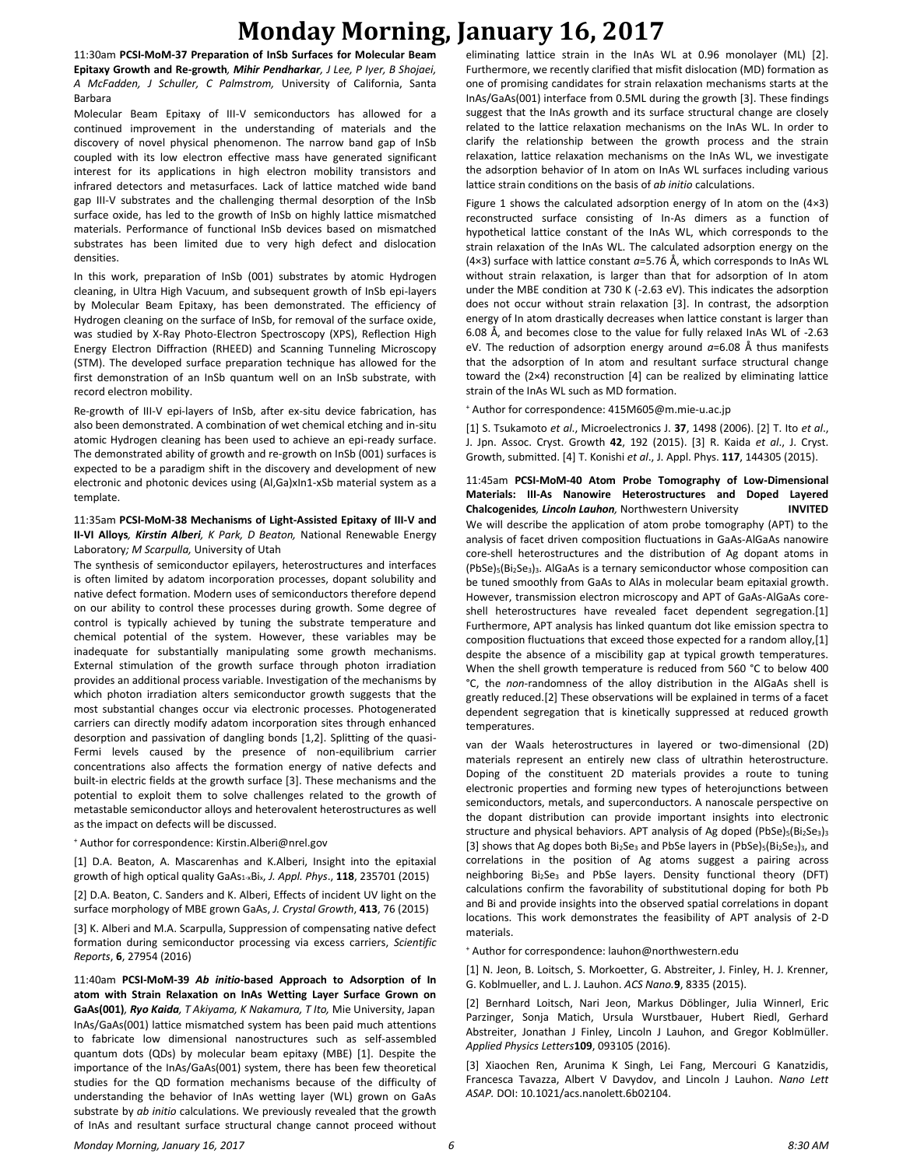11:30am **PCSI-MoM-37 Preparation of InSb Surfaces for Molecular Beam Epitaxy Growth and Re-growth***, Mihir Pendharkar, J Lee, P Iyer, B Shojaei, A McFadden, J Schuller, C Palmstrom,* University of California, Santa Barbara

Molecular Beam Epitaxy of III-V semiconductors has allowed for a continued improvement in the understanding of materials and the discovery of novel physical phenomenon. The narrow band gap of InSb coupled with its low electron effective mass have generated significant interest for its applications in high electron mobility transistors and infrared detectors and metasurfaces. Lack of lattice matched wide band gap III-V substrates and the challenging thermal desorption of the InSb surface oxide, has led to the growth of InSb on highly lattice mismatched materials. Performance of functional InSb devices based on mismatched substrates has been limited due to very high defect and dislocation densities.

In this work, preparation of InSb (001) substrates by atomic Hydrogen cleaning, in Ultra High Vacuum, and subsequent growth of InSb epi-layers by Molecular Beam Epitaxy, has been demonstrated. The efficiency of Hydrogen cleaning on the surface of InSb, for removal of the surface oxide, was studied by X-Ray Photo-Electron Spectroscopy (XPS), Reflection High Energy Electron Diffraction (RHEED) and Scanning Tunneling Microscopy (STM). The developed surface preparation technique has allowed for the first demonstration of an InSb quantum well on an InSb substrate, with record electron mobility.

Re-growth of III-V epi-layers of InSb, after ex-situ device fabrication, has also been demonstrated. A combination of wet chemical etching and in-situ atomic Hydrogen cleaning has been used to achieve an epi-ready surface. The demonstrated ability of growth and re-growth on InSb (001) surfaces is expected to be a paradigm shift in the discovery and development of new electronic and photonic devices using (Al,Ga)xIn1-xSb material system as a template.

11:35am **PCSI-MoM-38 Mechanisms of Light-Assisted Epitaxy of III-V and II-VI Alloys***, Kirstin Alberi, K Park, D Beaton,* National Renewable Energy Laboratory*; M Scarpulla,* University of Utah

The synthesis of semiconductor epilayers, heterostructures and interfaces is often limited by adatom incorporation processes, dopant solubility and native defect formation. Modern uses of semiconductors therefore depend on our ability to control these processes during growth. Some degree of control is typically achieved by tuning the substrate temperature and chemical potential of the system. However, these variables may be inadequate for substantially manipulating some growth mechanisms. External stimulation of the growth surface through photon irradiation provides an additional process variable. Investigation of the mechanisms by which photon irradiation alters semiconductor growth suggests that the most substantial changes occur via electronic processes. Photogenerated carriers can directly modify adatom incorporation sites through enhanced desorption and passivation of dangling bonds [1,2]. Splitting of the quasi-Fermi levels caused by the presence of non-equilibrium carrier concentrations also affects the formation energy of native defects and built-in electric fields at the growth surface [3]. These mechanisms and the potential to exploit them to solve challenges related to the growth of metastable semiconductor alloys and heterovalent heterostructures as well as the impact on defects will be discussed.

<sup>+</sup> Author for correspondence: Kirstin.Alberi@nrel.gov

[1] D.A. Beaton, A. Mascarenhas and K.Alberi, Insight into the epitaxial growth of high optical quality GaAs1-xBix, *J. Appl. Phys*., **118**, 235701 (2015)

[2] D.A. Beaton, C. Sanders and K. Alberi, Effects of incident UV light on the surface morphology of MBE grown GaAs, *J. Crystal Growth*, **413**, 76 (2015)

[3] K. Alberi and M.A. Scarpulla, Suppression of compensating native defect formation during semiconductor processing via excess carriers, *Scientific Reports*, **6**, 27954 (2016)

11:40am **PCSI-MoM-39** *Ab initio***-based Approach to Adsorption of In atom with Strain Relaxation on InAs Wetting Layer Surface Grown on GaAs(001)***, Ryo Kaida, T Akiyama, K Nakamura, T Ito,* Mie University, Japan InAs/GaAs(001) lattice mismatched system has been paid much attentions to fabricate low dimensional nanostructures such as self-assembled quantum dots (QDs) by molecular beam epitaxy (MBE) [1]. Despite the importance of the InAs/GaAs(001) system, there has been few theoretical studies for the QD formation mechanisms because of the difficulty of understanding the behavior of InAs wetting layer (WL) grown on GaAs substrate by *ab initio* calculations. We previously revealed that the growth of InAs and resultant surface structural change cannot proceed without eliminating lattice strain in the InAs WL at 0.96 monolayer (ML) [2]. Furthermore, we recently clarified that misfit dislocation (MD) formation as one of promising candidates for strain relaxation mechanisms starts at the InAs/GaAs(001) interface from 0.5ML during the growth [3]. These findings suggest that the InAs growth and its surface structural change are closely related to the lattice relaxation mechanisms on the InAs WL. In order to clarify the relationship between the growth process and the strain relaxation, lattice relaxation mechanisms on the InAs WL, we investigate the adsorption behavior of In atom on InAs WL surfaces including various lattice strain conditions on the basis of *ab initio* calculations.

Figure 1 shows the calculated adsorption energy of In atom on the (4×3) reconstructed surface consisting of In-As dimers as a function of hypothetical lattice constant of the InAs WL, which corresponds to the strain relaxation of the InAs WL. The calculated adsorption energy on the (4×3) surface with lattice constant *a*=5.76 Å, which corresponds to InAs WL without strain relaxation, is larger than that for adsorption of In atom under the MBE condition at 730 K (-2.63 eV). This indicates the adsorption does not occur without strain relaxation [3]. In contrast, the adsorption energy of In atom drastically decreases when lattice constant is larger than 6.08 Å, and becomes close to the value for fully relaxed InAs WL of -2.63 eV. The reduction of adsorption energy around *a*=6.08 Å thus manifests that the adsorption of In atom and resultant surface structural change toward the (2×4) reconstruction [4] can be realized by eliminating lattice strain of the InAs WL such as MD formation.

<sup>+</sup> Author for correspondence: 415M605@m.mie-u.ac.jp

[1] S. Tsukamoto *et al*., Microelectronics J. **37**, 1498 (2006). [2] T. Ito *et al*., J. Jpn. Assoc. Cryst. Growth **42**, 192 (2015). [3] R. Kaida *et al*., J. Cryst. Growth, submitted. [4] T. Konishi *et al*., J. Appl. Phys. **117**, 144305 (2015).

11:45am **PCSI-MoM-40 Atom Probe Tomography of Low-Dimensional Materials: III-As Nanowire Heterostructures and Doped Layered Chalcogenides***, Lincoln Lauhon,* Northwestern University **INVITED** We will describe the application of atom probe tomography (APT) to the analysis of facet driven composition fluctuations in GaAs-AlGaAs nanowire core-shell heterostructures and the distribution of Ag dopant atoms in (PbSe)5(Bi2Se3)3. AlGaAs is a ternary semiconductor whose composition can be tuned smoothly from GaAs to AlAs in molecular beam epitaxial growth. However, transmission electron microscopy and APT of GaAs-AlGaAs coreshell heterostructures have revealed facet dependent segregation.[1] Furthermore, APT analysis has linked quantum dot like emission spectra to composition fluctuations that exceed those expected for a random alloy,[1] despite the absence of a miscibility gap at typical growth temperatures. When the shell growth temperature is reduced from 560 °C to below 400 °C, the *non*-randomness of the alloy distribution in the AlGaAs shell is greatly reduced.[2] These observations will be explained in terms of a facet dependent segregation that is kinetically suppressed at reduced growth temperatures.

van der Waals heterostructures in layered or two-dimensional (2D) materials represent an entirely new class of ultrathin heterostructure. Doping of the constituent 2D materials provides a route to tuning electronic properties and forming new types of heterojunctions between semiconductors, metals, and superconductors. A nanoscale perspective on the dopant distribution can provide important insights into electronic structure and physical behaviors. APT analysis of Ag doped (PbSe)<sub>5</sub>(Bi<sub>2</sub>Se<sub>3</sub>)<sub>3</sub> [3] shows that Ag dopes both Bi<sub>2</sub>Se<sub>3</sub> and PbSe layers in (PbSe)<sub>5</sub>(Bi<sub>2</sub>Se<sub>3</sub>)<sub>3</sub>, and correlations in the position of Ag atoms suggest a pairing across neighboring Bi<sub>2</sub>Se<sub>3</sub> and PbSe layers. Density functional theory (DFT) calculations confirm the favorability of substitutional doping for both Pb and Bi and provide insights into the observed spatial correlations in dopant locations. This work demonstrates the feasibility of APT analysis of 2-D materials.

<sup>+</sup> Author for correspondence: lauhon@northwestern.edu

[1] N. Jeon, B. Loitsch, S. Morkoetter, G. Abstreiter, J. Finley, H. J. Krenner, G. Koblmueller, and L. J. Lauhon. *ACS Nano.***9**, 8335 (2015).

[2] Bernhard Loitsch, Nari Jeon, Markus Döblinger, Julia Winnerl, Eric Parzinger, Sonja Matich, Ursula Wurstbauer, Hubert Riedl, Gerhard Abstreiter, Jonathan J Finley, Lincoln J Lauhon, and Gregor Koblmüller. *Applied Physics Letters***109**, 093105 (2016).

[3] Xiaochen Ren, Arunima K Singh, Lei Fang, Mercouri G Kanatzidis, Francesca Tavazza, Albert V Davydov, and Lincoln J Lauhon. *Nano Lett ASAP.* DOI: 10.1021/acs.nanolett.6b02104.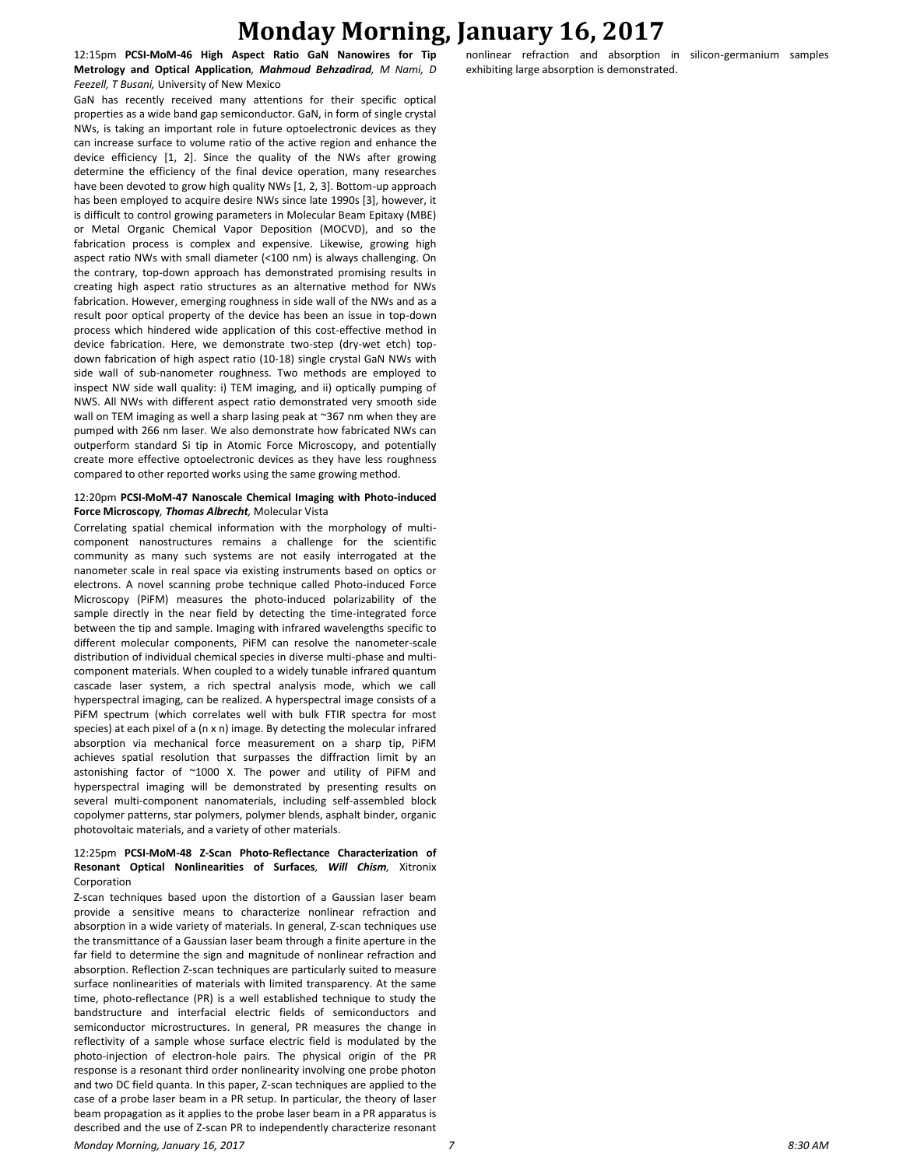12:15pm **PCSI-MoM-46 High Aspect Ratio GaN Nanowires for Tip Metrology and Optical Application***, Mahmoud Behzadirad, M Nami, D Feezell, T Busani,* University of New Mexico

GaN has recently received many attentions for their specific optical properties as a wide band gap semiconductor. GaN, in form of single crystal NWs, is taking an important role in future optoelectronic devices as they can increase surface to volume ratio of the active region and enhance the device efficiency [1, 2]. Since the quality of the NWs after growing determine the efficiency of the final device operation, many researches have been devoted to grow high quality NWs [1, 2, 3]. Bottom-up approach has been employed to acquire desire NWs since late 1990s [3], however, it is difficult to control growing parameters in Molecular Beam Epitaxy (MBE) or Metal Organic Chemical Vapor Deposition (MOCVD), and so the fabrication process is complex and expensive. Likewise, growing high aspect ratio NWs with small diameter (<100 nm) is always challenging. On the contrary, top-down approach has demonstrated promising results in creating high aspect ratio structures as an alternative method for NWs fabrication. However, emerging roughness in side wall of the NWs and as a result poor optical property of the device has been an issue in top-down process which hindered wide application of this cost-effective method in device fabrication. Here, we demonstrate two-step (dry-wet etch) topdown fabrication of high aspect ratio (10-18) single crystal GaN NWs with side wall of sub-nanometer roughness. Two methods are employed to inspect NW side wall quality: i) TEM imaging, and ii) optically pumping of NWS. All NWs with different aspect ratio demonstrated very smooth side wall on TEM imaging as well a sharp lasing peak at ~367 nm when they are pumped with 266 nm laser. We also demonstrate how fabricated NWs can outperform standard Si tip in Atomic Force Microscopy, and potentially create more effective optoelectronic devices as they have less roughness compared to other reported works using the same growing method.

#### 12:20pm **PCSI-MoM-47 Nanoscale Chemical Imaging with Photo-induced Force Microscopy***, Thomas Albrecht,* Molecular Vista

Correlating spatial chemical information with the morphology of multicomponent nanostructures remains a challenge for the scientific community as many such systems are not easily interrogated at the nanometer scale in real space via existing instruments based on optics or electrons. A novel scanning probe technique called Photo-induced Force Microscopy (PiFM) measures the photo-induced polarizability of the sample directly in the near field by detecting the time-integrated force between the tip and sample. Imaging with infrared wavelengths specific to different molecular components, PiFM can resolve the nanometer-scale distribution of individual chemical species in diverse multi-phase and multicomponent materials. When coupled to a widely tunable infrared quantum cascade laser system, a rich spectral analysis mode, which we call hyperspectral imaging, can be realized. A hyperspectral image consists of a PiFM spectrum (which correlates well with bulk FTIR spectra for most species) at each pixel of a (n x n) image. By detecting the molecular infrared absorption via mechanical force measurement on a sharp tip, PiFM achieves spatial resolution that surpasses the diffraction limit by an astonishing factor of ~1000 X. The power and utility of PiFM and hyperspectral imaging will be demonstrated by presenting results on several multi-component nanomaterials, including self-assembled block copolymer patterns, star polymers, polymer blends, asphalt binder, organic photovoltaic materials, and a variety of other materials.

#### 12:25pm **PCSI-MoM-48 Z-Scan Photo-Reflectance Characterization of Resonant Optical Nonlinearities of Surfaces***, Will Chism,* Xitronix Corporation

Z-scan techniques based upon the distortion of a Gaussian laser beam provide a sensitive means to characterize nonlinear refraction and absorption in a wide variety of materials. In general, Z-scan techniques use the transmittance of a Gaussian laser beam through a finite aperture in the far field to determine the sign and magnitude of nonlinear refraction and absorption. Reflection Z-scan techniques are particularly suited to measure surface nonlinearities of materials with limited transparency. At the same time, photo-reflectance (PR) is a well established technique to study the bandstructure and interfacial electric fields of semiconductors and semiconductor microstructures. In general, PR measures the change in reflectivity of a sample whose surface electric field is modulated by the photo-injection of electron-hole pairs. The physical origin of the PR response is a resonant third order nonlinearity involving one probe photon and two DC field quanta. In this paper, Z-scan techniques are applied to the case of a probe laser beam in a PR setup. In particular, the theory of laser beam propagation as it applies to the probe laser beam in a PR apparatus is described and the use of Z-scan PR to independently characterize resonant nonlinear refraction and absorption in silicon-germanium samples exhibiting large absorption is demonstrated.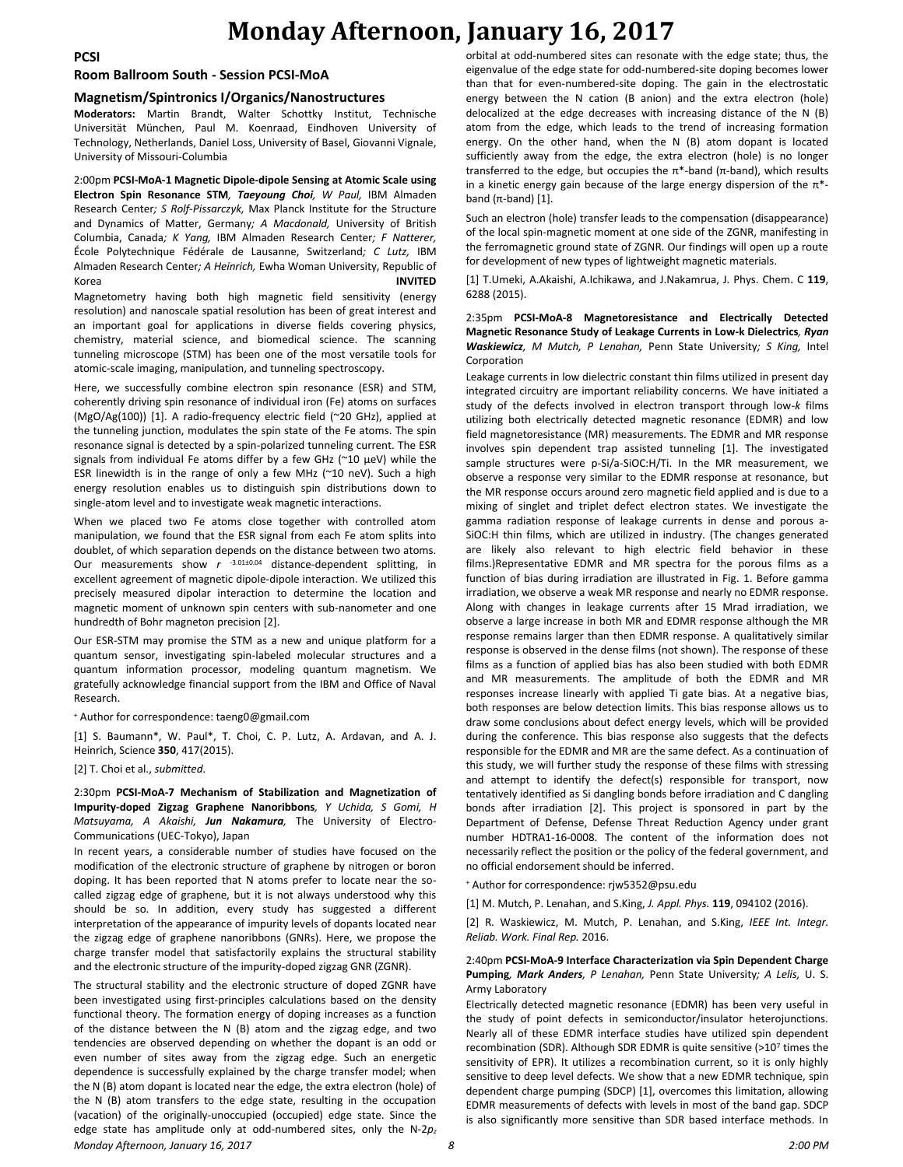**PCSI**

#### **Room Ballroom South - Session PCSI-MoA**

### **Magnetism/Spintronics I/Organics/Nanostructures**

**Moderators:** Martin Brandt, Walter Schottky Institut, Technische Universität München, Paul M. Koenraad, Eindhoven University of Technology, Netherlands, Daniel Loss, University of Basel, Giovanni Vignale, University of Missouri-Columbia

2:00pm **PCSI-MoA-1 Magnetic Dipole-dipole Sensing at Atomic Scale using Electron Spin Resonance STM***, Taeyoung Choi, W Paul,* IBM Almaden Research Center*; S Rolf-Pissarczyk,* Max Planck Institute for the Structure and Dynamics of Matter, Germany*; A Macdonald,* University of British Columbia, Canada*; K Yang,* IBM Almaden Research Center*; F Natterer,*  École Polytechnique Fédérale de Lausanne, Switzerland*; C Lutz,* IBM Almaden Research Center*; A Heinrich,* Ewha Woman University, Republic of Korea **INVITED**

Magnetometry having both high magnetic field sensitivity (energy resolution) and nanoscale spatial resolution has been of great interest and an important goal for applications in diverse fields covering physics, chemistry, material science, and biomedical science. The scanning tunneling microscope (STM) has been one of the most versatile tools for atomic-scale imaging, manipulation, and tunneling spectroscopy.

Here, we successfully combine electron spin resonance (ESR) and STM, coherently driving spin resonance of individual iron (Fe) atoms on surfaces (MgO/Ag(100)) [1]. A radio-frequency electric field (~20 GHz), applied at the tunneling junction, modulates the spin state of the Fe atoms. The spin resonance signal is detected by a spin-polarized tunneling current. The ESR signals from individual Fe atoms differ by a few GHz (~10 μeV) while the ESR linewidth is in the range of only a few MHz (~10 neV). Such a high energy resolution enables us to distinguish spin distributions down to single-atom level and to investigate weak magnetic interactions.

When we placed two Fe atoms close together with controlled atom manipulation, we found that the ESR signal from each Fe atom splits into doublet, of which separation depends on the distance between two atoms. Our measurements show *r* -3.01±0.04 distance-dependent splitting, in excellent agreement of magnetic dipole-dipole interaction. We utilized this precisely measured dipolar interaction to determine the location and magnetic moment of unknown spin centers with sub-nanometer and one hundredth of Bohr magneton precision [2].

Our ESR-STM may promise the STM as a new and unique platform for a quantum sensor, investigating spin-labeled molecular structures and a quantum information processor, modeling quantum magnetism. We gratefully acknowledge financial support from the IBM and Office of Naval Research.

#### <sup>+</sup> Author for correspondence: taeng0@gmail.com

[1] S. Baumann\*, W. Paul\*, T. Choi, C. P. Lutz, A. Ardavan, and A. J. Heinrich, Science **350**, 417(2015).

[2] T. Choi et al., *submitted*.

2:30pm **PCSI-MoA-7 Mechanism of Stabilization and Magnetization of Impurity-doped Zigzag Graphene Nanoribbons***, Y Uchida, S Gomi, H Matsuyama, A Akaishi, Jun Nakamura,* The University of Electro-Communications (UEC-Tokyo), Japan

In recent years, a considerable number of studies have focused on the modification of the electronic structure of graphene by nitrogen or boron doping. It has been reported that N atoms prefer to locate near the socalled zigzag edge of graphene, but it is not always understood why this should be so. In addition, every study has suggested a different interpretation of the appearance of impurity levels of dopants located near the zigzag edge of graphene nanoribbons (GNRs). Here, we propose the charge transfer model that satisfactorily explains the structural stability and the electronic structure of the impurity-doped zigzag GNR (ZGNR).

*Monday Afternoon, January 16, 2017 8 2:00 PM* The structural stability and the electronic structure of doped ZGNR have been investigated using first-principles calculations based on the density functional theory. The formation energy of doping increases as a function of the distance between the N (B) atom and the zigzag edge, and two tendencies are observed depending on whether the dopant is an odd or even number of sites away from the zigzag edge. Such an energetic dependence is successfully explained by the charge transfer model; when the N (B) atom dopant is located near the edge, the extra electron (hole) of the N (B) atom transfers to the edge state, resulting in the occupation (vacation) of the originally-unoccupied (occupied) edge state. Since the edge state has amplitude only at odd-numbered sites, only the N-2*p<sup>z</sup>*

orbital at odd-numbered sites can resonate with the edge state; thus, the eigenvalue of the edge state for odd-numbered-site doping becomes lower than that for even-numbered-site doping. The gain in the electrostatic energy between the N cation (B anion) and the extra electron (hole) delocalized at the edge decreases with increasing distance of the N (B) atom from the edge, which leads to the trend of increasing formation energy. On the other hand, when the N (B) atom dopant is located sufficiently away from the edge, the extra electron (hole) is no longer transferred to the edge, but occupies the  $π*$ -band ( $π$ -band), which results in a kinetic energy gain because of the large energy dispersion of the  $\pi^*$ band  $(\pi$ -band) [1].

Such an electron (hole) transfer leads to the compensation (disappearance) of the local spin-magnetic moment at one side of the ZGNR, manifesting in the ferromagnetic ground state of ZGNR. Our findings will open up a route for development of new types of lightweight magnetic materials.

[1] T.Umeki, A.Akaishi, A.Ichikawa, and J.Nakamrua, J. Phys. Chem. C **119**, 6288 (2015).

#### 2:35pm **PCSI-MoA-8 Magnetoresistance and Electrically Detected Magnetic Resonance Study of Leakage Currents in Low-k Dielectrics***, Ryan Waskiewicz, M Mutch, P Lenahan,* Penn State University*; S King,* Intel Corporation

Leakage currents in low dielectric constant thin films utilized in present day integrated circuitry are important reliability concerns. We have initiated a study of the defects involved in electron transport through low-*k* films utilizing both electrically detected magnetic resonance (EDMR) and low field magnetoresistance (MR) measurements. The EDMR and MR response involves spin dependent trap assisted tunneling [1]. The investigated sample structures were p-Si/a-SiOC:H/Ti. In the MR measurement, we observe a response very similar to the EDMR response at resonance, but the MR response occurs around zero magnetic field applied and is due to a mixing of singlet and triplet defect electron states. We investigate the gamma radiation response of leakage currents in dense and porous a-SiOC:H thin films, which are utilized in industry. (The changes generated are likely also relevant to high electric field behavior in these films.)Representative EDMR and MR spectra for the porous films as a function of bias during irradiation are illustrated in Fig. 1. Before gamma irradiation, we observe a weak MR response and nearly no EDMR response. Along with changes in leakage currents after 15 Mrad irradiation, we observe a large increase in both MR and EDMR response although the MR response remains larger than then EDMR response. A qualitatively similar response is observed in the dense films (not shown). The response of these films as a function of applied bias has also been studied with both EDMR and MR measurements. The amplitude of both the EDMR and MR responses increase linearly with applied Ti gate bias. At a negative bias, both responses are below detection limits. This bias response allows us to draw some conclusions about defect energy levels, which will be provided during the conference. This bias response also suggests that the defects responsible for the EDMR and MR are the same defect. As a continuation of this study, we will further study the response of these films with stressing and attempt to identify the defect(s) responsible for transport, now tentatively identified as Si dangling bonds before irradiation and C dangling bonds after irradiation [2]. This project is sponsored in part by the Department of Defense, Defense Threat Reduction Agency under grant number HDTRA1-16-0008. The content of the information does not necessarily reflect the position or the policy of the federal government, and no official endorsement should be inferred.

<sup>+</sup> Author for correspondence: rjw5352@psu.edu

[1] M. Mutch, P. Lenahan, and S.King, *J. Appl. Phys.* **119**, 094102 (2016).

[2] R. Waskiewicz, M. Mutch, P. Lenahan, and S.King, *IEEE Int. Integr. Reliab. Work. Final Rep.* 2016.

#### 2:40pm **PCSI-MoA-9 Interface Characterization via Spin Dependent Charge Pumping***, Mark Anders, P Lenahan,* Penn State University*; A Lelis,* U. S. Army Laboratory

Electrically detected magnetic resonance (EDMR) has been very useful in the study of point defects in semiconductor/insulator heterojunctions. Nearly all of these EDMR interface studies have utilized spin dependent recombination (SDR). Although SDR EDMR is quite sensitive (>107 times the sensitivity of EPR). It utilizes a recombination current, so it is only highly sensitive to deep level defects. We show that a new EDMR technique, spin dependent charge pumping (SDCP) [1], overcomes this limitation, allowing EDMR measurements of defects with levels in most of the band gap. SDCP is also significantly more sensitive than SDR based interface methods. In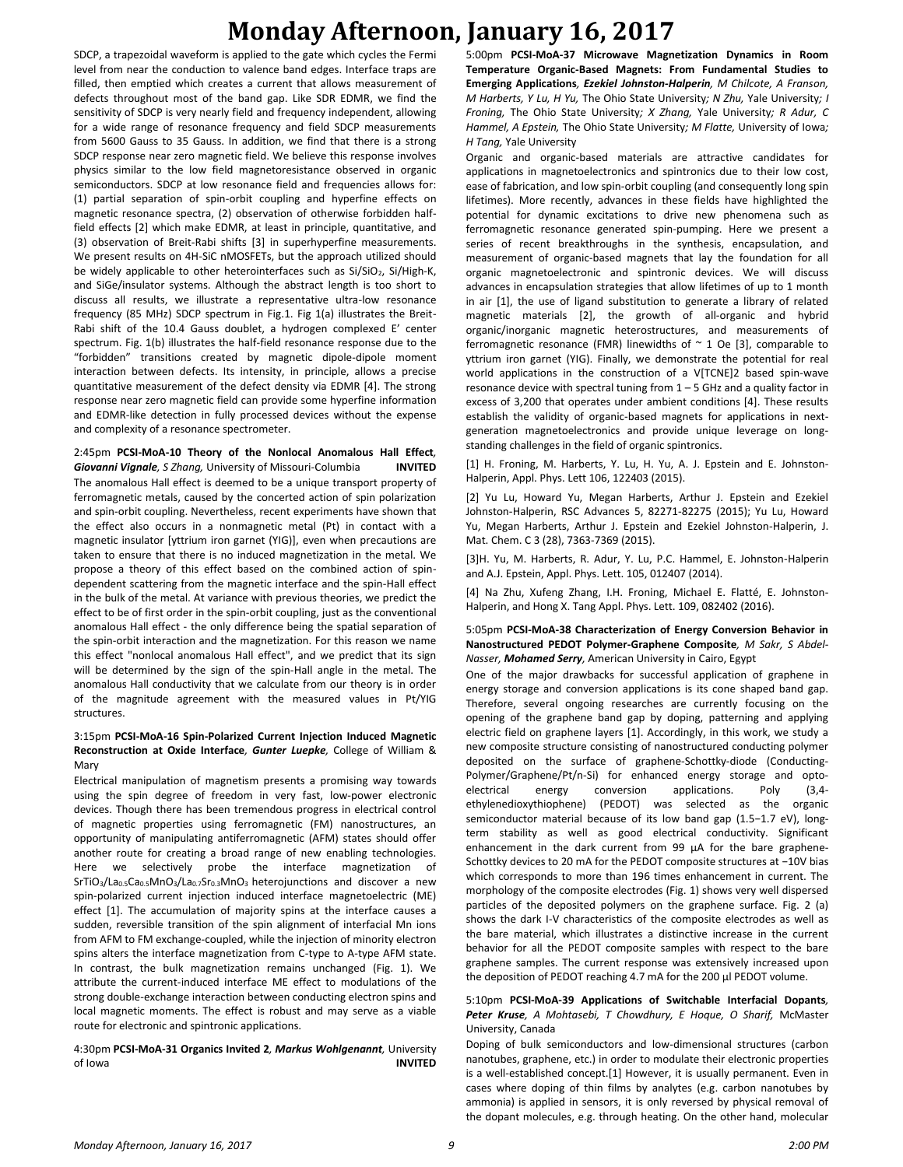# **Monday Afternoon, January 16, 2017**

SDCP, a trapezoidal waveform is applied to the gate which cycles the Fermi level from near the conduction to valence band edges. Interface traps are filled, then emptied which creates a current that allows measurement of defects throughout most of the band gap. Like SDR EDMR, we find the sensitivity of SDCP is very nearly field and frequency independent, allowing for a wide range of resonance frequency and field SDCP measurements from 5600 Gauss to 35 Gauss. In addition, we find that there is a strong SDCP response near zero magnetic field. We believe this response involves physics similar to the low field magnetoresistance observed in organic semiconductors. SDCP at low resonance field and frequencies allows for: (1) partial separation of spin-orbit coupling and hyperfine effects on magnetic resonance spectra, (2) observation of otherwise forbidden halffield effects [2] which make EDMR, at least in principle, quantitative, and (3) observation of Breit-Rabi shifts [3] in superhyperfine measurements. We present results on 4H-SiC nMOSFETs, but the approach utilized should be widely applicable to other heterointerfaces such as Si/SiO<sub>2</sub>, Si/High-K, and SiGe/insulator systems. Although the abstract length is too short to discuss all results, we illustrate a representative ultra-low resonance frequency (85 MHz) SDCP spectrum in Fig.1. Fig 1(a) illustrates the Breit-Rabi shift of the 10.4 Gauss doublet, a hydrogen complexed E' center spectrum. Fig. 1(b) illustrates the half-field resonance response due to the "forbidden" transitions created by magnetic dipole-dipole moment interaction between defects. Its intensity, in principle, allows a precise quantitative measurement of the defect density via EDMR [4]. The strong response near zero magnetic field can provide some hyperfine information and EDMR-like detection in fully processed devices without the expense and complexity of a resonance spectrometer.

2:45pm **PCSI-MoA-10 Theory of the Nonlocal Anomalous Hall Effect***, Giovanni Vignale, S Zhang,* University of Missouri-Columbia **INVITED** The anomalous Hall effect is deemed to be a unique transport property of ferromagnetic metals, caused by the concerted action of spin polarization and spin-orbit coupling. Nevertheless, recent experiments have shown that the effect also occurs in a nonmagnetic metal (Pt) in contact with a magnetic insulator [yttrium iron garnet (YIG)], even when precautions are taken to ensure that there is no induced magnetization in the metal. We propose a theory of this effect based on the combined action of spindependent scattering from the magnetic interface and the spin-Hall effect in the bulk of the metal. At variance with previous theories, we predict the effect to be of first order in the spin-orbit coupling, just as the conventional anomalous Hall effect - the only difference being the spatial separation of the spin-orbit interaction and the magnetization. For this reason we name this effect "nonlocal anomalous Hall effect", and we predict that its sign will be determined by the sign of the spin-Hall angle in the metal. The anomalous Hall conductivity that we calculate from our theory is in order of the magnitude agreement with the measured values in Pt/YIG structures.

#### 3:15pm **PCSI-MoA-16 Spin-Polarized Current Injection Induced Magnetic Reconstruction at Oxide Interface***, Gunter Luepke,* College of William & Mary

Electrical manipulation of magnetism presents a promising way towards using the spin degree of freedom in very fast, low-power electronic devices. Though there has been tremendous progress in electrical control of magnetic properties using ferromagnetic (FM) nanostructures, an opportunity of manipulating antiferromagnetic (AFM) states should offer another route for creating a broad range of new enabling technologies. Here we selectively probe the interface magnetization of SrTiO<sub>3</sub>/La<sub>0.5</sub>Ca<sub>0.5</sub>MnO<sub>3</sub>/La<sub>0.7</sub>Sr<sub>0.3</sub>MnO<sub>3</sub> heterojunctions and discover a new spin-polarized current injection induced interface magnetoelectric (ME) effect [1]. The accumulation of majority spins at the interface causes a sudden, reversible transition of the spin alignment of interfacial Mn ions from AFM to FM exchange-coupled, while the injection of minority electron spins alters the interface magnetization from C-type to A-type AFM state. In contrast, the bulk magnetization remains unchanged (Fig. 1). We attribute the current-induced interface ME effect to modulations of the strong double-exchange interaction between conducting electron spins and local magnetic moments. The effect is robust and may serve as a viable route for electronic and spintronic applications.

#### 4:30pm **PCSI-MoA-31 Organics Invited 2***, Markus Wohlgenannt,* University of Iowa **INVITED**

5:00pm **PCSI-MoA-37 Microwave Magnetization Dynamics in Room Temperature Organic-Based Magnets: From Fundamental Studies to Emerging Applications***, Ezekiel Johnston-Halperin, M Chilcote, A Franson, M Harberts, Y Lu, H Yu,* The Ohio State University*; N Zhu,* Yale University*; I Froning,* The Ohio State University*; X Zhang,* Yale University*; R Adur, C Hammel, A Epstein,* The Ohio State University*; M Flatte,* University of Iowa*; H Tang,* Yale University

Organic and organic-based materials are attractive candidates for applications in magnetoelectronics and spintronics due to their low cost, ease of fabrication, and low spin-orbit coupling (and consequently long spin lifetimes). More recently, advances in these fields have highlighted the potential for dynamic excitations to drive new phenomena such as ferromagnetic resonance generated spin-pumping. Here we present a series of recent breakthroughs in the synthesis, encapsulation, and measurement of organic-based magnets that lay the foundation for all organic magnetoelectronic and spintronic devices. We will discuss advances in encapsulation strategies that allow lifetimes of up to 1 month in air [1], the use of ligand substitution to generate a library of related magnetic materials [2], the growth of all-organic and hybrid organic/inorganic magnetic heterostructures, and measurements of ferromagnetic resonance (FMR) linewidths of  $\sim$  1 Oe [3], comparable to yttrium iron garnet (YIG). Finally, we demonstrate the potential for real world applications in the construction of a V[TCNE]2 based spin-wave resonance device with spectral tuning from  $1 - 5$  GHz and a quality factor in excess of 3,200 that operates under ambient conditions [4]. These results establish the validity of organic-based magnets for applications in nextgeneration magnetoelectronics and provide unique leverage on longstanding challenges in the field of organic spintronics.

[1] H. Froning, M. Harberts, Y. Lu, H. Yu, A. J. Epstein and E. Johnston-Halperin, Appl. Phys. Lett 106, 122403 (2015).

[2] Yu Lu, Howard Yu, Megan Harberts, Arthur J. Epstein and Ezekiel Johnston-Halperin, RSC Advances 5, 82271-82275 (2015); Yu Lu, Howard Yu, Megan Harberts, Arthur J. Epstein and Ezekiel Johnston-Halperin, J. Mat. Chem. C 3 (28), 7363-7369 (2015).

[3]H. Yu, M. Harberts, R. Adur, Y. Lu, P.C. Hammel, E. Johnston-Halperin and A.J. Epstein, Appl. Phys. Lett. 105, 012407 (2014).

[4] Na Zhu, Xufeng Zhang, I.H. Froning, Michael E. Flatté, E. Johnston-Halperin, and Hong X. Tang Appl. Phys. Lett. 109, 082402 (2016).

#### 5:05pm **PCSI-MoA-38 Characterization of Energy Conversion Behavior in Nanostructured PEDOT Polymer-Graphene Composite***, M Sakr, S Abdel-Nasser, Mohamed Serry,* American University in Cairo, Egypt

One of the major drawbacks for successful application of graphene in energy storage and conversion applications is its cone shaped band gap. Therefore, several ongoing researches are currently focusing on the opening of the graphene band gap by doping, patterning and applying electric field on graphene layers [1]. Accordingly, in this work, we study a new composite structure consisting of nanostructured conducting polymer deposited on the surface of graphene-Schottky-diode (Conducting-Polymer/Graphene/Pt/n-Si) for enhanced energy storage and optoelectrical energy conversion applications. Poly (3,4 ethylenedioxythiophene) (PEDOT) was selected as the organic semiconductor material because of its low band gap (1.5−1.7 eV), longterm stability as well as good electrical conductivity. Significant enhancement in the dark current from 99  $\mu$ A for the bare graphene-Schottky devices to 20 mA for the PEDOT composite structures at −10V bias which corresponds to more than 196 times enhancement in current. The morphology of the composite electrodes (Fig. 1) shows very well dispersed particles of the deposited polymers on the graphene surface. Fig. 2 (a) shows the dark I-V characteristics of the composite electrodes as well as the bare material, which illustrates a distinctive increase in the current behavior for all the PEDOT composite samples with respect to the bare graphene samples. The current response was extensively increased upon the deposition of PEDOT reaching 4.7 mA for the 200 µl PEDOT volume.

#### 5:10pm **PCSI-MoA-39 Applications of Switchable Interfacial Dopants***, Peter Kruse, A Mohtasebi, T Chowdhury, E Hoque, O Sharif,* McMaster University, Canada

Doping of bulk semiconductors and low-dimensional structures (carbon nanotubes, graphene, etc.) in order to modulate their electronic properties is a well-established concept.[1] However, it is usually permanent. Even in cases where doping of thin films by analytes (e.g. carbon nanotubes by ammonia) is applied in sensors, it is only reversed by physical removal of the dopant molecules, e.g. through heating. On the other hand, molecular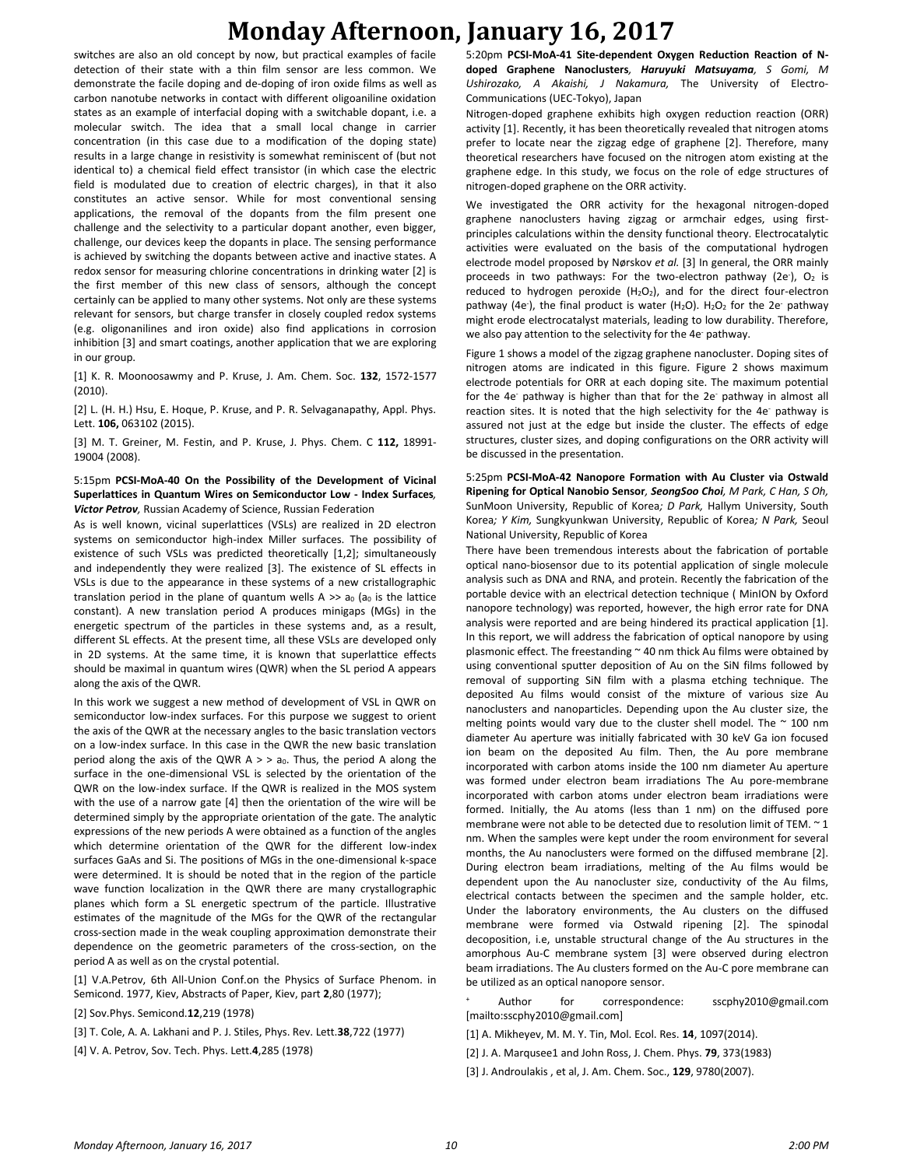# **Monday Afternoon, January 16, 2017**

switches are also an old concept by now, but practical examples of facile detection of their state with a thin film sensor are less common. We demonstrate the facile doping and de-doping of iron oxide films as well as carbon nanotube networks in contact with different oligoaniline oxidation states as an example of interfacial doping with a switchable dopant, i.e. a molecular switch. The idea that a small local change in carrier concentration (in this case due to a modification of the doping state) results in a large change in resistivity is somewhat reminiscent of (but not identical to) a chemical field effect transistor (in which case the electric field is modulated due to creation of electric charges), in that it also constitutes an active sensor. While for most conventional sensing applications, the removal of the dopants from the film present one challenge and the selectivity to a particular dopant another, even bigger, challenge, our devices keep the dopants in place. The sensing performance is achieved by switching the dopants between active and inactive states. A redox sensor for measuring chlorine concentrations in drinking water [2] is the first member of this new class of sensors, although the concept certainly can be applied to many other systems. Not only are these systems relevant for sensors, but charge transfer in closely coupled redox systems (e.g. oligonanilines and iron oxide) also find applications in corrosion inhibition [3] and smart coatings, another application that we are exploring in our group.

[1] K. R. Moonoosawmy and P. Kruse, J. Am. Chem. Soc. **132**, 1572-1577 (2010).

[2] L. (H. H.) Hsu, E. Hoque, P. Kruse, and P. R. Selvaganapathy, Appl. Phys. Lett. **106,** 063102 (2015).

[3] M. T. Greiner, M. Festin, and P. Kruse, J. Phys. Chem. C **112,** 18991- 19004 (2008).

#### 5:15pm **PCSI-MoA-40 On the Possibility of the Development of Vicinal Superlattices in Quantum Wires on Semiconductor Low - Index Surfaces***, Victor Petrov,* Russian Academy of Science, Russian Federation

As is well known, vicinal superlattices (VSLs) are realized in 2D electron systems on semiconductor high-index Miller surfaces. The possibility of existence of such VSLs was predicted theoretically [1,2]; simultaneously and independently they were realized [3]. The existence of SL effects in VSLs is due to the appearance in these systems of a new cristallographic translation period in the plane of quantum wells  $A \gg a_0$  (a<sub>0</sub> is the lattice constant). A new translation period A produces minigaps (MGs) in the energetic spectrum of the particles in these systems and, as a result, different SL effects. At the present time, all these VSLs are developed only in 2D systems. At the same time, it is known that superlattice effects should be maximal in quantum wires (QWR) when the SL period A appears along the axis of the QWR.

In this work we suggest a new method of development of VSL in QWR on semiconductor low-index surfaces. For this purpose we suggest to orient the axis of the QWR at the necessary angles to the basic translation vectors on a low-index surface. In this case in the QWR the new basic translation period along the axis of the QWR  $A > a_0$ . Thus, the period A along the surface in the one-dimensional VSL is selected by the orientation of the QWR on the low-index surface. If the QWR is realized in the MOS system with the use of a narrow gate [4] then the orientation of the wire will be determined simply by the appropriate orientation of the gate. The analytic expressions of the new periods A were obtained as a function of the angles which determine orientation of the QWR for the different low-index surfaces GaAs and Si. The positions of MGs in the one-dimensional k-space were determined. It is should be noted that in the region of the particle wave function localization in the QWR there are many crystallographic planes which form a SL energetic spectrum of the particle. Illustrative estimates of the magnitude of the MGs for the QWR of the rectangular cross-section made in the weak coupling approximation demonstrate their dependence on the geometric parameters of the cross-section, on the period A as well as on the crystal potential.

[1] V.A.Petrov, 6th All-Union Conf.on the Physics of Surface Phenom. in Semicond. 1977, Kiev, Abstracts of Paper, Kiev, part **2**,80 (1977);

[2] Sov.Phys. Semicond.**12**,219 (1978)

[3] T. Cole, A. A. Lakhani and P. J. Stiles, Phys. Rev. Lett.**38**,722 (1977)

[4] V. A. Petrov, Sov. Tech. Phys. Lett.**4**,285 (1978)

5:20pm **PCSI-MoA-41 Site-dependent Oxygen Reduction Reaction of Ndoped Graphene Nanoclusters***, Haruyuki Matsuyama, S Gomi, M Ushirozako, A Akaishi, J Nakamura,* The University of Electro-Communications (UEC-Tokyo), Japan

Nitrogen-doped graphene exhibits high oxygen reduction reaction (ORR) activity [1]. Recently, it has been theoretically revealed that nitrogen atoms prefer to locate near the zigzag edge of graphene [2]. Therefore, many theoretical researchers have focused on the nitrogen atom existing at the graphene edge. In this study, we focus on the role of edge structures of nitrogen-doped graphene on the ORR activity.

We investigated the ORR activity for the hexagonal nitrogen-doped graphene nanoclusters having zigzag or armchair edges, using firstprinciples calculations within the density functional theory. Electrocatalytic activities were evaluated on the basis of the computational hydrogen electrode model proposed by Nørskov *et al.* [3] In general, the ORR mainly proceeds in two pathways: For the two-electron pathway (2e<sup>-</sup>), O<sub>2</sub> is reduced to hydrogen peroxide  $(H_2O_2)$ , and for the direct four-electron pathway (4e<sup>-</sup>), the final product is water (H<sub>2</sub>O). H<sub>2</sub>O<sub>2</sub> for the 2e<sup>-</sup> pathway might erode electrocatalyst materials, leading to low durability. Therefore, we also pay attention to the selectivity for the 4e-pathway.

Figure 1 shows a model of the zigzag graphene nanocluster. Doping sites of nitrogen atoms are indicated in this figure. Figure 2 shows maximum electrode potentials for ORR at each doping site. The maximum potential for the 4e<sup>-</sup> pathway is higher than that for the 2e<sup>-</sup> pathway in almost all reaction sites. It is noted that the high selectivity for the 4e<sup>-</sup> pathway is assured not just at the edge but inside the cluster. The effects of edge structures, cluster sizes, and doping configurations on the ORR activity will be discussed in the presentation.

5:25pm **PCSI-MoA-42 Nanopore Formation with Au Cluster via Ostwald Ripening for Optical Nanobio Sensor***, SeongSoo Choi, M Park, C Han, S Oh,*  SunMoon University, Republic of Korea*; D Park,* Hallym University, South Korea*; Y Kim,* Sungkyunkwan University, Republic of Korea*; N Park,* Seoul National University, Republic of Korea

There have been tremendous interests about the fabrication of portable optical nano-biosensor due to its potential application of single molecule analysis such as DNA and RNA, and protein. Recently the fabrication of the portable device with an electrical detection technique ( MinION by Oxford nanopore technology) was reported, however, the high error rate for DNA analysis were reported and are being hindered its practical application [1]. In this report, we will address the fabrication of optical nanopore by using plasmonic effect. The freestanding  $\sim$  40 nm thick Au films were obtained by using conventional sputter deposition of Au on the SiN films followed by removal of supporting SiN film with a plasma etching technique. The deposited Au films would consist of the mixture of various size Au nanoclusters and nanoparticles. Depending upon the Au cluster size, the melting points would vary due to the cluster shell model. The  $\sim$  100 nm diameter Au aperture was initially fabricated with 30 keV Ga ion focused ion beam on the deposited Au film. Then, the Au pore membrane incorporated with carbon atoms inside the 100 nm diameter Au aperture was formed under electron beam irradiations The Au pore-membrane incorporated with carbon atoms under electron beam irradiations were formed. Initially, the Au atoms (less than 1 nm) on the diffused pore membrane were not able to be detected due to resolution limit of TEM. ~ 1 nm. When the samples were kept under the room environment for several months, the Au nanoclusters were formed on the diffused membrane [2]. During electron beam irradiations, melting of the Au films would be dependent upon the Au nanocluster size, conductivity of the Au films, electrical contacts between the specimen and the sample holder, etc. Under the laboratory environments, the Au clusters on the diffused membrane were formed via Ostwald ripening [2]. The spinodal decoposition, i.e, unstable structural change of the Au structures in the amorphous Au-C membrane system [3] were observed during electron beam irradiations. The Au clusters formed on the Au-C pore membrane can be utilized as an optical nanopore sensor.

Author for correspondence: sscphy2010@gmail.com [mailto:sscphy2010@gmail.com]

- [1] A. Mikheyev, M. M. Y. Tin, Mol. Ecol. Res. **14**, 1097(2014).
- [2] J. A. Marqusee1 and John Ross, J. Chem. Phys. **79**, 373(1983)
- [3] J. Androulakis , et al, J. Am. Chem. Soc., **129**, 9780(2007).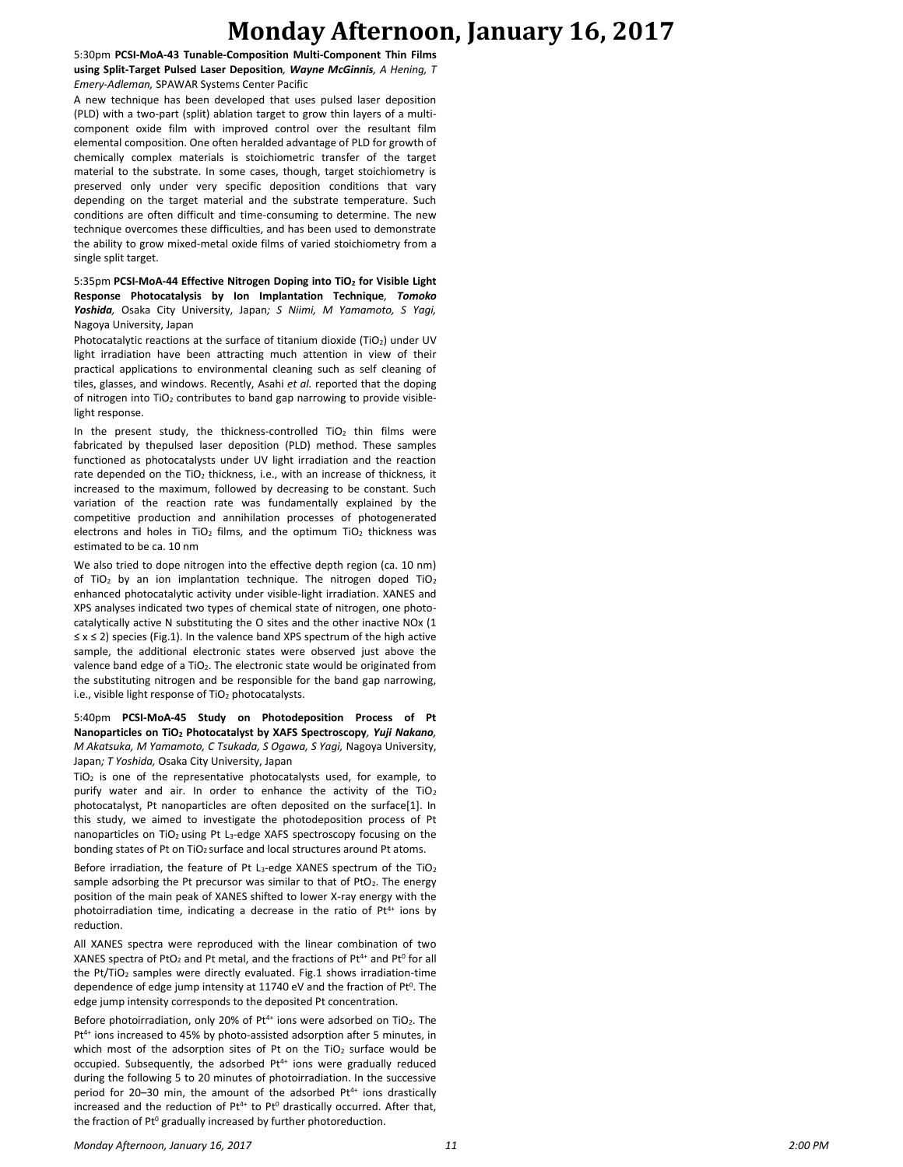## **Monday Afternoon, January 16, 2017**

5:30pm **PCSI-MoA-43 Tunable-Composition Multi-Component Thin Films using Split-Target Pulsed Laser Deposition***, Wayne McGinnis, A Hening, T Emery-Adleman,* SPAWAR Systems Center Pacific

A new technique has been developed that uses pulsed laser deposition (PLD) with a two-part (split) ablation target to grow thin layers of a multicomponent oxide film with improved control over the resultant film elemental composition. One often heralded advantage of PLD for growth of chemically complex materials is stoichiometric transfer of the target material to the substrate. In some cases, though, target stoichiometry is preserved only under very specific deposition conditions that vary depending on the target material and the substrate temperature. Such conditions are often difficult and time-consuming to determine. The new technique overcomes these difficulties, and has been used to demonstrate the ability to grow mixed-metal oxide films of varied stoichiometry from a single split target.

5:35pm **PCSI-MoA-44 Effective Nitrogen Doping into TiO<sup>2</sup> for Visible Light Response Photocatalysis by Ion Implantation Technique***, Tomoko Yoshida,* Osaka City University, Japan*; S Niimi, M Yamamoto, S Yagi,*  Nagoya University, Japan

Photocatalytic reactions at the surface of titanium dioxide (TiO<sub>2</sub>) under UV light irradiation have been attracting much attention in view of their practical applications to environmental cleaning such as self cleaning of tiles, glasses, and windows. Recently, Asahi *et al.* reported that the doping of nitrogen into TiO<sup>2</sup> contributes to band gap narrowing to provide visiblelight response.

In the present study, the thickness-controlled  $TiO<sub>2</sub>$  thin films were fabricated by thepulsed laser deposition (PLD) method. These samples functioned as photocatalysts under UV light irradiation and the reaction rate depended on the  $TiO<sub>2</sub>$  thickness, i.e., with an increase of thickness, it increased to the maximum, followed by decreasing to be constant. Such variation of the reaction rate was fundamentally explained by the competitive production and annihilation processes of photogenerated electrons and holes in TiO<sub>2</sub> films, and the optimum TiO<sub>2</sub> thickness was estimated to be ca. 10 nm

We also tried to dope nitrogen into the effective depth region (ca. 10 nm) of TiO<sub>2</sub> by an ion implantation technique. The nitrogen doped TiO<sub>2</sub> enhanced photocatalytic activity under visible-light irradiation. XANES and XPS analyses indicated two types of chemical state of nitrogen, one photocatalytically active N substituting the O sites and the other inactive NOx (1 ≤ x ≤ 2) species (Fig.1). In the valence band XPS spectrum of the high active sample, the additional electronic states were observed just above the valence band edge of a TiO<sub>2</sub>. The electronic state would be originated from the substituting nitrogen and be responsible for the band gap narrowing, i.e., visible light response of TiO<sub>2</sub> photocatalysts.

5:40pm **PCSI-MoA-45 Study on Photodeposition Process of Pt Nanoparticles on TiO<sup>2</sup> Photocatalyst by XAFS Spectroscopy***, Yuji Nakano, M Akatsuka, M Yamamoto, C Tsukada, S Ogawa, S Yagi,* Nagoya University, Japan*; T Yoshida,* Osaka City University, Japan

TiO<sup>2</sup> is one of the representative photocatalysts used, for example, to purify water and air. In order to enhance the activity of the  $TiO<sub>2</sub>$ photocatalyst, Pt nanoparticles are often deposited on the surface[1]. In this study, we aimed to investigate the photodeposition process of Pt nanoparticles on TiO<sub>2</sub> using Pt L<sub>3</sub>-edge XAFS spectroscopy focusing on the bonding states of Pt on TiO<sub>2</sub> surface and local structures around Pt atoms.

Before irradiation, the feature of Pt L<sub>3</sub>-edge XANES spectrum of the TiO<sub>2</sub> sample adsorbing the Pt precursor was similar to that of PtO<sub>2</sub>. The energy position of the main peak of XANES shifted to lower X-ray energy with the photoirradiation time, indicating a decrease in the ratio of  $Pt^{4+}$  ions by reduction.

All XANES spectra were reproduced with the linear combination of two XANES spectra of PtO<sub>2</sub> and Pt metal, and the fractions of Pt<sup>4+</sup> and Pt<sup>0</sup> for all the Pt/TiO<sub>2</sub> samples were directly evaluated. Fig.1 shows irradiation-time dependence of edge jump intensity at 11740 eV and the fraction of  $Pt^{0}$ . The edge jump intensity corresponds to the deposited Pt concentration.

Before photoirradiation, only 20% of Pt<sup>4+</sup> ions were adsorbed on TiO<sub>2</sub>. The Pt<sup>4+</sup> ions increased to 45% by photo-assisted adsorption after 5 minutes, in which most of the adsorption sites of Pt on the TiO<sub>2</sub> surface would be occupied. Subsequently, the adsorbed  $Pt^{4+}$  ions were gradually reduced during the following 5 to 20 minutes of photoirradiation. In the successive period for 20-30 min, the amount of the adsorbed Pt<sup>4+</sup> ions drastically increased and the reduction of  $Pt^{4+}$  to  $Pt^{0}$  drastically occurred. After that, the fraction of Pt<sup>0</sup> gradually increased by further photoreduction.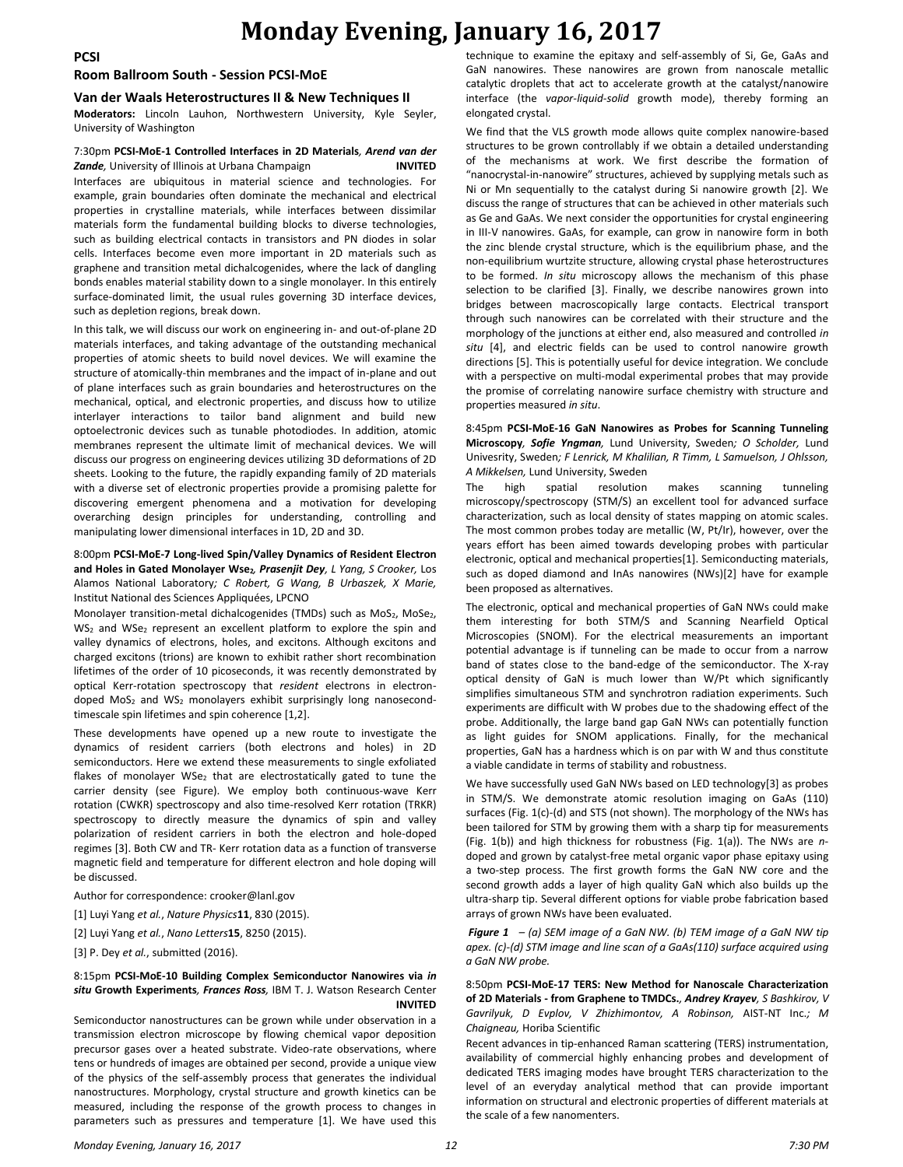**PCSI**

#### **Room Ballroom South - Session PCSI-MoE**

#### **Van der Waals Heterostructures II & New Techniques II**

**Moderators:** Lincoln Lauhon, Northwestern University, Kyle Seyler, University of Washington

### 7:30pm **PCSI-MoE-1 Controlled Interfaces in 2D Materials***, Arend van der*  **Zande**, University of Illinois at Urbana Champaign **INVITED** Interfaces are ubiquitous in material science and technologies. For

example, grain boundaries often dominate the mechanical and electrical properties in crystalline materials, while interfaces between dissimilar materials form the fundamental building blocks to diverse technologies, such as building electrical contacts in transistors and PN diodes in solar cells. Interfaces become even more important in 2D materials such as graphene and transition metal dichalcogenides, where the lack of dangling bonds enables material stability down to a single monolayer. In this entirely surface-dominated limit, the usual rules governing 3D interface devices, such as depletion regions, break down.

In this talk, we will discuss our work on engineering in- and out-of-plane 2D materials interfaces, and taking advantage of the outstanding mechanical properties of atomic sheets to build novel devices. We will examine the structure of atomically-thin membranes and the impact of in-plane and out of plane interfaces such as grain boundaries and heterostructures on the mechanical, optical, and electronic properties, and discuss how to utilize interlayer interactions to tailor band alignment and build new optoelectronic devices such as tunable photodiodes. In addition, atomic membranes represent the ultimate limit of mechanical devices. We will discuss our progress on engineering devices utilizing 3D deformations of 2D sheets. Looking to the future, the rapidly expanding family of 2D materials with a diverse set of electronic properties provide a promising palette for discovering emergent phenomena and a motivation for developing overarching design principles for understanding, controlling and manipulating lower dimensional interfaces in 1D, 2D and 3D.

#### 8:00pm **PCSI-MoE-7 Long-lived Spin/Valley Dynamics of Resident Electron and Holes in Gated Monolayer Wse2***, Prasenjit Dey, L Yang, S Crooker,* Los Alamos National Laboratory*; C Robert, G Wang, B Urbaszek, X Marie,*  Institut National des Sciences Appliquées, LPCNO

Monolayer transition-metal dichalcogenides (TMDs) such as MoS<sub>2</sub>, MoSe<sub>2</sub>,  $WS<sub>2</sub>$  and WSe<sub>2</sub> represent an excellent platform to explore the spin and valley dynamics of electrons, holes, and excitons. Although excitons and charged excitons (trions) are known to exhibit rather short recombination lifetimes of the order of 10 picoseconds, it was recently demonstrated by optical Kerr-rotation spectroscopy that *resident* electrons in electrondoped MoS<sub>2</sub> and WS<sub>2</sub> monolayers exhibit surprisingly long nanosecondtimescale spin lifetimes and spin coherence [1,2].

These developments have opened up a new route to investigate the dynamics of resident carriers (both electrons and holes) in 2D semiconductors. Here we extend these measurements to single exfoliated flakes of monolayer WSe<sub>2</sub> that are electrostatically gated to tune the carrier density (see Figure). We employ both continuous-wave Kerr rotation (CWKR) spectroscopy and also time-resolved Kerr rotation (TRKR) spectroscopy to directly measure the dynamics of spin and valley polarization of resident carriers in both the electron and hole-doped regimes [3]. Both CW and TR- Kerr rotation data as a function of transverse magnetic field and temperature for different electron and hole doping will be discussed.

Author for correspondence: crooker@lanl.gov

- [1] Luyi Yang *et al.*, *Nature Physics***11**, 830 (2015).
- [2] Luyi Yang *et al.*, *Nano Letters***15**, 8250 (2015).

[3] P. Dey *et al.*, submitted (2016).

#### 8:15pm **PCSI-MoE-10 Building Complex Semiconductor Nanowires via** *in situ* **Growth Experiments***, Frances Ross,* IBM T. J. Watson Research Center **INVITED**

Semiconductor nanostructures can be grown while under observation in a transmission electron microscope by flowing chemical vapor deposition precursor gases over a heated substrate. Video-rate observations, where tens or hundreds of images are obtained per second, provide a unique view of the physics of the self-assembly process that generates the individual nanostructures. Morphology, crystal structure and growth kinetics can be measured, including the response of the growth process to changes in parameters such as pressures and temperature [1]. We have used this

technique to examine the epitaxy and self-assembly of Si, Ge, GaAs and GaN nanowires. These nanowires are grown from nanoscale metallic catalytic droplets that act to accelerate growth at the catalyst/nanowire interface (the *vapor-liquid-solid* growth mode), thereby forming an elongated crystal.

We find that the VLS growth mode allows quite complex nanowire-based structures to be grown controllably if we obtain a detailed understanding of the mechanisms at work. We first describe the formation of "nanocrystal-in-nanowire" structures, achieved by supplying metals such as Ni or Mn sequentially to the catalyst during Si nanowire growth [2]. We discuss the range of structures that can be achieved in other materials such as Ge and GaAs. We next consider the opportunities for crystal engineering in III-V nanowires. GaAs, for example, can grow in nanowire form in both the zinc blende crystal structure, which is the equilibrium phase, and the non-equilibrium wurtzite structure, allowing crystal phase heterostructures to be formed. *In situ* microscopy allows the mechanism of this phase selection to be clarified [3]. Finally, we describe nanowires grown into bridges between macroscopically large contacts. Electrical transport through such nanowires can be correlated with their structure and the morphology of the junctions at either end, also measured and controlled *in situ* [4], and electric fields can be used to control nanowire growth directions [5]. This is potentially useful for device integration. We conclude with a perspective on multi-modal experimental probes that may provide the promise of correlating nanowire surface chemistry with structure and properties measured *in situ*.

8:45pm **PCSI-MoE-16 GaN Nanowires as Probes for Scanning Tunneling Microscopy***, Sofie Yngman,* Lund University, Sweden*; O Scholder,* Lund Univesrity, Sweden*; F Lenrick, M Khalilian, R Timm, L Samuelson, J Ohlsson, A Mikkelsen,* Lund University, Sweden

The high spatial resolution makes scanning tunneling microscopy/spectroscopy (STM/S) an excellent tool for advanced surface characterization, such as local density of states mapping on atomic scales. The most common probes today are metallic (W, Pt/Ir), however, over the years effort has been aimed towards developing probes with particular electronic, optical and mechanical properties[1]. Semiconducting materials, such as doped diamond and InAs nanowires (NWs)[2] have for example been proposed as alternatives.

The electronic, optical and mechanical properties of GaN NWs could make them interesting for both STM/S and Scanning Nearfield Optical Microscopies (SNOM). For the electrical measurements an important potential advantage is if tunneling can be made to occur from a narrow band of states close to the band-edge of the semiconductor. The X-ray optical density of GaN is much lower than W/Pt which significantly simplifies simultaneous STM and synchrotron radiation experiments. Such experiments are difficult with W probes due to the shadowing effect of the probe. Additionally, the large band gap GaN NWs can potentially function as light guides for SNOM applications. Finally, for the mechanical properties, GaN has a hardness which is on par with W and thus constitute a viable candidate in terms of stability and robustness.

We have successfully used GaN NWs based on LED technology[3] as probes in STM/S. We demonstrate atomic resolution imaging on GaAs (110) surfaces (Fig. 1(c)-(d) and STS (not shown). The morphology of the NWs has been tailored for STM by growing them with a sharp tip for measurements (Fig. 1(b)) and high thickness for robustness (Fig. 1(a)). The NWs are *n*doped and grown by catalyst-free metal organic vapor phase epitaxy using a two-step process. The first growth forms the GaN NW core and the second growth adds a layer of high quality GaN which also builds up the ultra-sharp tip. Several different options for viable probe fabrication based arrays of grown NWs have been evaluated.

*Figure 1 – (a) SEM image of a GaN NW. (b) TEM image of a GaN NW tip apex. (c)-(d) STM image and line scan of a GaAs(110) surface acquired using a GaN NW probe.*

8:50pm **PCSI-MoE-17 TERS: New Method for Nanoscale Characterization of 2D Materials - from Graphene to TMDCs.***, Andrey Krayev, S Bashkirov, V Gavrilyuk, D Evplov, V Zhizhimontov, A Robinson,* AIST-NT Inc.*; M Chaigneau,* Horiba Scientific

Recent advances in tip-enhanced Raman scattering (TERS) instrumentation, availability of commercial highly enhancing probes and development of dedicated TERS imaging modes have brought TERS characterization to the level of an everyday analytical method that can provide important information on structural and electronic properties of different materials at the scale of a few nanomenters.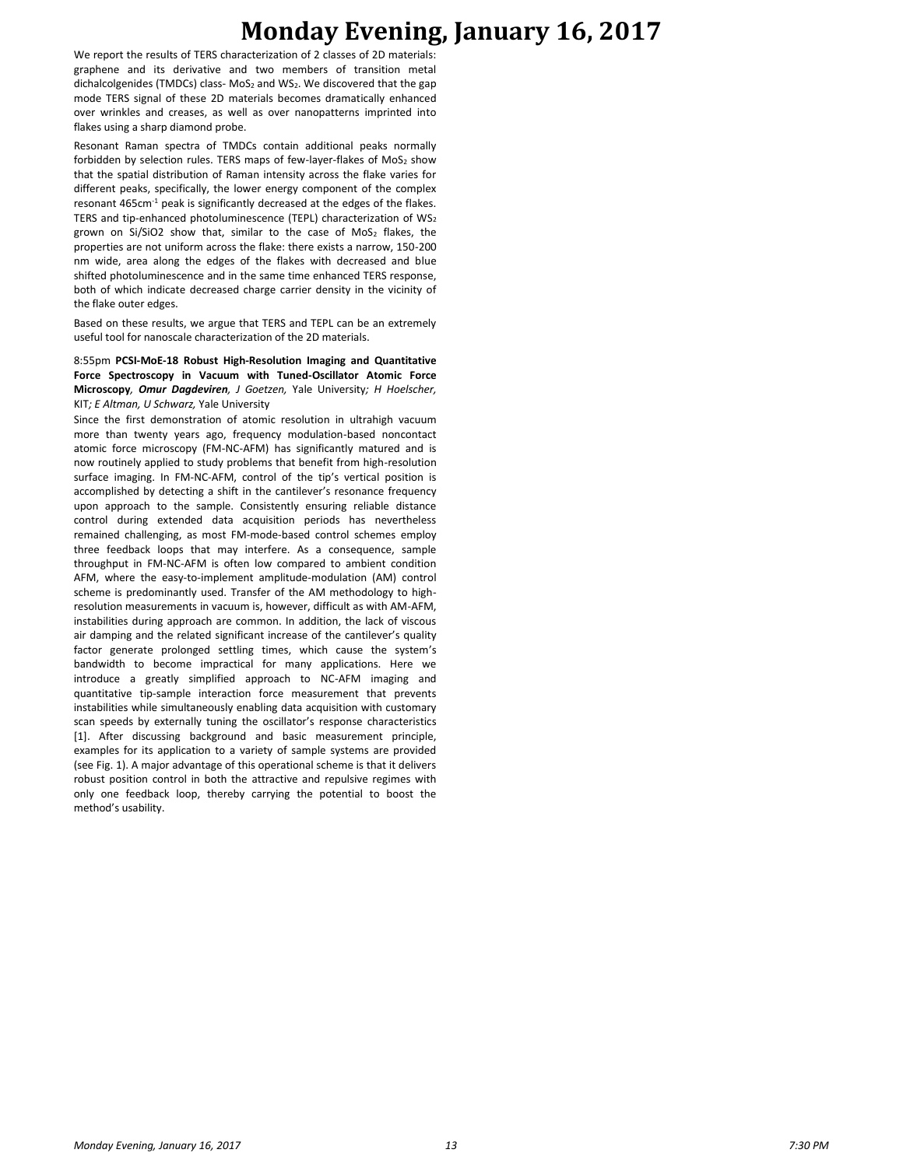# **Monday Evening, January 16, 2017**

We report the results of TERS characterization of 2 classes of 2D materials: graphene and its derivative and two members of transition metal dichalcolgenides (TMDCs) class- MoS<sub>2</sub> and WS<sub>2</sub>. We discovered that the gap mode TERS signal of these 2D materials becomes dramatically enhanced over wrinkles and creases, as well as over nanopatterns imprinted into flakes using a sharp diamond probe.

Resonant Raman spectra of TMDCs contain additional peaks normally forbidden by selection rules. TERS maps of few-layer-flakes of  $MoS<sub>2</sub>$  show that the spatial distribution of Raman intensity across the flake varies for different peaks, specifically, the lower energy component of the complex resonant 465cm-1 peak is significantly decreased at the edges of the flakes. TERS and tip-enhanced photoluminescence (TEPL) characterization of WS<sub>2</sub> grown on Si/SiO2 show that, similar to the case of  $MoS<sub>2</sub>$  flakes, the properties are not uniform across the flake: there exists a narrow, 150-200 nm wide, area along the edges of the flakes with decreased and blue shifted photoluminescence and in the same time enhanced TERS response, both of which indicate decreased charge carrier density in the vicinity of the flake outer edges.

Based on these results, we argue that TERS and TEPL can be an extremely useful tool for nanoscale characterization of the 2D materials.

8:55pm **PCSI-MoE-18 Robust High-Resolution Imaging and Quantitative Force Spectroscopy in Vacuum with Tuned-Oscillator Atomic Force Microscopy***, Omur Dagdeviren, J Goetzen,* Yale University*; H Hoelscher,*  KIT*; E Altman, U Schwarz,* Yale University

Since the first demonstration of atomic resolution in ultrahigh vacuum more than twenty years ago, frequency modulation-based noncontact atomic force microscopy (FM-NC-AFM) has significantly matured and is now routinely applied to study problems that benefit from high-resolution surface imaging. In FM-NC-AFM, control of the tip's vertical position is accomplished by detecting a shift in the cantilever's resonance frequency upon approach to the sample. Consistently ensuring reliable distance control during extended data acquisition periods has nevertheless remained challenging, as most FM-mode-based control schemes employ three feedback loops that may interfere. As a consequence, sample throughput in FM-NC-AFM is often low compared to ambient condition AFM, where the easy-to-implement amplitude-modulation (AM) control scheme is predominantly used. Transfer of the AM methodology to highresolution measurements in vacuum is, however, difficult as with AM-AFM, instabilities during approach are common. In addition, the lack of viscous air damping and the related significant increase of the cantilever's quality factor generate prolonged settling times, which cause the system's bandwidth to become impractical for many applications. Here we introduce a greatly simplified approach to NC-AFM imaging and quantitative tip-sample interaction force measurement that prevents instabilities while simultaneously enabling data acquisition with customary scan speeds by externally tuning the oscillator's response characteristics [1]. After discussing background and basic measurement principle, examples for its application to a variety of sample systems are provided (see Fig. 1). A major advantage of this operational scheme is that it delivers robust position control in both the attractive and repulsive regimes with only one feedback loop, thereby carrying the potential to boost the method's usability.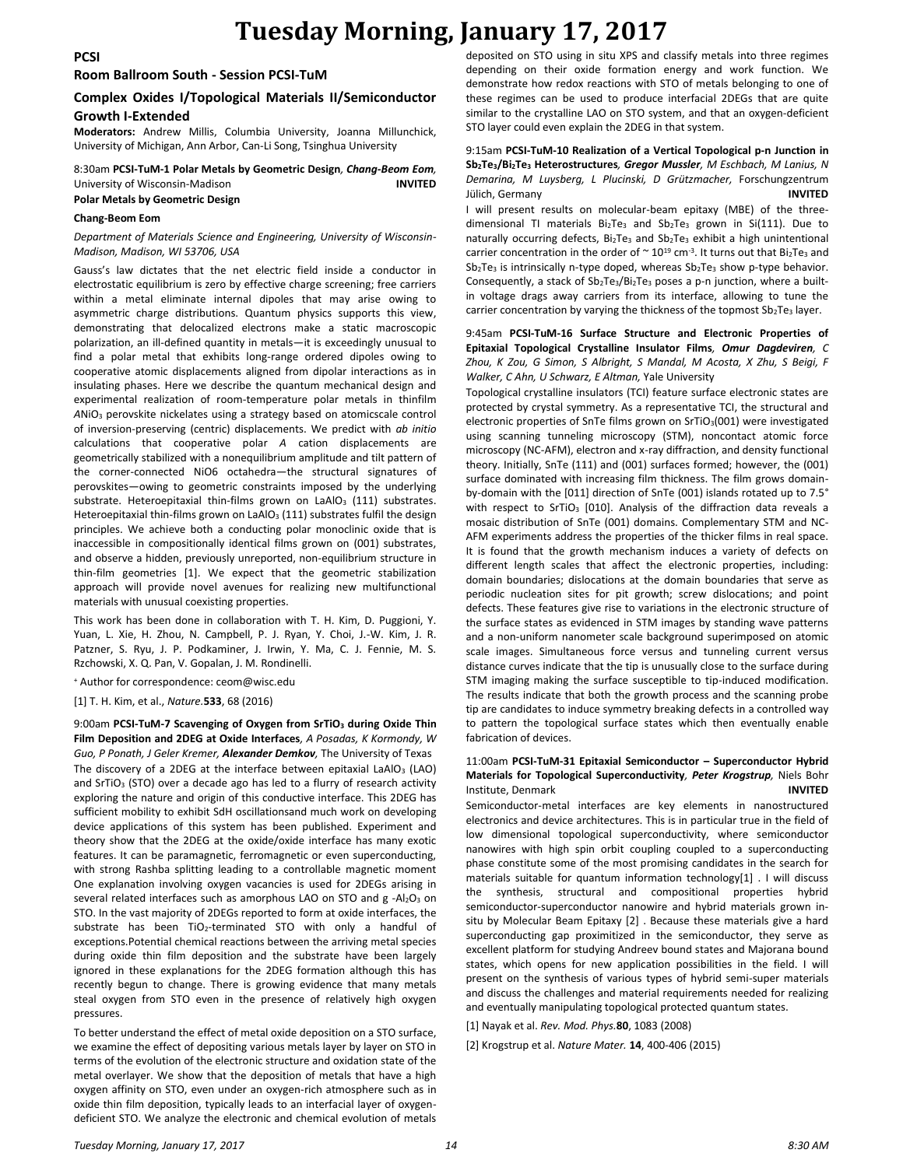**PCSI**

#### **Room Ballroom South - Session PCSI-TuM**

### **Complex Oxides I/Topological Materials II/Semiconductor Growth I-Extended**

**Moderators:** Andrew Millis, Columbia University, Joanna Millunchick, University of Michigan, Ann Arbor, Can-Li Song, Tsinghua University

8:30am **PCSI-TuM-1 Polar Metals by Geometric Design***, Chang-Beom Eom,*  University of Wisconsin-Madison **INVITED Polar Metals by Geometric Design**

#### **Chang-Beom Eom**

#### *Department of Materials Science and Engineering, University of Wisconsin-Madison, Madison, WI 53706, USA*

Gauss's law dictates that the net electric field inside a conductor in electrostatic equilibrium is zero by effective charge screening; free carriers within a metal eliminate internal dipoles that may arise owing to asymmetric charge distributions. Quantum physics supports this view, demonstrating that delocalized electrons make a static macroscopic polarization, an ill-defined quantity in metals—it is exceedingly unusual to find a polar metal that exhibits long-range ordered dipoles owing to cooperative atomic displacements aligned from dipolar interactions as in insulating phases. Here we describe the quantum mechanical design and experimental realization of room-temperature polar metals in thinfilm *A*NiO<sup>3</sup> perovskite nickelates using a strategy based on atomicscale control of inversion-preserving (centric) displacements. We predict with *ab initio*  calculations that cooperative polar *A* cation displacements are geometrically stabilized with a nonequilibrium amplitude and tilt pattern of the corner-connected NiO6 octahedra—the structural signatures of perovskites—owing to geometric constraints imposed by the underlying substrate. Heteroepitaxial thin-films grown on LaAlO<sub>3</sub> (111) substrates. Heteroepitaxial thin-films grown on LaAlO<sub>3</sub> (111) substrates fulfil the design principles. We achieve both a conducting polar monoclinic oxide that is inaccessible in compositionally identical films grown on (001) substrates, and observe a hidden, previously unreported, non-equilibrium structure in thin-film geometries [1]. We expect that the geometric stabilization approach will provide novel avenues for realizing new multifunctional materials with unusual coexisting properties.

This work has been done in collaboration with T. H. Kim, D. Puggioni, Y. Yuan, L. Xie, H. Zhou, N. Campbell, P. J. Ryan, Y. Choi, J.-W. Kim, J. R. Patzner, S. Ryu, J. P. Podkaminer, J. Irwin, Y. Ma, C. J. Fennie, M. S. Rzchowski, X. Q. Pan, V. Gopalan, J. M. Rondinelli.

<sup>+</sup> Author for correspondence: ceom@wisc.edu

[1] T. H. Kim, et al., *Nature.***533**, 68 (2016)

9:00am **PCSI-TuM-7 Scavenging of Oxygen from SrTiO<sup>3</sup> during Oxide Thin Film Deposition and 2DEG at Oxide Interfaces***, A Posadas, K Kormondy, W Guo, P Ponath, J Geler Kremer, Alexander Demkov,* The University of Texas The discovery of a 2DEG at the interface between epitaxial LaAlO<sub>3</sub> (LAO) and  $SrTiO<sub>3</sub> (STO)$  over a decade ago has led to a flurry of research activity exploring the nature and origin of this conductive interface. This 2DEG has sufficient mobility to exhibit SdH oscillationsand much work on developing device applications of this system has been published. Experiment and theory show that the 2DEG at the oxide/oxide interface has many exotic features. It can be paramagnetic, ferromagnetic or even superconducting, with strong Rashba splitting leading to a controllable magnetic moment One explanation involving oxygen vacancies is used for 2DEGs arising in several related interfaces such as amorphous LAO on STO and g -Al2O3 on STO. In the vast majority of 2DEGs reported to form at oxide interfaces, the substrate has been TiO2-terminated STO with only a handful of exceptions.Potential chemical reactions between the arriving metal species during oxide thin film deposition and the substrate have been largely ignored in these explanations for the 2DEG formation although this has recently begun to change. There is growing evidence that many metals steal oxygen from STO even in the presence of relatively high oxygen pressures.

To better understand the effect of metal oxide deposition on a STO surface, we examine the effect of depositing various metals layer by layer on STO in terms of the evolution of the electronic structure and oxidation state of the metal overlayer. We show that the deposition of metals that have a high oxygen affinity on STO, even under an oxygen-rich atmosphere such as in oxide thin film deposition, typically leads to an interfacial layer of oxygendeficient STO. We analyze the electronic and chemical evolution of metals

deposited on STO using in situ XPS and classify metals into three regimes depending on their oxide formation energy and work function. We demonstrate how redox reactions with STO of metals belonging to one of these regimes can be used to produce interfacial 2DEGs that are quite similar to the crystalline LAO on STO system, and that an oxygen-deficient STO layer could even explain the 2DEG in that system.

#### 9:15am **PCSI-TuM-10 Realization of a Vertical Topological p-n Junction in Sb2Te3/Bi2Te<sup>3</sup> Heterostructures***, Gregor Mussler, M Eschbach, M Lanius, N Demarina, M Luysberg, L Plucinski, D Grützmacher,* Forschungzentrum Jülich, Germany **INVITED**

I will present results on molecular-beam epitaxy (MBE) of the threedimensional TI materials Bi<sub>2</sub>Te<sub>3</sub> and Sb<sub>2</sub>Te<sub>3</sub> grown in Si(111). Due to naturally occurring defects,  $Bi_2Te_3$  and  $Sb_2Te_3$  exhibit a high unintentional carrier concentration in the order of  $\sim 10^{19}$  cm<sup>-3</sup>. It turns out that Bi<sub>2</sub>Te<sub>3</sub> and  $Sb<sub>2</sub>Te<sub>3</sub>$  is intrinsically n-type doped, whereas  $Sb<sub>2</sub>Te<sub>3</sub>$  show p-type behavior. Consequently, a stack of Sb<sub>2</sub>Te<sub>3</sub>/Bi<sub>2</sub>Te<sub>3</sub> poses a p-n junction, where a builtin voltage drags away carriers from its interface, allowing to tune the carrier concentration by varying the thickness of the topmost  $Sb_2Te_3$  layer.

9:45am **PCSI-TuM-16 Surface Structure and Electronic Properties of Epitaxial Topological Crystalline Insulator Films***, Omur Dagdeviren, C Zhou, K Zou, G Simon, S Albright, S Mandal, M Acosta, X Zhu, S Beigi, F Walker, C Ahn, U Schwarz, E Altman,* Yale University

Topological crystalline insulators (TCI) feature surface electronic states are protected by crystal symmetry. As a representative TCI, the structural and electronic properties of SnTe films grown on SrTiO $_3$ (001) were investigated using scanning tunneling microscopy (STM), noncontact atomic force microscopy (NC-AFM), electron and x-ray diffraction, and density functional theory. Initially, SnTe (111) and (001) surfaces formed; however, the (001) surface dominated with increasing film thickness. The film grows domainby-domain with the [011] direction of SnTe (001) islands rotated up to 7.5° with respect to SrTiO<sub>3</sub> [010]. Analysis of the diffraction data reveals a mosaic distribution of SnTe (001) domains. Complementary STM and NC-AFM experiments address the properties of the thicker films in real space. It is found that the growth mechanism induces a variety of defects on different length scales that affect the electronic properties, including: domain boundaries; dislocations at the domain boundaries that serve as periodic nucleation sites for pit growth; screw dislocations; and point defects. These features give rise to variations in the electronic structure of the surface states as evidenced in STM images by standing wave patterns and a non-uniform nanometer scale background superimposed on atomic scale images. Simultaneous force versus and tunneling current versus distance curves indicate that the tip is unusually close to the surface during STM imaging making the surface susceptible to tip-induced modification. The results indicate that both the growth process and the scanning probe tip are candidates to induce symmetry breaking defects in a controlled way to pattern the topological surface states which then eventually enable fabrication of devices.

#### 11:00am **PCSI-TuM-31 Epitaxial Semiconductor – Superconductor Hybrid Materials for Topological Superconductivity***, Peter Krogstrup,* Niels Bohr **Institute, Denmark** *INVITED*

Semiconductor-metal interfaces are key elements in nanostructured electronics and device architectures. This is in particular true in the field of low dimensional topological superconductivity, where semiconductor nanowires with high spin orbit coupling coupled to a superconducting phase constitute some of the most promising candidates in the search for materials suitable for quantum information technology[1] . I will discuss the synthesis, structural and compositional properties hybrid semiconductor-superconductor nanowire and hybrid materials grown insitu by Molecular Beam Epitaxy [2] . Because these materials give a hard superconducting gap proximitized in the semiconductor, they serve as excellent platform for studying Andreev bound states and Majorana bound states, which opens for new application possibilities in the field. I will present on the synthesis of various types of hybrid semi-super materials and discuss the challenges and material requirements needed for realizing and eventually manipulating topological protected quantum states.

[1] Nayak et al. *Rev. Mod. Phys.***80**, 1083 (2008)

[2] Krogstrup et al. *Nature Mater.* **14**, 400-406 (2015)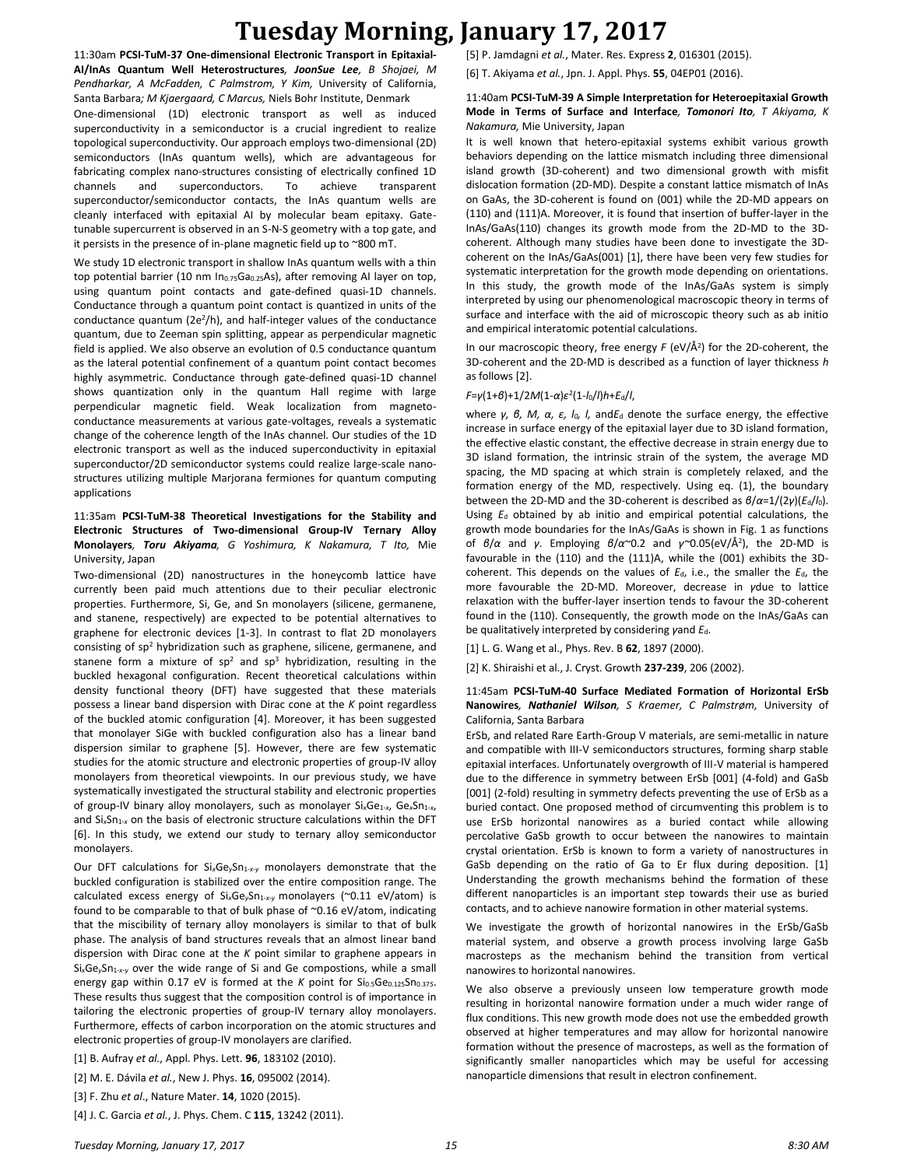# **Tuesday Morning, January 17, 2017**

11:30am **PCSI-TuM-37 One-dimensional Electronic Transport in Epitaxial-AI/InAs Quantum Well Heterostructures***, JoonSue Lee, B Shojaei, M Pendharkar, A McFadden, C Palmstrom, Y Kim,* University of California, Santa Barbara*; M Kjaergaard, C Marcus,* Niels Bohr Institute, Denmark One-dimensional (1D) electronic transport as well as induced superconductivity in a semiconductor is a crucial ingredient to realize topological superconductivity. Our approach employs two-dimensional (2D) semiconductors (InAs quantum wells), which are advantageous for fabricating complex nano-structures consisting of electrically confined 1D channels and superconductors. To achieve transparent superconductor/semiconductor contacts, the InAs quantum wells are cleanly interfaced with epitaxial AI by molecular beam epitaxy. Gatetunable supercurrent is observed in an S-N-S geometry with a top gate, and it persists in the presence of in-plane magnetic field up to ~800 mT.

We study 1D electronic transport in shallow InAs quantum wells with a thin top potential barrier (10 nm In<sub>0.75</sub>Ga<sub>0.25</sub>As), after removing AI layer on top, using quantum point contacts and gate-defined quasi-1D channels. Conductance through a quantum point contact is quantized in units of the conductance quantum (2e<sup>2</sup> /h), and half-integer values of the conductance quantum, due to Zeeman spin splitting, appear as perpendicular magnetic field is applied. We also observe an evolution of 0.5 conductance quantum as the lateral potential confinement of a quantum point contact becomes highly asymmetric. Conductance through gate-defined quasi-1D channel shows quantization only in the quantum Hall regime with large perpendicular magnetic field. Weak localization from magnetoconductance measurements at various gate-voltages, reveals a systematic change of the coherence length of the InAs channel. Our studies of the 1D electronic transport as well as the induced superconductivity in epitaxial superconductor/2D semiconductor systems could realize large-scale nanostructures utilizing multiple Marjorana fermiones for quantum computing applications

#### 11:35am **PCSI-TuM-38 Theoretical Investigations for the Stability and Electronic Structures of Two-dimensional Group-IV Ternary Alloy Monolayers***, Toru Akiyama, G Yoshimura, K Nakamura, T Ito,* Mie University, Japan

Two-dimensional (2D) nanostructures in the honeycomb lattice have currently been paid much attentions due to their peculiar electronic properties. Furthermore, Si, Ge, and Sn monolayers (silicene, germanene, and stanene, respectively) are expected to be potential alternatives to graphene for electronic devices [1-3]. In contrast to flat 2D monolayers consisting of  $sp^2$  hybridization such as graphene, silicene, germanene, and stanene form a mixture of  $sp^2$  and  $sp^3$  hybridization, resulting in the buckled hexagonal configuration. Recent theoretical calculations within density functional theory (DFT) have suggested that these materials possess a linear band dispersion with Dirac cone at the *K* point regardless of the buckled atomic configuration [4]. Moreover, it has been suggested that monolayer SiGe with buckled configuration also has a linear band dispersion similar to graphene [5]. However, there are few systematic studies for the atomic structure and electronic properties of group-IV alloy monolayers from theoretical viewpoints. In our previous study, we have systematically investigated the structural stability and electronic properties of group-IV binary alloy monolayers, such as monolayer Si*x*Ge1-*x*, Ge*x*Sn1-*x*, and Si<sub>x</sub>Sn<sub>1-x</sub> on the basis of electronic structure calculations within the DFT [6]. In this study, we extend our study to ternary alloy semiconductor monolayers.

Our DFT calculations for Si<sub>x</sub>Ge<sub>y</sub>Sn<sub>1-x-y</sub> monolayers demonstrate that the buckled configuration is stabilized over the entire composition range. The calculated excess energy of Si<sub>x</sub>Ge<sub>y</sub>Sn<sub>1-x-y</sub> monolayers (~0.11 eV/atom) is found to be comparable to that of bulk phase of ~0.16 eV/atom, indicating that the miscibility of ternary alloy monolayers is similar to that of bulk phase. The analysis of band structures reveals that an almost linear band dispersion with Dirac cone at the *K* point similar to graphene appears in Si<sub>x</sub>Ge<sub>y</sub>Sn<sub>1-x-y</sub> over the wide range of Si and Ge compostions, while a small energy gap within 0.17 eV is formed at the *K* point for Si<sub>0.5</sub>Ge<sub>0.125</sub>Sn<sub>0.375</sub>. These results thus suggest that the composition control is of importance in tailoring the electronic properties of group-IV ternary alloy monolayers. Furthermore, effects of carbon incorporation on the atomic structures and electronic properties of group-IV monolayers are clarified.

[1] B. Aufray *et al.*, Appl. Phys. Lett. **96**, 183102 (2010).

[2] M. E. Dávila *et al.*, New J. Phys. **16**, 095002 (2014).

[3] F. Zhu *et al*., Nature Mater. **14**, 1020 (2015).

[4] J. C. Garcia *et al.*, J. Phys. Chem. C **115**, 13242 (2011).

[5] P. Jamdagni *et al.*, Mater. Res. Express **2**, 016301 (2015).

[6] T. Akiyama *et al.*, Jpn. J. Appl. Phys. **55**, 04EP01 (2016).

#### 11:40am **PCSI-TuM-39 A Simple Interpretation for Heteroepitaxial Growth Mode in Terms of Surface and Interface***, Tomonori Ito, T Akiyama, K Nakamura,* Mie University, Japan

It is well known that hetero-epitaxial systems exhibit various growth behaviors depending on the lattice mismatch including three dimensional island growth (3D-coherent) and two dimensional growth with misfit dislocation formation (2D-MD). Despite a constant lattice mismatch of InAs on GaAs, the 3D-coherent is found on (001) while the 2D-MD appears on (110) and (111)A. Moreover, it is found that insertion of buffer-layer in the InAs/GaAs(110) changes its growth mode from the 2D-MD to the 3Dcoherent. Although many studies have been done to investigate the 3Dcoherent on the InAs/GaAs(001) [1], there have been very few studies for systematic interpretation for the growth mode depending on orientations. In this study, the growth mode of the InAs/GaAs system is simply interpreted by using our phenomenological macroscopic theory in terms of surface and interface with the aid of microscopic theory such as ab initio and empirical interatomic potential calculations.

In our macroscopic theory, free energy *F* (eV/Å 2 ) for the 2D-coherent, the 3D-coherent and the 2D-MD is described as a function of layer thickness *h* as follows [2].

#### *F*=*γ*(1+*β*)+1/2*M*(1-*α*)*ε* 2 (1-*l*0/*l*)*h*+*E*d/*l*,

where *γ, β, M, α, ε, l0, l,* and*E*<sup>d</sup> denote the surface energy, the effective increase in surface energy of the epitaxial layer due to 3D island formation, the effective elastic constant, the effective decrease in strain energy due to 3D island formation, the intrinsic strain of the system, the average MD spacing, the MD spacing at which strain is completely relaxed, and the formation energy of the MD, respectively. Using eq. (1), the boundary between the 2D-MD and the 3D-coherent is described as *β*/*α*=1/(2*γ*)(*E*d/*l*0). Using *E*<sup>d</sup> obtained by ab initio and empirical potential calculations, the growth mode boundaries for the InAs/GaAs is shown in Fig. 1 as functions of *β*/*α* and *γ*. Employing *β*/*α*~0.2 and *γ~*0.05(eV/Å 2 ), the 2D-MD is favourable in the (110) and the (111)A, while the (001) exhibits the 3Dcoherent. This depends on the values of *E*d, i.e., the smaller the *E*d, the more favourable the 2D-MD. Moreover, decrease in *γ*due to lattice relaxation with the buffer-layer insertion tends to favour the 3D-coherent found in the (110). Consequently, the growth mode on the InAs/GaAs can be qualitatively interpreted by considering *γ*and  $E_d$ .

[1] L. G. Wang et al., Phys. Rev. B **62**, 1897 (2000).

[2] K. Shiraishi et al., J. Cryst. Growth **237-239**, 206 (2002).

#### 11:45am **PCSI-TuM-40 Surface Mediated Formation of Horizontal ErSb Nanowires***, Nathaniel Wilson, S Kraemer, C Palmstrøm,* University of California, Santa Barbara

ErSb, and related Rare Earth-Group V materials, are semi-metallic in nature and compatible with III-V semiconductors structures, forming sharp stable epitaxial interfaces. Unfortunately overgrowth of III-V material is hampered due to the difference in symmetry between ErSb [001] (4-fold) and GaSb [001] (2-fold) resulting in symmetry defects preventing the use of ErSb as a buried contact. One proposed method of circumventing this problem is to use ErSb horizontal nanowires as a buried contact while allowing percolative GaSb growth to occur between the nanowires to maintain crystal orientation. ErSb is known to form a variety of nanostructures in GaSb depending on the ratio of Ga to Er flux during deposition. [1] Understanding the growth mechanisms behind the formation of these different nanoparticles is an important step towards their use as buried contacts, and to achieve nanowire formation in other material systems.

We investigate the growth of horizontal nanowires in the ErSb/GaSb material system, and observe a growth process involving large GaSb macrosteps as the mechanism behind the transition from vertical nanowires to horizontal nanowires.

We also observe a previously unseen low temperature growth mode resulting in horizontal nanowire formation under a much wider range of flux conditions. This new growth mode does not use the embedded growth observed at higher temperatures and may allow for horizontal nanowire formation without the presence of macrosteps, as well as the formation of significantly smaller nanoparticles which may be useful for accessing nanoparticle dimensions that result in electron confinement.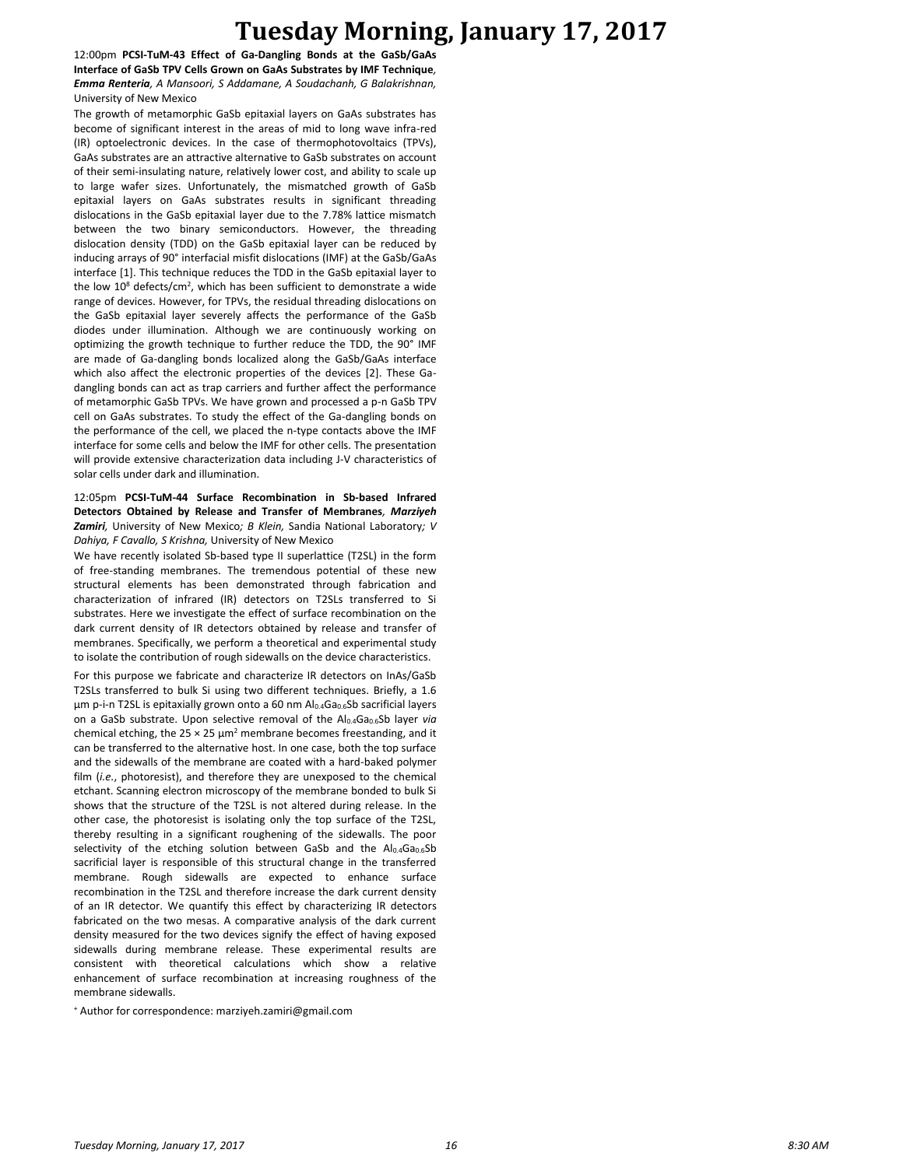## **Tuesday Morning, January 17, 2017**

12:00pm **PCSI-TuM-43 Effect of Ga-Dangling Bonds at the GaSb/GaAs Interface of GaSb TPV Cells Grown on GaAs Substrates by IMF Technique***, Emma Renteria, A Mansoori, S Addamane, A Soudachanh, G Balakrishnan,*  University of New Mexico

The growth of metamorphic GaSb epitaxial layers on GaAs substrates has become of significant interest in the areas of mid to long wave infra-red (IR) optoelectronic devices. In the case of thermophotovoltaics (TPVs), GaAs substrates are an attractive alternative to GaSb substrates on account of their semi-insulating nature, relatively lower cost, and ability to scale up to large wafer sizes. Unfortunately, the mismatched growth of GaSb epitaxial layers on GaAs substrates results in significant threading dislocations in the GaSb epitaxial layer due to the 7.78% lattice mismatch between the two binary semiconductors. However, the threading dislocation density (TDD) on the GaSb epitaxial layer can be reduced by inducing arrays of 90° interfacial misfit dislocations (IMF) at the GaSb/GaAs interface [1]. This technique reduces the TDD in the GaSb epitaxial layer to the low  $10^8$  defects/cm<sup>2</sup>, which has been sufficient to demonstrate a wide range of devices. However, for TPVs, the residual threading dislocations on the GaSb epitaxial layer severely affects the performance of the GaSb diodes under illumination. Although we are continuously working on optimizing the growth technique to further reduce the TDD, the 90° IMF are made of Ga-dangling bonds localized along the GaSb/GaAs interface which also affect the electronic properties of the devices [2]. These Gadangling bonds can act as trap carriers and further affect the performance of metamorphic GaSb TPVs. We have grown and processed a p-n GaSb TPV cell on GaAs substrates. To study the effect of the Ga-dangling bonds on the performance of the cell, we placed the n-type contacts above the IMF interface for some cells and below the IMF for other cells. The presentation will provide extensive characterization data including J-V characteristics of solar cells under dark and illumination.

12:05pm **PCSI-TuM-44 Surface Recombination in Sb-based Infrared Detectors Obtained by Release and Transfer of Membranes***, Marziyeh Zamiri,* University of New Mexico*; B Klein,* Sandia National Laboratory*; V Dahiya, F Cavallo, S Krishna,* University of New Mexico

We have recently isolated Sb-based type II superlattice (T2SL) in the form of free-standing membranes. The tremendous potential of these new structural elements has been demonstrated through fabrication and characterization of infrared (IR) detectors on T2SLs transferred to Si substrates. Here we investigate the effect of surface recombination on the dark current density of IR detectors obtained by release and transfer of membranes. Specifically, we perform a theoretical and experimental study to isolate the contribution of rough sidewalls on the device characteristics.

For this purpose we fabricate and characterize IR detectors on InAs/GaSb T2SLs transferred to bulk Si using two different techniques. Briefly, a 1.6 μm p-i-n T2SL is epitaxially grown onto a 60 nm Al0.4Ga0.6Sb sacrificial layers on a GaSb substrate. Upon selective removal of the Al<sub>0.4</sub>Ga<sub>0.6</sub>Sb layer *via* chemical etching, the 25  $\times$  25  $\mu$ m<sup>2</sup> membrane becomes freestanding, and it can be transferred to the alternative host. In one case, both the top surface and the sidewalls of the membrane are coated with a hard-baked polymer film (*i.e.*, photoresist), and therefore they are unexposed to the chemical etchant. Scanning electron microscopy of the membrane bonded to bulk Si shows that the structure of the T2SL is not altered during release. In the other case, the photoresist is isolating only the top surface of the T2SL, thereby resulting in a significant roughening of the sidewalls. The poor selectivity of the etching solution between GaSb and the  $Al<sub>0.4</sub>Ga<sub>0.6</sub>Sb$ sacrificial layer is responsible of this structural change in the transferred membrane. Rough sidewalls are expected to enhance surface recombination in the T2SL and therefore increase the dark current density of an IR detector. We quantify this effect by characterizing IR detectors fabricated on the two mesas. A comparative analysis of the dark current density measured for the two devices signify the effect of having exposed sidewalls during membrane release. These experimental results are consistent with theoretical calculations which show a relative enhancement of surface recombination at increasing roughness of the membrane sidewalls.

<sup>+</sup> Author for correspondence: marziyeh.zamiri@gmail.com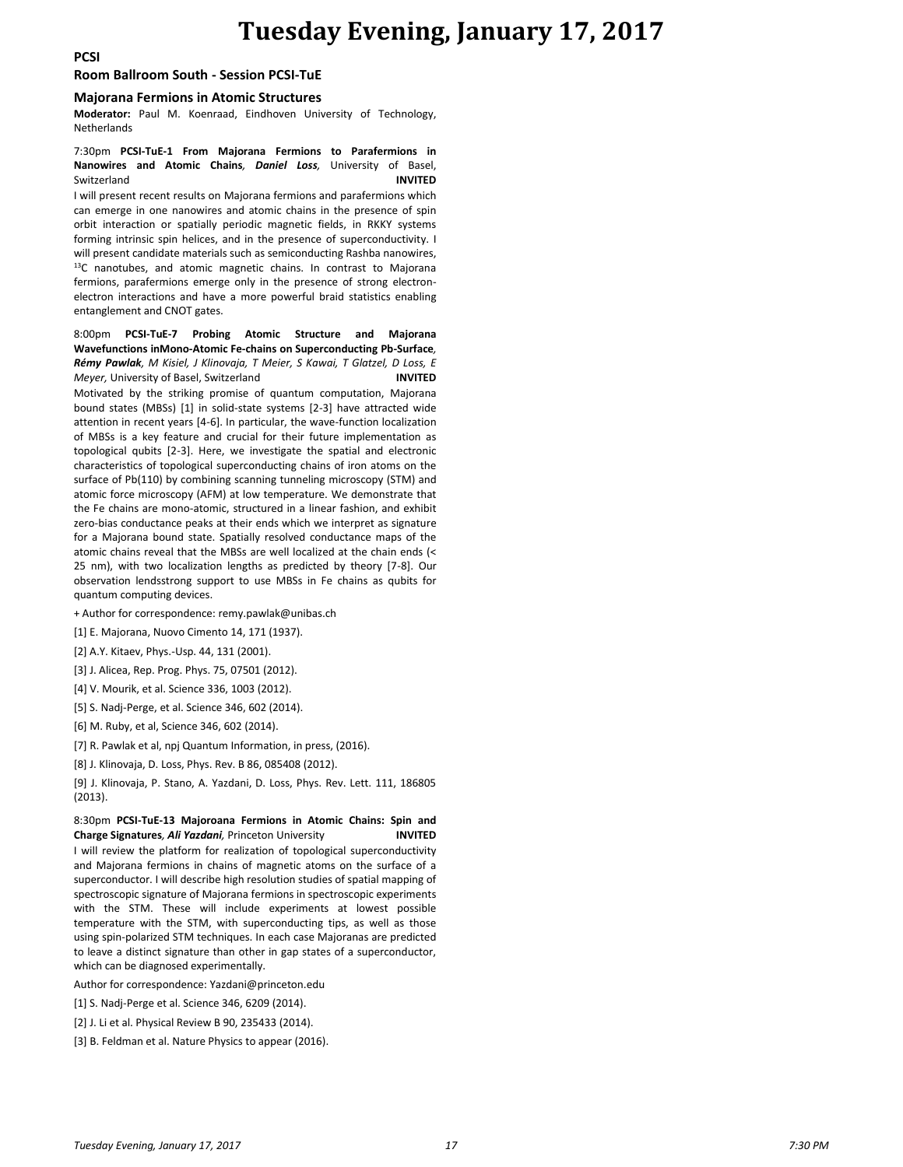**PCSI**

#### **Room Ballroom South - Session PCSI-TuE**

#### **Majorana Fermions in Atomic Structures**

**Moderator:** Paul M. Koenraad, Eindhoven University of Technology, Netherlands

#### 7:30pm **PCSI-TuE-1 From Majorana Fermions to Parafermions in Nanowires and Atomic Chains***, Daniel Loss,* University of Basel, Switzerland **INVITED**

I will present recent results on Majorana fermions and parafermions which can emerge in one nanowires and atomic chains in the presence of spin orbit interaction or spatially periodic magnetic fields, in RKKY systems forming intrinsic spin helices, and in the presence of superconductivity. I will present candidate materials such as semiconducting Rashba nanowires, <sup>13</sup>C nanotubes, and atomic magnetic chains. In contrast to Majorana fermions, parafermions emerge only in the presence of strong electronelectron interactions and have a more powerful braid statistics enabling entanglement and CNOT gates.

8:00pm **PCSI-TuE-7 Probing Atomic Structure and Majorana Wavefunctions inMono-Atomic Fe-chains on Superconducting Pb-Surface***, Rémy Pawlak, M Kisiel, J Klinovaja, T Meier, S Kawai, T Glatzel, D Loss, E Meyer*, University of Basel, Switzerland **INVITED** 

Motivated by the striking promise of quantum computation, Majorana bound states (MBSs) [1] in solid-state systems [2-3] have attracted wide attention in recent years [4-6]. In particular, the wave-function localization of MBSs is a key feature and crucial for their future implementation as topological qubits [2-3]. Here, we investigate the spatial and electronic characteristics of topological superconducting chains of iron atoms on the surface of Pb(110) by combining scanning tunneling microscopy (STM) and atomic force microscopy (AFM) at low temperature. We demonstrate that the Fe chains are mono-atomic, structured in a linear fashion, and exhibit zero-bias conductance peaks at their ends which we interpret as signature for a Majorana bound state. Spatially resolved conductance maps of the atomic chains reveal that the MBSs are well localized at the chain ends (< 25 nm), with two localization lengths as predicted by theory [7-8]. Our observation lendsstrong support to use MBSs in Fe chains as qubits for quantum computing devices.

+ Author for correspondence: remy.pawlak@unibas.ch

[1] E. Majorana, Nuovo Cimento 14, 171 (1937).

[2] A.Y. Kitaev, Phys.-Usp. 44, 131 (2001).

[3] J. Alicea, Rep. Prog. Phys. 75, 07501 (2012).

[4] V. Mourik, et al. Science 336, 1003 (2012).

[5] S. Nadj-Perge, et al. Science 346, 602 (2014).

[6] M. Ruby, et al, Science 346, 602 (2014).

[7] R. Pawlak et al, npj Quantum Information, in press, (2016).

[8] J. Klinovaja, D. Loss, Phys. Rev. B 86, 085408 (2012).

[9] J. Klinovaja, P. Stano, A. Yazdani, D. Loss, Phys. Rev. Lett. 111, 186805 (2013).

#### 8:30pm **PCSI-TuE-13 Majoroana Fermions in Atomic Chains: Spin and Charge Signatures***, Ali Yazdani,* Princeton University **INVITED**

I will review the platform for realization of topological superconductivity and Majorana fermions in chains of magnetic atoms on the surface of a superconductor. I will describe high resolution studies of spatial mapping of spectroscopic signature of Majorana fermions in spectroscopic experiments with the STM. These will include experiments at lowest possible temperature with the STM, with superconducting tips, as well as those using spin-polarized STM techniques. In each case Majoranas are predicted to leave a distinct signature than other in gap states of a superconductor, which can be diagnosed experimentally.

Author for correspondence: Yazdani@princeton.edu

[1] S. Nadj-Perge et al. Science 346, 6209 (2014).

[2] J. Li et al. Physical Review B 90, 235433 (2014).

[3] B. Feldman et al. Nature Physics to appear (2016).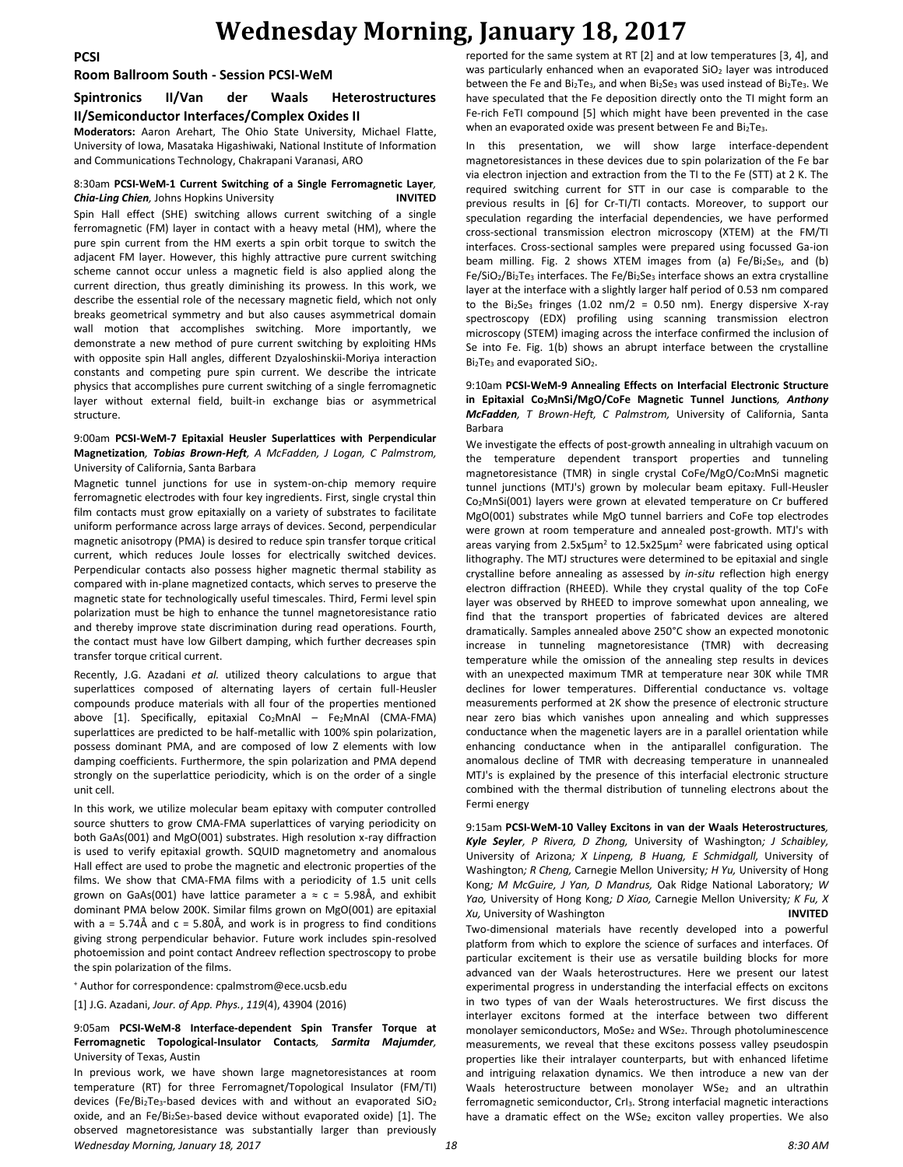## **Room Ballroom South - Session PCSI-WeM**

### **Spintronics II/Van der Waals Heterostructures II/Semiconductor Interfaces/Complex Oxides II**

**Moderators:** Aaron Arehart, The Ohio State University, Michael Flatte, University of Iowa, Masataka Higashiwaki, National Institute of Information and Communications Technology, Chakrapani Varanasi, ARO

### 8:30am **PCSI-WeM-1 Current Switching of a Single Ferromagnetic Layer***, Chia-Ling Chien,* Johns Hopkins University **INVITED**

Spin Hall effect (SHE) switching allows current switching of a single ferromagnetic (FM) layer in contact with a heavy metal (HM), where the pure spin current from the HM exerts a spin orbit torque to switch the adjacent FM layer. However, this highly attractive pure current switching scheme cannot occur unless a magnetic field is also applied along the current direction, thus greatly diminishing its prowess. In this work, we describe the essential role of the necessary magnetic field, which not only breaks geometrical symmetry and but also causes asymmetrical domain wall motion that accomplishes switching. More importantly, we demonstrate a new method of pure current switching by exploiting HMs with opposite spin Hall angles, different Dzyaloshinskii-Moriya interaction constants and competing pure spin current. We describe the intricate physics that accomplishes pure current switching of a single ferromagnetic layer without external field, built-in exchange bias or asymmetrical structure.

#### 9:00am **PCSI-WeM-7 Epitaxial Heusler Superlattices with Perpendicular Magnetization***, Tobias Brown-Heft, A McFadden, J Logan, C Palmstrom,*  University of California, Santa Barbara

Magnetic tunnel junctions for use in system-on-chip memory require ferromagnetic electrodes with four key ingredients. First, single crystal thin film contacts must grow epitaxially on a variety of substrates to facilitate uniform performance across large arrays of devices. Second, perpendicular magnetic anisotropy (PMA) is desired to reduce spin transfer torque critical current, which reduces Joule losses for electrically switched devices. Perpendicular contacts also possess higher magnetic thermal stability as compared with in-plane magnetized contacts, which serves to preserve the magnetic state for technologically useful timescales. Third, Fermi level spin polarization must be high to enhance the tunnel magnetoresistance ratio and thereby improve state discrimination during read operations. Fourth, the contact must have low Gilbert damping, which further decreases spin transfer torque critical current.

Recently, J.G. Azadani *et al.* utilized theory calculations to argue that superlattices composed of alternating layers of certain full-Heusler compounds produce materials with all four of the properties mentioned above [1]. Specifically, epitaxial  $Co<sub>2</sub>MnAl - Fe<sub>2</sub>MnAl$  (CMA-FMA) superlattices are predicted to be half-metallic with 100% spin polarization, possess dominant PMA, and are composed of low Z elements with low damping coefficients. Furthermore, the spin polarization and PMA depend strongly on the superlattice periodicity, which is on the order of a single unit cell.

In this work, we utilize molecular beam epitaxy with computer controlled source shutters to grow CMA-FMA superlattices of varying periodicity on both GaAs(001) and MgO(001) substrates. High resolution x-ray diffraction is used to verify epitaxial growth. SQUID magnetometry and anomalous Hall effect are used to probe the magnetic and electronic properties of the films. We show that CMA-FMA films with a periodicity of 1.5 unit cells grown on GaAs(001) have lattice parameter a  $\approx$  c = 5.98Å, and exhibit dominant PMA below 200K. Similar films grown on MgO(001) are epitaxial with  $a = 5.74$ Å and  $c = 5.80$ Å, and work is in progress to find conditions giving strong perpendicular behavior. Future work includes spin-resolved photoemission and point contact Andreev reflection spectroscopy to probe the spin polarization of the films.

<sup>+</sup> Author for correspondence: cpalmstrom@ece.ucsb.edu

[1] J.G. Azadani, *Jour. of App. Phys.*, *119*(4), 43904 (2016)

#### 9:05am **PCSI-WeM-8 Interface-dependent Spin Transfer Torque at Ferromagnetic Topological-Insulator Contacts***, Sarmita Majumder,*  University of Texas, Austin

*Wednesday Morning, January 18, 2017 18 8:30 AM* In previous work, we have shown large magnetoresistances at room temperature (RT) for three Ferromagnet/Topological Insulator (FM/TI) devices (Fe/Bi<sub>2</sub>Te<sub>3</sub>-based devices with and without an evaporated  $SiO<sub>2</sub>$ oxide, and an Fe/Bi2Se3-based device without evaporated oxide) [1]. The observed magnetoresistance was substantially larger than previously

reported for the same system at RT [2] and at low temperatures [3, 4], and was particularly enhanced when an evaporated SiO<sub>2</sub> layer was introduced between the Fe and Bi<sub>2</sub>Te<sub>3</sub>, and when Bi<sub>2</sub>Se<sub>3</sub> was used instead of Bi<sub>2</sub>Te<sub>3</sub>. We have speculated that the Fe deposition directly onto the TI might form an Fe-rich FeTI compound [5] which might have been prevented in the case when an evaporated oxide was present between Fe and  $Bi<sub>2</sub>Te<sub>3</sub>$ .

In this presentation, we will show large interface-dependent magnetoresistances in these devices due to spin polarization of the Fe bar via electron injection and extraction from the TI to the Fe (STT) at 2 K. The required switching current for STT in our case is comparable to the previous results in [6] for Cr-TI/TI contacts. Moreover, to support our speculation regarding the interfacial dependencies, we have performed cross-sectional transmission electron microscopy (XTEM) at the FM/TI interfaces. Cross-sectional samples were prepared using focussed Ga-ion beam milling. Fig. 2 shows XTEM images from (a) Fe/Bi2Se<sub>3</sub>, and (b) Fe/SiO<sub>2</sub>/Bi<sub>2</sub>Te<sub>3</sub> interfaces. The Fe/Bi<sub>2</sub>Se<sub>3</sub> interface shows an extra crystalline layer at the interface with a slightly larger half period of 0.53 nm compared to the Bi<sub>2</sub>Se<sub>3</sub> fringes (1.02 nm/2 = 0.50 nm). Energy dispersive X-ray spectroscopy (EDX) profiling using scanning transmission electron microscopy (STEM) imaging across the interface confirmed the inclusion of Se into Fe. Fig. 1(b) shows an abrupt interface between the crystalline Bi<sub>2</sub>Te<sub>3</sub> and evaporated SiO<sub>2</sub>.

#### 9:10am **PCSI-WeM-9 Annealing Effects on Interfacial Electronic Structure in Epitaxial Co2MnSi/MgO/CoFe Magnetic Tunnel Junctions***, Anthony McFadden, T Brown-Heft, C Palmstrom,* University of California, Santa Barbara

We investigate the effects of post-growth annealing in ultrahigh vacuum on the temperature dependent transport properties and tunneling magnetoresistance (TMR) in single crystal CoFe/MgO/Co2MnSi magnetic tunnel junctions (MTJ's) grown by molecular beam epitaxy. Full-Heusler Co2MnSi(001) layers were grown at elevated temperature on Cr buffered MgO(001) substrates while MgO tunnel barriers and CoFe top electrodes were grown at room temperature and annealed post-growth. MTJ's with areas varying from 2.5x5µm<sup>2</sup> to 12.5x25µm<sup>2</sup> were fabricated using optical lithography. The MTJ structures were determined to be epitaxial and single crystalline before annealing as assessed by *in-situ* reflection high energy electron diffraction (RHEED). While they crystal quality of the top CoFe layer was observed by RHEED to improve somewhat upon annealing, we find that the transport properties of fabricated devices are altered dramatically. Samples annealed above 250°C show an expected monotonic increase in tunneling magnetoresistance (TMR) with decreasing temperature while the omission of the annealing step results in devices with an unexpected maximum TMR at temperature near 30K while TMR declines for lower temperatures. Differential conductance vs. voltage measurements performed at 2K show the presence of electronic structure near zero bias which vanishes upon annealing and which suppresses conductance when the magenetic layers are in a parallel orientation while enhancing conductance when in the antiparallel configuration. The anomalous decline of TMR with decreasing temperature in unannealed MTJ's is explained by the presence of this interfacial electronic structure combined with the thermal distribution of tunneling electrons about the Fermi energy

9:15am **PCSI-WeM-10 Valley Excitons in van der Waals Heterostructures***, Kyle Seyler, P Rivera, D Zhong,* University of Washington*; J Schaibley,*  University of Arizona*; X Linpeng, B Huang, E Schmidgall,* University of Washington*; R Cheng,* Carnegie Mellon University*; H Yu,* University of Hong Kong*; M McGuire, J Yan, D Mandrus,* Oak Ridge National Laboratory*; W Yao,* University of Hong Kong*; D Xiao,* Carnegie Mellon University*; K Fu, X Xu,* University of Washington **INVITED**

Two-dimensional materials have recently developed into a powerful platform from which to explore the science of surfaces and interfaces. Of particular excitement is their use as versatile building blocks for more advanced van der Waals heterostructures. Here we present our latest experimental progress in understanding the interfacial effects on excitons in two types of van der Waals heterostructures. We first discuss the interlayer excitons formed at the interface between two different monolayer semiconductors, MoSe<sub>2</sub> and WSe<sub>2</sub>. Through photoluminescence measurements, we reveal that these excitons possess valley pseudospin properties like their intralayer counterparts, but with enhanced lifetime and intriguing relaxation dynamics. We then introduce a new van der Waals heterostructure between monolayer WSe<sub>2</sub> and an ultrathin ferromagnetic semiconductor, CrI<sub>3</sub>. Strong interfacial magnetic interactions have a dramatic effect on the WSe<sub>2</sub> exciton valley properties. We also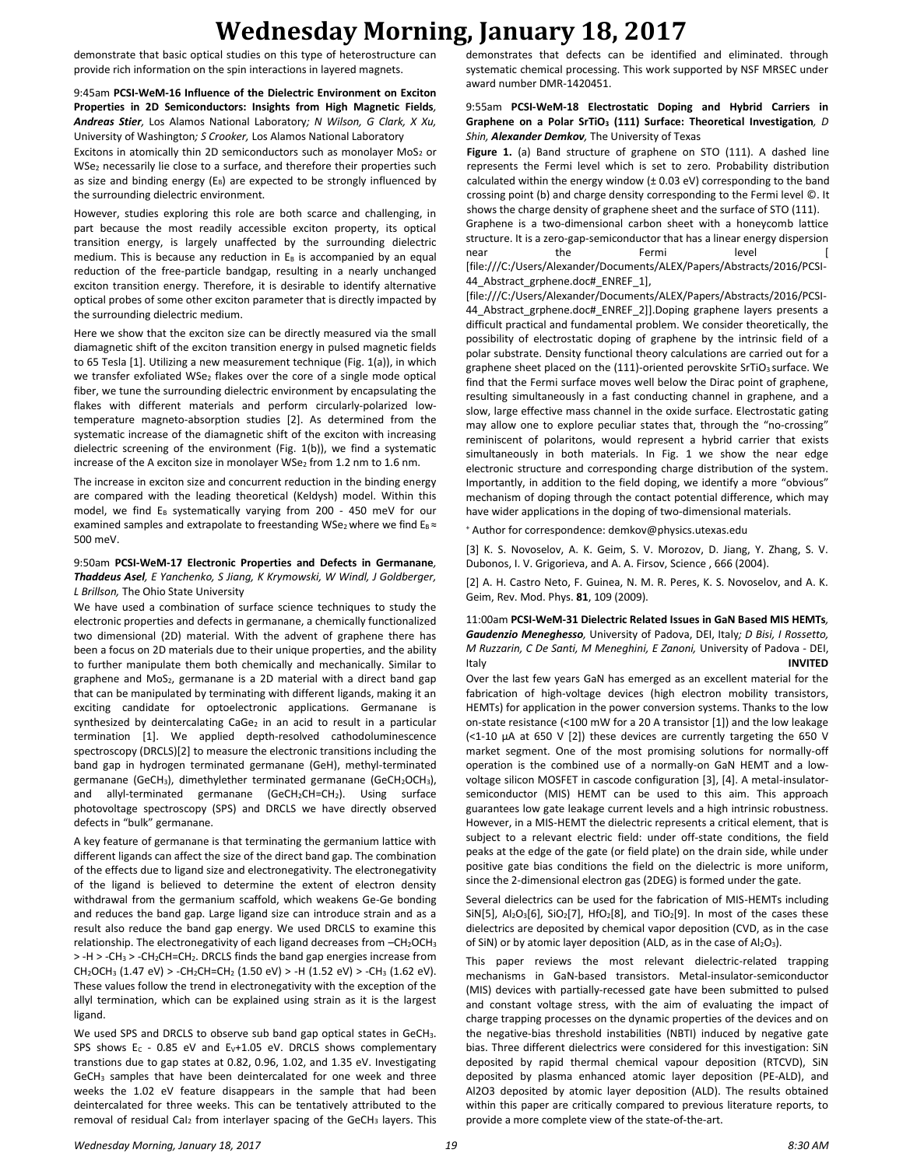demonstrate that basic optical studies on this type of heterostructure can provide rich information on the spin interactions in layered magnets.

9:45am **PCSI-WeM-16 Influence of the Dielectric Environment on Exciton Properties in 2D Semiconductors: Insights from High Magnetic Fields***, Andreas Stier,* Los Alamos National Laboratory*; N Wilson, G Clark, X Xu,*  University of Washington*; S Crooker,* Los Alamos National Laboratory

Excitons in atomically thin 2D semiconductors such as monolayer  $MoS<sub>2</sub>$  or WSe<sup>2</sup> necessarily lie close to a surface, and therefore their properties such as size and binding energy ( $E_B$ ) are expected to be strongly influenced by the surrounding dielectric environment.

However, studies exploring this role are both scarce and challenging, in part because the most readily accessible exciton property, its optical transition energy, is largely unaffected by the surrounding dielectric medium. This is because any reduction in  $E_B$  is accompanied by an equal reduction of the free-particle bandgap, resulting in a nearly unchanged exciton transition energy. Therefore, it is desirable to identify alternative optical probes of some other exciton parameter that is directly impacted by the surrounding dielectric medium.

Here we show that the exciton size can be directly measured via the small diamagnetic shift of the exciton transition energy in pulsed magnetic fields to 65 Tesla [1]. Utilizing a new measurement technique (Fig. 1(a)), in which we transfer exfoliated WSe<sub>2</sub> flakes over the core of a single mode optical fiber, we tune the surrounding dielectric environment by encapsulating the flakes with different materials and perform circularly-polarized lowtemperature magneto-absorption studies [2]. As determined from the systematic increase of the diamagnetic shift of the exciton with increasing dielectric screening of the environment (Fig. 1(b)), we find a systematic increase of the A exciton size in monolayer WSe<sub>2</sub> from 1.2 nm to 1.6 nm.

The increase in exciton size and concurrent reduction in the binding energy are compared with the leading theoretical (Keldysh) model. Within this model, we find  $E_B$  systematically varying from 200 - 450 meV for our examined samples and extrapolate to freestanding WSe<sub>2</sub> where we find  $E_B \approx$ 500 meV.

#### 9:50am **PCSI-WeM-17 Electronic Properties and Defects in Germanane***, Thaddeus Asel, E Yanchenko, S Jiang, K Krymowski, W Windl, J Goldberger, L Brillson,* The Ohio State University

We have used a combination of surface science techniques to study the electronic properties and defects in germanane, a chemically functionalized two dimensional (2D) material. With the advent of graphene there has been a focus on 2D materials due to their unique properties, and the ability to further manipulate them both chemically and mechanically. Similar to graphene and MoS<sub>2</sub>, germanane is a 2D material with a direct band gap that can be manipulated by terminating with different ligands, making it an exciting candidate for optoelectronic applications. Germanane is synthesized by deintercalating CaGe<sub>2</sub> in an acid to result in a particular termination [1]. We applied depth-resolved cathodoluminescence spectroscopy (DRCLS)[2] to measure the electronic transitions including the band gap in hydrogen terminated germanane (GeH), methyl-terminated germanane (GeCH<sub>3</sub>), dimethylether terminated germanane (GeCH<sub>2</sub>OCH<sub>3</sub>), and allyl-terminated germanane (GeCH<sub>2</sub>CH=CH<sub>2</sub>). Using surface photovoltage spectroscopy (SPS) and DRCLS we have directly observed defects in "bulk" germanane.

A key feature of germanane is that terminating the germanium lattice with different ligands can affect the size of the direct band gap. The combination of the effects due to ligand size and electronegativity. The electronegativity of the ligand is believed to determine the extent of electron density withdrawal from the germanium scaffold, which weakens Ge-Ge bonding and reduces the band gap. Large ligand size can introduce strain and as a result also reduce the band gap energy. We used DRCLS to examine this relationship. The electronegativity of each ligand decreases from -CH<sub>2</sub>OCH<sub>3</sub> > -H > -CH<sup>3</sup> > -CH2CH=CH2. DRCLS finds the band gap energies increase from CH<sub>2</sub>OCH<sub>3</sub> (1.47 eV) > -CH<sub>2</sub>CH=CH<sub>2</sub> (1.50 eV) > -H (1.52 eV) > -CH<sub>3</sub> (1.62 eV). These values follow the trend in electronegativity with the exception of the allyl termination, which can be explained using strain as it is the largest ligand.

We used SPS and DRCLS to observe sub band gap optical states in GeCH3. SPS shows  $E_c$  - 0.85 eV and  $E_v+1.05$  eV. DRCLS shows complementary transtions due to gap states at 0.82, 0.96, 1.02, and 1.35 eV. Investigating GeCH<sup>3</sup> samples that have been deintercalated for one week and three weeks the 1.02 eV feature disappears in the sample that had been deintercalated for three weeks. This can be tentatively attributed to the removal of residual CaI<sub>2</sub> from interlayer spacing of the GeCH<sub>3</sub> layers. This demonstrates that defects can be identified and eliminated. through systematic chemical processing. This work supported by NSF MRSEC under award number DMR-1420451.

### 9:55am **PCSI-WeM-18 Electrostatic Doping and Hybrid Carriers in Graphene on a Polar SrTiO<sup>3</sup> (111) Surface: Theoretical Investigation***, D Shin, Alexander Demkov,* The University of Texas

Figure 1. (a) Band structure of graphene on STO (111). A dashed line represents the Fermi level which is set to zero. Probability distribution calculated within the energy window (± 0.03 eV) corresponding to the band crossing point (b) and charge density corresponding to the Fermi level ©. It shows the charge density of graphene sheet and the surface of STO (111).

Graphene is a two-dimensional carbon sheet with a honeycomb lattice structure. It is a zero-gap-semiconductor that has a linear energy dispersion near the Fermi level [ [file:///C:/Users/Alexander/Documents/ALEX/Papers/Abstracts/2016/PCSI-44 Abstract grphene.doc# ENREF\_1],

[file:///C:/Users/Alexander/Documents/ALEX/Papers/Abstracts/2016/PCSI-44\_Abstract\_grphene.doc#\_ENREF\_2]].Doping graphene layers presents a difficult practical and fundamental problem. We consider theoretically, the possibility of electrostatic doping of graphene by the intrinsic field of a polar substrate. Density functional theory calculations are carried out for a graphene sheet placed on the  $(111)$ -oriented perovskite SrTiO<sub>3</sub> surface. We find that the Fermi surface moves well below the Dirac point of graphene, resulting simultaneously in a fast conducting channel in graphene, and a slow, large effective mass channel in the oxide surface. Electrostatic gating may allow one to explore peculiar states that, through the "no-crossing" reminiscent of polaritons, would represent a hybrid carrier that exists simultaneously in both materials. In Fig. 1 we show the near edge electronic structure and corresponding charge distribution of the system. Importantly, in addition to the field doping, we identify a more "obvious" mechanism of doping through the contact potential difference, which may have wider applications in the doping of two-dimensional materials.

<sup>+</sup> Author for correspondence: demkov@physics.utexas.edu

[3] K. S. Novoselov, A. K. Geim, S. V. Morozov, D. Jiang, Y. Zhang, S. V. Dubonos, I. V. Grigorieva, and A. A. Firsov, Science , 666 (2004).

[2] A. H. Castro Neto, F. Guinea, N. M. R. Peres, K. S. Novoselov, and A. K. Geim, Rev. Mod. Phys. **81**, 109 (2009).

11:00am **PCSI-WeM-31 Dielectric Related Issues in GaN Based MIS HEMTs***, Gaudenzio Meneghesso,* University of Padova, DEI, Italy*; D Bisi, I Rossetto, M Ruzzarin, C De Santi, M Meneghini, E Zanoni,* University of Padova - DEI, Italy **INVITED**

Over the last few years GaN has emerged as an excellent material for the fabrication of high-voltage devices (high electron mobility transistors, HEMTs) for application in the power conversion systems. Thanks to the low on-state resistance (<100 mW for a 20 A transistor [1]) and the low leakage  $($  <1-10  $\mu$ A at 650 V [2]) these devices are currently targeting the 650 V market segment. One of the most promising solutions for normally-off operation is the combined use of a normally-on GaN HEMT and a lowvoltage silicon MOSFET in cascode configuration [3], [4]. A metal-insulatorsemiconductor (MIS) HEMT can be used to this aim. This approach guarantees low gate leakage current levels and a high intrinsic robustness. However, in a MIS-HEMT the dielectric represents a critical element, that is subject to a relevant electric field: under off-state conditions, the field peaks at the edge of the gate (or field plate) on the drain side, while under positive gate bias conditions the field on the dielectric is more uniform, since the 2-dimensional electron gas (2DEG) is formed under the gate.

Several dielectrics can be used for the fabrication of MIS-HEMTs including SiN[5],  $Al_2O_3[6]$ , SiO<sub>2</sub>[7], HfO<sub>2</sub>[8], and TiO<sub>2</sub>[9]. In most of the cases these dielectrics are deposited by chemical vapor deposition (CVD, as in the case of SiN) or by atomic layer deposition (ALD, as in the case of  $Al_2O_3$ ).

This paper reviews the most relevant dielectric-related trapping mechanisms in GaN-based transistors. Metal-insulator-semiconductor (MIS) devices with partially-recessed gate have been submitted to pulsed and constant voltage stress, with the aim of evaluating the impact of charge trapping processes on the dynamic properties of the devices and on the negative-bias threshold instabilities (NBTI) induced by negative gate bias. Three different dielectrics were considered for this investigation: SiN deposited by rapid thermal chemical vapour deposition (RTCVD), SiN deposited by plasma enhanced atomic layer deposition (PE-ALD), and Al2O3 deposited by atomic layer deposition (ALD). The results obtained within this paper are critically compared to previous literature reports, to provide a more complete view of the state-of-the-art.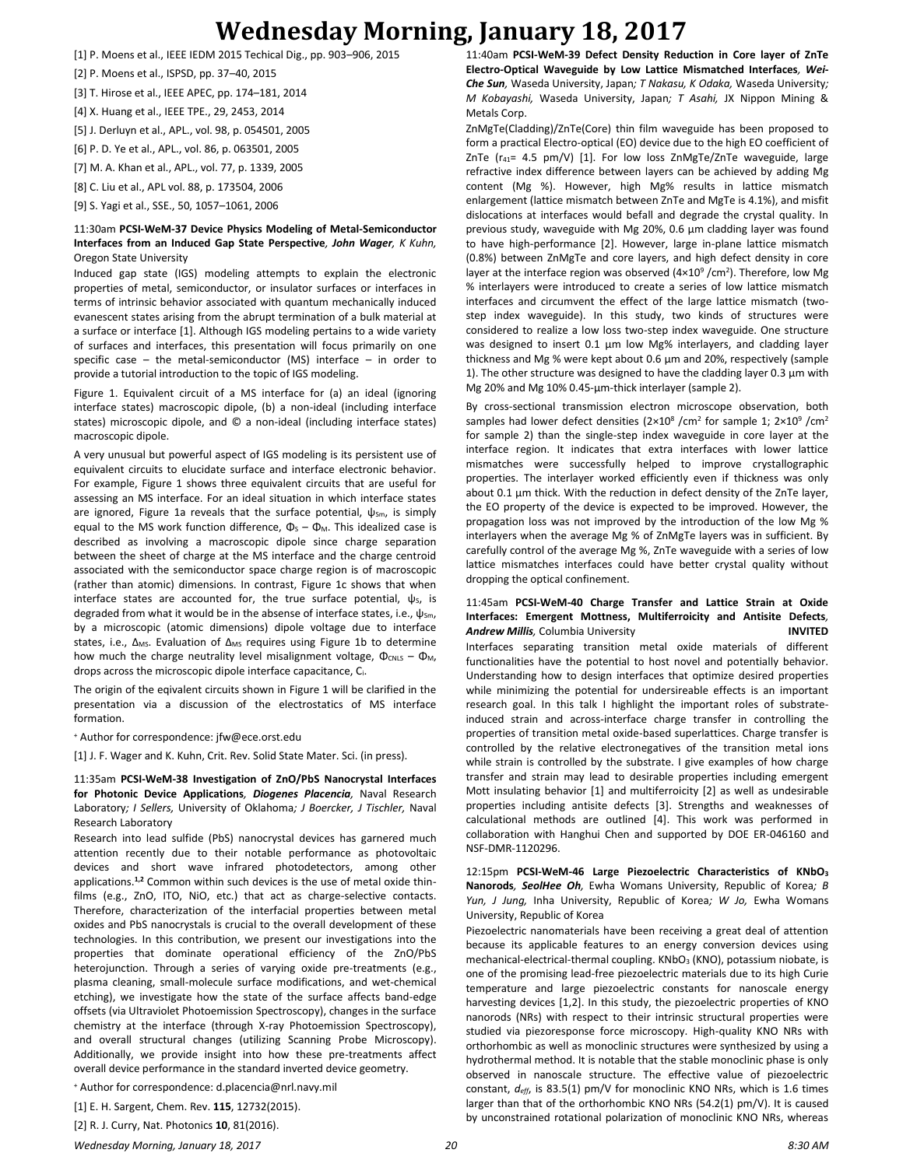- [1] P. Moens et al., IEEE IEDM 2015 Techical Dig., pp. 903–906, 2015
- [2] P. Moens et al., ISPSD, pp. 37–40, 2015
- [3] T. Hirose et al., IEEE APEC, pp. 174–181, 2014
- [4] X. Huang et al., IEEE TPE., 29, 2453, 2014
- [5] J. Derluyn et al., APL., vol. 98, p. 054501, 2005
- [6] P. D. Ye et al., APL., vol. 86, p. 063501, 2005
- [7] M. A. Khan et al., APL., vol. 77, p. 1339, 2005
- [8] C. Liu et al., APL vol. 88, p. 173504, 2006
- [9] S. Yagi et al., SSE., 50, 1057–1061, 2006

#### 11:30am **PCSI-WeM-37 Device Physics Modeling of Metal-Semiconductor Interfaces from an Induced Gap State Perspective***, John Wager, K Kuhn,*  Oregon State University

Induced gap state (IGS) modeling attempts to explain the electronic properties of metal, semiconductor, or insulator surfaces or interfaces in terms of intrinsic behavior associated with quantum mechanically induced evanescent states arising from the abrupt termination of a bulk material at a surface or interface [1]. Although IGS modeling pertains to a wide variety of surfaces and interfaces, this presentation will focus primarily on one specific case – the metal-semiconductor (MS) interface – in order to provide a tutorial introduction to the topic of IGS modeling.

Figure 1. Equivalent circuit of a MS interface for (a) an ideal (ignoring interface states) macroscopic dipole, (b) a non-ideal (including interface states) microscopic dipole, and © a non-ideal (including interface states) macroscopic dipole.

A very unusual but powerful aspect of IGS modeling is its persistent use of equivalent circuits to elucidate surface and interface electronic behavior. For example, Figure 1 shows three equivalent circuits that are useful for assessing an MS interface. For an ideal situation in which interface states are ignored, Figure 1a reveals that the surface potential,  $\psi_{\text{Sm}}$ , is simply equal to the MS work function difference,  $\Phi_{\rm S} - \Phi_{\rm M}$ . This idealized case is described as involving a macroscopic dipole since charge separation between the sheet of charge at the MS interface and the charge centroid associated with the semiconductor space charge region is of macroscopic (rather than atomic) dimensions. In contrast, Figure 1c shows that when interface states are accounted for, the true surface potential,  $\psi$ <sub>s</sub>, is degraded from what it would be in the absense of interface states, i.e.,  $\psi_{\text{Sm}}$ , by a microscopic (atomic dimensions) dipole voltage due to interface states, i.e., Δ<sub>MS</sub>. Evaluation of Δ<sub>MS</sub> requires using Figure 1b to determine how much the charge neutrality level misalignment voltage,  $\Phi_{CNLS} - \Phi_{M}$ , drops across the microscopic dipole interface capacitance, Ci.

The origin of the eqivalent circuits shown in Figure 1 will be clarified in the presentation via a discussion of the electrostatics of MS interface formation.

<sup>+</sup> Author for correspondence: jfw@ece.orst.edu

[1] J. F. Wager and K. Kuhn, Crit. Rev. Solid State Mater. Sci. (in press).

11:35am **PCSI-WeM-38 Investigation of ZnO/PbS Nanocrystal Interfaces for Photonic Device Applications***, Diogenes Placencia,* Naval Research Laboratory*; I Sellers,* University of Oklahoma*; J Boercker, J Tischler,* Naval Research Laboratory

Research into lead sulfide (PbS) nanocrystal devices has garnered much attention recently due to their notable performance as photovoltaic devices and short wave infrared photodetectors, among other applications.**1,2** Common within such devices is the use of metal oxide thinfilms (e.g., ZnO, ITO, NiO, etc.) that act as charge-selective contacts. Therefore, characterization of the interfacial properties between metal oxides and PbS nanocrystals is crucial to the overall development of these technologies. In this contribution, we present our investigations into the properties that dominate operational efficiency of the ZnO/PbS heterojunction. Through a series of varying oxide pre-treatments (e.g., plasma cleaning, small-molecule surface modifications, and wet-chemical etching), we investigate how the state of the surface affects band-edge offsets (via Ultraviolet Photoemission Spectroscopy), changes in the surface chemistry at the interface (through X-ray Photoemission Spectroscopy), and overall structural changes (utilizing Scanning Probe Microscopy). Additionally, we provide insight into how these pre-treatments affect overall device performance in the standard inverted device geometry.

<sup>+</sup> Author for correspondence: d.placencia@nrl.navy.mil

[1] E. H. Sargent, Chem. Rev. **115**, 12732(2015).

[2] R. J. Curry, Nat. Photonics **10**, 81(2016).

11:40am **PCSI-WeM-39 Defect Density Reduction in Core layer of ZnTe Electro-Optical Waveguide by Low Lattice Mismatched Interfaces***, Wei-Che Sun,* Waseda University, Japan*; T Nakasu, K Odaka,* Waseda University*; M Kobayashi,* Waseda University, Japan*; T Asahi,* JX Nippon Mining & Metals Corp.

ZnMgTe(Cladding)/ZnTe(Core) thin film waveguide has been proposed to form a practical Electro-optical (EO) device due to the high EO coefficient of ZnTe  $(r_{41} = 4.5 \text{ pm/V})$  [1]. For low loss ZnMgTe/ZnTe waveguide, large refractive index difference between layers can be achieved by adding Mg content (Mg %). However, high Mg% results in lattice mismatch enlargement (lattice mismatch between ZnTe and MgTe is 4.1%), and misfit dislocations at interfaces would befall and degrade the crystal quality. In previous study, waveguide with Mg 20%, 0.6 µm cladding layer was found to have high-performance [2]. However, large in-plane lattice mismatch (0.8%) between ZnMgTe and core layers, and high defect density in core layer at the interface region was observed  $(4\times10^9$  /cm<sup>2</sup>). Therefore, low Mg % interlayers were introduced to create a series of low lattice mismatch interfaces and circumvent the effect of the large lattice mismatch (twostep index waveguide). In this study, two kinds of structures were considered to realize a low loss two-step index waveguide. One structure was designed to insert 0.1 µm low Mg% interlayers, and cladding layer thickness and Mg % were kept about 0.6 µm and 20%, respectively (sample 1). The other structure was designed to have the cladding layer 0.3 µm with Mg 20% and Mg 10% 0.45-µm-thick interlayer (sample 2).

By cross-sectional transmission electron microscope observation, both samples had lower defect densities ( $2\times10^8$  /cm<sup>2</sup> for sample 1;  $2\times10^9$  /cm<sup>2</sup> for sample 2) than the single-step index waveguide in core layer at the interface region. It indicates that extra interfaces with lower lattice mismatches were successfully helped to improve crystallographic properties. The interlayer worked efficiently even if thickness was only about 0.1 µm thick. With the reduction in defect density of the ZnTe layer, the EO property of the device is expected to be improved. However, the propagation loss was not improved by the introduction of the low Mg % interlayers when the average Mg % of ZnMgTe layers was in sufficient. By carefully control of the average Mg %, ZnTe waveguide with a series of low lattice mismatches interfaces could have better crystal quality without dropping the optical confinement.

#### 11:45am **PCSI-WeM-40 Charge Transfer and Lattice Strain at Oxide Interfaces: Emergent Mottness, Multiferroicity and Antisite Defects***, Andrew Millis,* Columbia University **INVITED**

Interfaces separating transition metal oxide materials of different functionalities have the potential to host novel and potentially behavior. Understanding how to design interfaces that optimize desired properties while minimizing the potential for undersireable effects is an important research goal. In this talk I highlight the important roles of substrateinduced strain and across-interface charge transfer in controlling the properties of transition metal oxide-based superlattices. Charge transfer is controlled by the relative electronegatives of the transition metal ions while strain is controlled by the substrate. I give examples of how charge transfer and strain may lead to desirable properties including emergent Mott insulating behavior [1] and multiferroicity [2] as well as undesirable properties including antisite defects [3]. Strengths and weaknesses of calculational methods are outlined [4]. This work was performed in collaboration with Hanghui Chen and supported by DOE ER-046160 and NSF-DMR-1120296.

12:15pm **PCSI-WeM-46 Large Piezoelectric Characteristics of KNbO<sup>3</sup> Nanorods***, SeolHee Oh,* Ewha Womans University, Republic of Korea*; B Yun, J Jung,* Inha University, Republic of Korea*; W Jo,* Ewha Womans University, Republic of Korea

Piezoelectric nanomaterials have been receiving a great deal of attention because its applicable features to an energy conversion devices using mechanical-electrical-thermal coupling. KNbO<sub>3</sub> (KNO), potassium niobate, is one of the promising lead-free piezoelectric materials due to its high Curie temperature and large piezoelectric constants for nanoscale energy harvesting devices [1,2]. In this study, the piezoelectric properties of KNO nanorods (NRs) with respect to their intrinsic structural properties were studied via piezoresponse force microscopy. High-quality KNO NRs with orthorhombic as well as monoclinic structures were synthesized by using a hydrothermal method. It is notable that the stable monoclinic phase is only observed in nanoscale structure. The effective value of piezoelectric constant, *deff*, is 83.5(1) pm/V for monoclinic KNO NRs, which is 1.6 times larger than that of the orthorhombic KNO NRs (54.2(1) pm/V). It is caused by unconstrained rotational polarization of monoclinic KNO NRs, whereas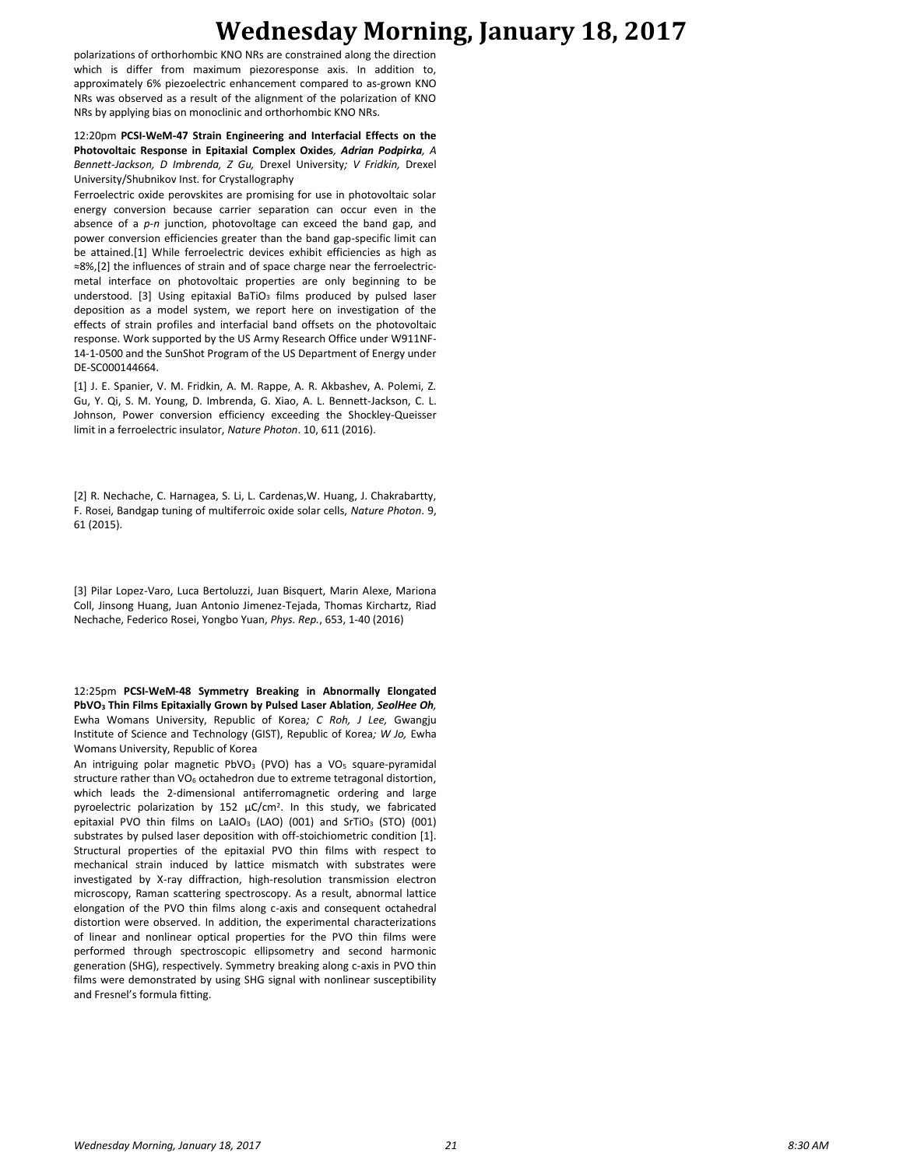polarizations of orthorhombic KNO NRs are constrained along the direction which is differ from maximum piezoresponse axis. In addition to, approximately 6% piezoelectric enhancement compared to as-grown KNO NRs was observed as a result of the alignment of the polarization of KNO NRs by applying bias on monoclinic and orthorhombic KNO NRs.

12:20pm **PCSI-WeM-47 Strain Engineering and Interfacial Effects on the Photovoltaic Response in Epitaxial Complex Oxides***, Adrian Podpirka, A Bennett-Jackson, D Imbrenda, Z Gu,* Drexel University*; V Fridkin,* Drexel University/Shubnikov Inst. for Crystallography

Ferroelectric oxide perovskites are promising for use in photovoltaic solar energy conversion because carrier separation can occur even in the absence of a *p-n* junction, photovoltage can exceed the band gap, and power conversion efficiencies greater than the band gap-specific limit can be attained.[1] While ferroelectric devices exhibit efficiencies as high as ≈8%,[2] the influences of strain and of space charge near the ferroelectricmetal interface on photovoltaic properties are only beginning to be understood. [3] Using epitaxial BaTiO<sub>3</sub> films produced by pulsed laser deposition as a model system, we report here on investigation of the effects of strain profiles and interfacial band offsets on the photovoltaic response. Work supported by the US Army Research Office under W911NF-14-1-0500 and the SunShot Program of the US Department of Energy under DE-SC000144664.

[1] J. E. Spanier, V. M. Fridkin, A. M. Rappe, A. R. Akbashev, A. Polemi, Z. Gu, Y. Qi, S. M. Young, D. Imbrenda, G. Xiao, A. L. Bennett-Jackson, C. L. Johnson, Power conversion efficiency exceeding the Shockley-Queisser limit in a ferroelectric insulator, *Nature Photon*. 10, 611 (2016).

[2] R. Nechache, C. Harnagea, S. Li, L. Cardenas,W. Huang, J. Chakrabartty, F. Rosei, Bandgap tuning of multiferroic oxide solar cells, *Nature Photon*. 9, 61 (2015).

[3] Pilar Lopez-Varo, Luca Bertoluzzi, Juan Bisquert, Marin Alexe, Mariona Coll, Jinsong Huang, Juan Antonio Jimenez-Tejada, Thomas Kirchartz, Riad Nechache, Federico Rosei, Yongbo Yuan, *Phys. Rep.*, 653, 1-40 (2016)

12:25pm **PCSI-WeM-48 Symmetry Breaking in Abnormally Elongated PbVO<sup>3</sup> Thin Films Epitaxially Grown by Pulsed Laser Ablation***, SeolHee Oh,*  Ewha Womans University, Republic of Korea*; C Roh, J Lee,* Gwangju Institute of Science and Technology (GIST), Republic of Korea*; W Jo,* Ewha Womans University, Republic of Korea

An intriguing polar magnetic PbVO<sub>3</sub> (PVO) has a VO<sub>5</sub> square-pyramidal structure rather than VO<sub>6</sub> octahedron due to extreme tetragonal distortion, which leads the 2-dimensional antiferromagnetic ordering and large pyroelectric polarization by  $152 \mu C/cm^2$ . In this study, we fabricated epitaxial PVO thin films on LaAlO<sub>3</sub> (LAO) (001) and SrTiO<sub>3</sub> (STO) (001) substrates by pulsed laser deposition with off-stoichiometric condition [1]. Structural properties of the epitaxial PVO thin films with respect to mechanical strain induced by lattice mismatch with substrates were investigated by X-ray diffraction, high-resolution transmission electron microscopy, Raman scattering spectroscopy. As a result, abnormal lattice elongation of the PVO thin films along c-axis and consequent octahedral distortion were observed. In addition, the experimental characterizations of linear and nonlinear optical properties for the PVO thin films were performed through spectroscopic ellipsometry and second harmonic generation (SHG), respectively. Symmetry breaking along c-axis in PVO thin films were demonstrated by using SHG signal with nonlinear susceptibility and Fresnel's formula fitting.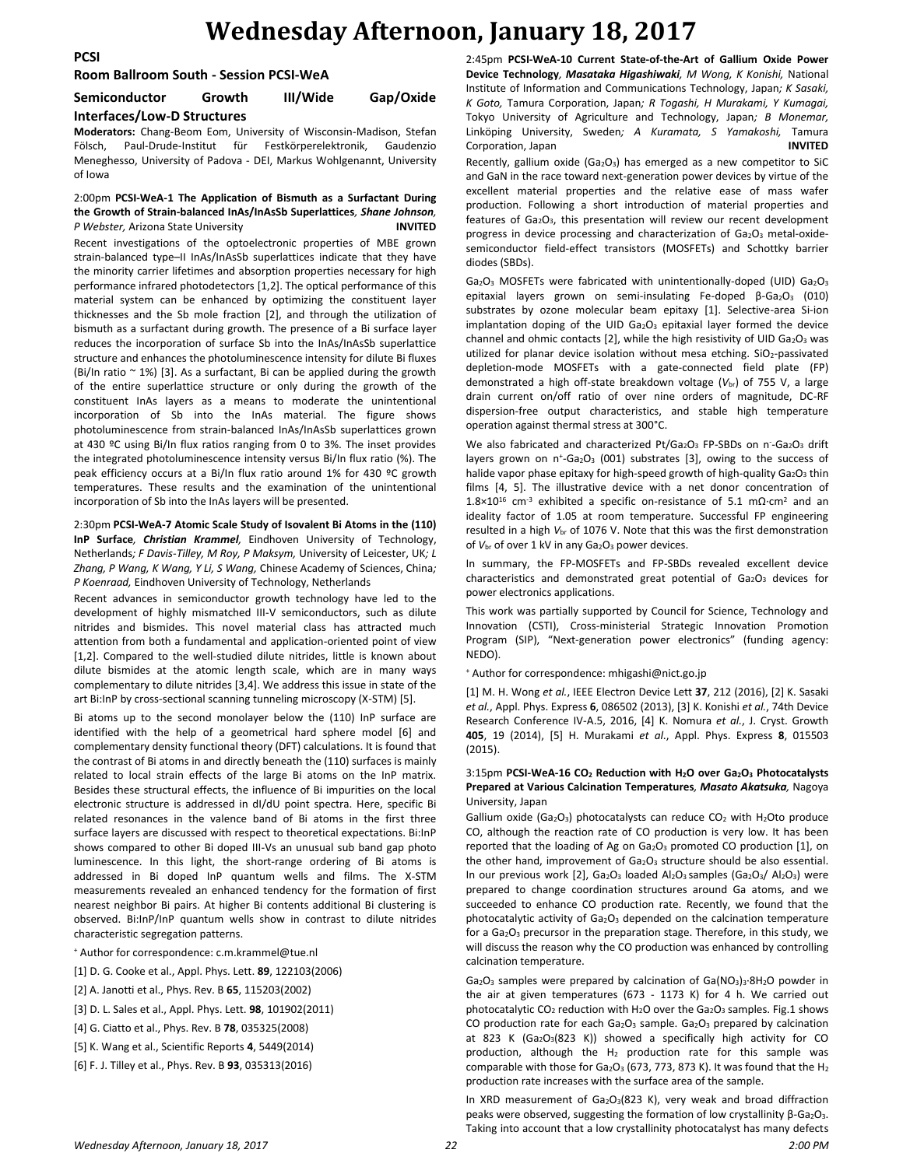**PCSI**

#### **Room Ballroom South - Session PCSI-WeA**

### **Semiconductor Growth III/Wide Gap/Oxide Interfaces/Low-D Structures**

**Moderators:** Chang-Beom Eom, University of Wisconsin-Madison, Stefan Fölsch, Paul-Drude-Institut für Festkörperelektronik, Gaudenzio Meneghesso, University of Padova - DEI, Markus Wohlgenannt, University of Iowa

#### 2:00pm **PCSI-WeA-1 The Application of Bismuth as a Surfactant During the Growth of Strain-balanced InAs/InAsSb Superlattices***, Shane Johnson, P Webster,* Arizona State University **INVITED**

Recent investigations of the optoelectronic properties of MBE grown strain-balanced type–II InAs/InAsSb superlattices indicate that they have the minority carrier lifetimes and absorption properties necessary for high performance infrared photodetectors [1,2]. The optical performance of this material system can be enhanced by optimizing the constituent layer thicknesses and the Sb mole fraction [2], and through the utilization of bismuth as a surfactant during growth. The presence of a Bi surface layer reduces the incorporation of surface Sb into the InAs/InAsSb superlattice structure and enhances the photoluminescence intensity for dilute Bi fluxes (Bi/In ratio  $\sim$  1%) [3]. As a surfactant, Bi can be applied during the growth of the entire superlattice structure or only during the growth of the constituent InAs layers as a means to moderate the unintentional incorporation of Sb into the InAs material. The figure shows photoluminescence from strain-balanced InAs/InAsSb superlattices grown at 430 ºC using Bi/In flux ratios ranging from 0 to 3%. The inset provides the integrated photoluminescence intensity versus Bi/In flux ratio (%). The peak efficiency occurs at a Bi/In flux ratio around 1% for 430 ºC growth temperatures. These results and the examination of the unintentional incorporation of Sb into the InAs layers will be presented.

#### 2:30pm **PCSI-WeA-7 Atomic Scale Study of Isovalent Bi Atoms in the (110) InP Surface***, Christian Krammel,* Eindhoven University of Technology, Netherlands*; F Davis-Tilley, M Roy, P Maksym,* University of Leicester, UK*; L Zhang, P Wang, K Wang, Y Li, S Wang,* Chinese Academy of Sciences, China*; P Koenraad,* Eindhoven University of Technology, Netherlands

Recent advances in semiconductor growth technology have led to the development of highly mismatched III-V semiconductors, such as dilute nitrides and bismides. This novel material class has attracted much attention from both a fundamental and application-oriented point of view [1,2]. Compared to the well-studied dilute nitrides, little is known about dilute bismides at the atomic length scale, which are in many ways complementary to dilute nitrides [3,4]. We address this issue in state of the art Bi:InP by cross-sectional scanning tunneling microscopy (X-STM) [5].

Bi atoms up to the second monolayer below the (110) InP surface are identified with the help of a geometrical hard sphere model [6] and complementary density functional theory (DFT) calculations. It is found that the contrast of Bi atoms in and directly beneath the (110) surfaces is mainly related to local strain effects of the large Bi atoms on the InP matrix. Besides these structural effects, the influence of Bi impurities on the local electronic structure is addressed in dI/dU point spectra. Here, specific Bi related resonances in the valence band of Bi atoms in the first three surface layers are discussed with respect to theoretical expectations. Bi:InP shows compared to other Bi doped III-Vs an unusual sub band gap photo luminescence. In this light, the short-range ordering of Bi atoms is addressed in Bi doped InP quantum wells and films. The X-STM measurements revealed an enhanced tendency for the formation of first nearest neighbor Bi pairs. At higher Bi contents additional Bi clustering is observed. Bi:InP/InP quantum wells show in contrast to dilute nitrides characteristic segregation patterns.

<sup>+</sup> Author for correspondence: c.m.krammel@tue.nl

- [1] D. G. Cooke et al., Appl. Phys. Lett. **89**, 122103(2006)
- [2] A. Janotti et al., Phys. Rev. B **65**, 115203(2002)
- [3] D. L. Sales et al., Appl. Phys. Lett. **98**, 101902(2011)
- [4] G. Ciatto et al., Phys. Rev. B **78**, 035325(2008)
- [5] K. Wang et al., Scientific Reports **4**, 5449(2014)
- [6] F. J. Tilley et al., Phys. Rev. B **93**, 035313(2016)

2:45pm **PCSI-WeA-10 Current State-of-the-Art of Gallium Oxide Power Device Technology***, Masataka Higashiwaki, M Wong, K Konishi,* National Institute of Information and Communications Technology, Japan*; K Sasaki, K Goto,* Tamura Corporation, Japan*; R Togashi, H Murakami, Y Kumagai,*  Tokyo University of Agriculture and Technology, Japan*; B Monemar,*  Linkӧping University, Sweden*; A Kuramata, S Yamakoshi,* Tamura Corporation, Japan **INVITED** Recently, gallium oxide (Ga<sub>2</sub>O<sub>3</sub>) has emerged as a new competitor to SiC and GaN in the race toward next-generation power devices by virtue of the excellent material properties and the relative ease of mass wafer production. Following a short introduction of material properties and features of Ga<sub>2</sub>O<sub>3</sub>, this presentation will review our recent development progress in device processing and characterization of  $Ga<sub>2</sub>O<sub>3</sub>$  metal-oxidesemiconductor field-effect transistors (MOSFETs) and Schottky barrier diodes (SBDs).

 $Ga<sub>2</sub>O<sub>3</sub>$  MOSFETs were fabricated with unintentionally-doped (UID)  $Ga<sub>2</sub>O<sub>3</sub>$ epitaxial layers grown on semi-insulating Fe-doped  $\beta$ -Ga<sub>2</sub>O<sub>3</sub> (010) substrates by ozone molecular beam epitaxy [1]. Selective-area Si-ion implantation doping of the UID Ga<sub>2</sub>O<sub>3</sub> epitaxial layer formed the device channel and ohmic contacts [2], while the high resistivity of UID  $Ga<sub>2</sub>O<sub>3</sub>$  was utilized for planar device isolation without mesa etching. SiO<sub>2</sub>-passivated depletion-mode MOSFETs with a gate-connected field plate (FP) demonstrated a high off-state breakdown voltage (V<sub>br</sub>) of 755 V, a large drain current on/off ratio of over nine orders of magnitude, DC-RF dispersion-free output characteristics, and stable high temperature operation against thermal stress at 300°C.

We also fabricated and characterized Pt/Ga2O3 FP-SBDs on n-Ga2O3 drift layers grown on n<sup>+</sup>-Ga<sub>2</sub>O<sub>3</sub> (001) substrates [3], owing to the success of halide vapor phase epitaxy for high-speed growth of high-quality Ga2O3 thin films [4, 5]. The illustrative device with a net donor concentration of  $1.8\times10^{16}$  cm<sup>-3</sup> exhibited a specific on-resistance of 5.1 mΩ·cm<sup>2</sup> and an ideality factor of 1.05 at room temperature. Successful FP engineering resulted in a high *V*br of 1076 V. Note that this was the first demonstration of V<sub>br</sub> of over 1 kV in any Ga<sub>2</sub>O<sub>3</sub> power devices.

In summary, the FP-MOSFETs and FP-SBDs revealed excellent device characteristics and demonstrated great potential of  $Ga<sub>2</sub>O<sub>3</sub>$  devices for power electronics applications.

This work was partially supported by Council for Science, Technology and Innovation (CSTI), Cross-ministerial Strategic Innovation Promotion Program (SIP), "Next-generation power electronics" (funding agency: NEDO).

<sup>+</sup> Author for correspondence: mhigashi@nict.go.jp

[1] M. H. Wong *et al.*, IEEE Electron Device Lett **37**, 212 (2016), [2] K. Sasaki *et al.*, Appl. Phys. Express **6**, 086502 (2013), [3] K. Konishi *et al.*, 74th Device Research Conference IV-A.5, 2016, [4] K. Nomura *et al.*, J. Cryst. Growth **405**, 19 (2014), [5] H. Murakami *et al*., Appl. Phys. Express **8**, 015503 (2015).

#### 3:15pm **PCSI-WeA-16 CO<sup>2</sup> Reduction with H2O over Ga2O<sup>3</sup> Photocatalysts Prepared at Various Calcination Temperatures***, Masato Akatsuka,* Nagoya University, Japan

Gallium oxide (Ga<sub>2</sub>O<sub>3</sub>) photocatalysts can reduce  $CO<sub>2</sub>$  with H<sub>2</sub>Oto produce CO, although the reaction rate of CO production is very low. It has been reported that the loading of Ag on Ga<sub>2</sub>O<sub>3</sub> promoted CO production [1], on the other hand, improvement of Ga<sub>2</sub>O<sub>3</sub> structure should be also essential. In our previous work [2], Ga<sub>2</sub>O<sub>3</sub> loaded Al<sub>2</sub>O<sub>3</sub> samples (Ga<sub>2</sub>O<sub>3</sub>/ Al<sub>2</sub>O<sub>3</sub>) were prepared to change coordination structures around Ga atoms, and we succeeded to enhance CO production rate. Recently, we found that the photocatalytic activity of  $Ga<sub>2</sub>O<sub>3</sub>$  depended on the calcination temperature for a Ga<sub>2</sub>O<sub>3</sub> precursor in the preparation stage. Therefore, in this study, we will discuss the reason why the CO production was enhanced by controlling calcination temperature.

 $Ga_2O_3$  samples were prepared by calcination of  $Ga(NO_3)_3.8H_2O$  powder in the air at given temperatures (673 - 1173 K) for 4 h. We carried out photocatalytic CO<sub>2</sub> reduction with H<sub>2</sub>O over the Ga<sub>2</sub>O<sub>3</sub> samples. Fig.1 shows CO production rate for each  $Ga_2O_3$  sample.  $Ga_2O_3$  prepared by calcination at 823 K (Ga<sub>2</sub>O<sub>3</sub>(823 K)) showed a specifically high activity for CO production, although the  $H_2$  production rate for this sample was comparable with those for Ga<sub>2</sub>O<sub>3</sub> (673, 773, 873 K). It was found that the H<sub>2</sub> production rate increases with the surface area of the sample.

In XRD measurement of Ga<sub>2</sub>O<sub>3</sub>(823 K), very weak and broad diffraction peaks were observed, suggesting the formation of low crystallinity β-Ga2O3. Taking into account that a low crystallinity photocatalyst has many defects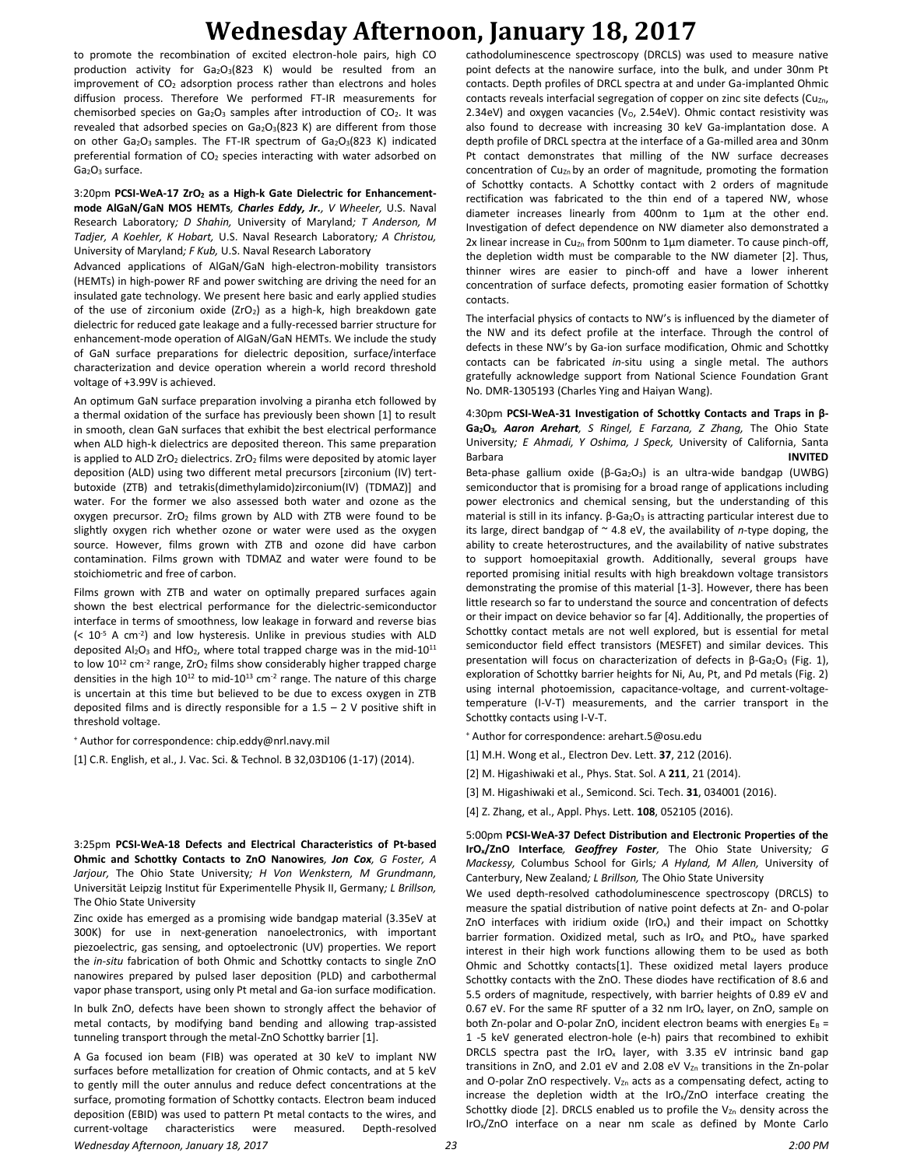to promote the recombination of excited electron-hole pairs, high CO production activity for Ga<sub>2</sub>O<sub>3</sub>(823 K) would be resulted from an improvement of  $CO<sub>2</sub>$  adsorption process rather than electrons and holes diffusion process. Therefore We performed FT-IR measurements for chemisorbed species on Ga<sub>2</sub>O<sub>3</sub> samples after introduction of CO<sub>2</sub>. It was revealed that adsorbed species on Ga<sub>2</sub>O<sub>3</sub>(823 K) are different from those on other Ga2O3 samples. The FT-IR spectrum of Ga2O3(823 K) indicated preferential formation of CO<sub>2</sub> species interacting with water adsorbed on  $Ga<sub>2</sub>O<sub>3</sub>$  surface.

3:20pm **PCSI-WeA-17 ZrO<sup>2</sup> as a High-k Gate Dielectric for Enhancementmode AlGaN/GaN MOS HEMTs***, Charles Eddy, Jr., V Wheeler,* U.S. Naval Research Laboratory*; D Shahin,* University of Maryland*; T Anderson, M Tadjer, A Koehler, K Hobart,* U.S. Naval Research Laboratory*; A Christou,*  University of Maryland*; F Kub,* U.S. Naval Research Laboratory

Advanced applications of AlGaN/GaN high-electron-mobility transistors (HEMTs) in high-power RF and power switching are driving the need for an insulated gate technology. We present here basic and early applied studies of the use of zirconium oxide ( $ZrO<sub>2</sub>$ ) as a high-k, high breakdown gate dielectric for reduced gate leakage and a fully-recessed barrier structure for enhancement-mode operation of AlGaN/GaN HEMTs. We include the study of GaN surface preparations for dielectric deposition, surface/interface characterization and device operation wherein a world record threshold voltage of +3.99V is achieved.

An optimum GaN surface preparation involving a piranha etch followed by a thermal oxidation of the surface has previously been shown [1] to result in smooth, clean GaN surfaces that exhibit the best electrical performance when ALD high-k dielectrics are deposited thereon. This same preparation is applied to ALD  $ZrO<sub>2</sub>$  dielectrics.  $ZrO<sub>2</sub>$  films were deposited by atomic layer deposition (ALD) using two different metal precursors [zirconium (IV) tertbutoxide (ZTB) and tetrakis(dimethylamido)zirconium(IV) (TDMAZ)] and water. For the former we also assessed both water and ozone as the oxygen precursor.  $ZrO<sub>2</sub>$  films grown by ALD with ZTB were found to be slightly oxygen rich whether ozone or water were used as the oxygen source. However, films grown with ZTB and ozone did have carbon contamination. Films grown with TDMAZ and water were found to be stoichiometric and free of carbon.

Films grown with ZTB and water on optimally prepared surfaces again shown the best electrical performance for the dielectric-semiconductor interface in terms of smoothness, low leakage in forward and reverse bias (< 10-5 A cm-2 ) and low hysteresis. Unlike in previous studies with ALD deposited  $Al_2O_3$  and HfO<sub>2</sub>, where total trapped charge was in the mid-10<sup>11</sup> to low  $10^{12}$  cm<sup>-2</sup> range, ZrO<sub>2</sub> films show considerably higher trapped charge densities in the high  $10^{12}$  to mid- $10^{13}$  cm<sup>-2</sup> range. The nature of this charge is uncertain at this time but believed to be due to excess oxygen in ZTB deposited films and is directly responsible for a  $1.5 - 2$  V positive shift in threshold voltage.

<sup>+</sup> Author for correspondence: chip.eddy@nrl.navy.mil

[1] C.R. English, et al., J. Vac. Sci. & Technol. B 32,03D106 (1-17) (2014).

3:25pm **PCSI-WeA-18 Defects and Electrical Characteristics of Pt-based Ohmic and Schottky Contacts to ZnO Nanowires***, Jon Cox, G Foster, A Jarjour,* The Ohio State University*; H Von Wenkstern, M Grundmann,*  Universität Leipzig Institut für Experimentelle Physik II, Germany*; L Brillson,*  The Ohio State University

Zinc oxide has emerged as a promising wide bandgap material (3.35eV at 300K) for use in next-generation nanoelectronics, with important piezoelectric, gas sensing, and optoelectronic (UV) properties. We report the *in-situ* fabrication of both Ohmic and Schottky contacts to single ZnO nanowires prepared by pulsed laser deposition (PLD) and carbothermal vapor phase transport, using only Pt metal and Ga-ion surface modification.

In bulk ZnO, defects have been shown to strongly affect the behavior of metal contacts, by modifying band bending and allowing trap-assisted tunneling transport through the metal-ZnO Schottky barrier [1].

*Wednesday Afternoon, January 18, 2017 23 2:00 PM* A Ga focused ion beam (FIB) was operated at 30 keV to implant NW surfaces before metallization for creation of Ohmic contacts, and at 5 keV to gently mill the outer annulus and reduce defect concentrations at the surface, promoting formation of Schottky contacts. Electron beam induced deposition (EBID) was used to pattern Pt metal contacts to the wires, and current-voltage characteristics were measured. Depth-resolved

cathodoluminescence spectroscopy (DRCLS) was used to measure native point defects at the nanowire surface, into the bulk, and under 30nm Pt contacts. Depth profiles of DRCL spectra at and under Ga-implanted Ohmic contacts reveals interfacial segregation of copper on zinc site defects ( $Cu<sub>Zn</sub>$ , 2.34eV) and oxygen vacancies (V<sub>o</sub>, 2.54eV). Ohmic contact resistivity was also found to decrease with increasing 30 keV Ga-implantation dose. A depth profile of DRCL spectra at the interface of a Ga-milled area and 30nm Pt contact demonstrates that milling of the NW surface decreases concentration of  $Cu_{Zn}$  by an order of magnitude, promoting the formation of Schottky contacts. A Schottky contact with 2 orders of magnitude rectification was fabricated to the thin end of a tapered NW, whose diameter increases linearly from 400nm to 1µm at the other end. Investigation of defect dependence on NW diameter also demonstrated a 2x linear increase in Cu<sub>Zn</sub> from 500nm to 1 $\mu$ m diameter. To cause pinch-off, the depletion width must be comparable to the NW diameter [2]. Thus, thinner wires are easier to pinch-off and have a lower inherent concentration of surface defects, promoting easier formation of Schottky contacts.

The interfacial physics of contacts to NW's is influenced by the diameter of the NW and its defect profile at the interface. Through the control of defects in these NW's by Ga-ion surface modification, Ohmic and Schottky contacts can be fabricated *in-*situ using a single metal. The authors gratefully acknowledge support from National Science Foundation Grant No. DMR-1305193 (Charles Ying and Haiyan Wang).

#### 4:30pm **PCSI-WeA-31 Investigation of Schottky Contacts and Traps in β-Ga2O3***, Aaron Arehart, S Ringel, E Farzana, Z Zhang,* The Ohio State University*; E Ahmadi, Y Oshima, J Speck,* University of California, Santa Barbara **INVITED**

Beta-phase gallium oxide (β-Ga<sub>2</sub>O<sub>3</sub>) is an ultra-wide bandgap (UWBG) semiconductor that is promising for a broad range of applications including power electronics and chemical sensing, but the understanding of this material is still in its infancy. β-Ga<sub>2</sub>O<sub>3</sub> is attracting particular interest due to its large, direct bandgap of ~ 4.8 eV, the availability of *n*-type doping, the ability to create heterostructures, and the availability of native substrates to support homoepitaxial growth. Additionally, several groups have reported promising initial results with high breakdown voltage transistors demonstrating the promise of this material [1-3]. However, there has been little research so far to understand the source and concentration of defects or their impact on device behavior so far [4]. Additionally, the properties of Schottky contact metals are not well explored, but is essential for metal semiconductor field effect transistors (MESFET) and similar devices. This presentation will focus on characterization of defects in  $β$ -Ga<sub>2</sub>O<sub>3</sub> (Fig. 1), exploration of Schottky barrier heights for Ni, Au, Pt, and Pd metals (Fig. 2) using internal photoemission, capacitance-voltage, and current-voltagetemperature (I-V-T) measurements, and the carrier transport in the Schottky contacts using I-V-T.

<sup>+</sup> Author for correspondence: arehart.5@osu.edu

- [1] M.H. Wong et al., Electron Dev. Lett. **37**, 212 (2016).
- [2] M. Higashiwaki et al., Phys. Stat. Sol. A **211**, 21 (2014).
- [3] M. Higashiwaki et al., Semicond. Sci. Tech. **31**, 034001 (2016).
- [4] Z. Zhang, et al., Appl. Phys. Lett. **108**, 052105 (2016).

5:00pm **PCSI-WeA-37 Defect Distribution and Electronic Properties of the IrOx/ZnO Interface***, Geoffrey Foster,* The Ohio State University*; G Mackessy,* Columbus School for Girls*; A Hyland, M Allen,* University of Canterbury, New Zealand*; L Brillson,* The Ohio State University

We used depth-resolved cathodoluminescence spectroscopy (DRCLS) to measure the spatial distribution of native point defects at Zn- and O-polar ZnO interfaces with iridium oxide (IrO<sub>x</sub>) and their impact on Schottky barrier formation. Oxidized metal, such as IrO<sub>x</sub> and PtO<sub>x</sub>, have sparked interest in their high work functions allowing them to be used as both Ohmic and Schottky contacts[1]. These oxidized metal layers produce Schottky contacts with the ZnO. These diodes have rectification of 8.6 and 5.5 orders of magnitude, respectively, with barrier heights of 0.89 eV and 0.67 eV. For the same RF sputter of a 32 nm IrO<sub>x</sub> layer, on ZnO, sample on both Zn-polar and O-polar ZnO, incident electron beams with energies  $E_B =$ 1 -5 keV generated electron-hole (e-h) pairs that recombined to exhibit DRCLS spectra past the IrO<sub>x</sub> layer, with 3.35 eV intrinsic band gap transitions in ZnO, and 2.01 eV and 2.08 eV  $V_{Zn}$  transitions in the Zn-polar and O-polar ZnO respectively.  $V_{Zn}$  acts as a compensating defect, acting to increase the depletion width at the IrO<sub>x</sub>/ZnO interface creating the Schottky diode [2]. DRCLS enabled us to profile the  $V_{\text{Zn}}$  density across the IrOx/ZnO interface on a near nm scale as defined by Monte Carlo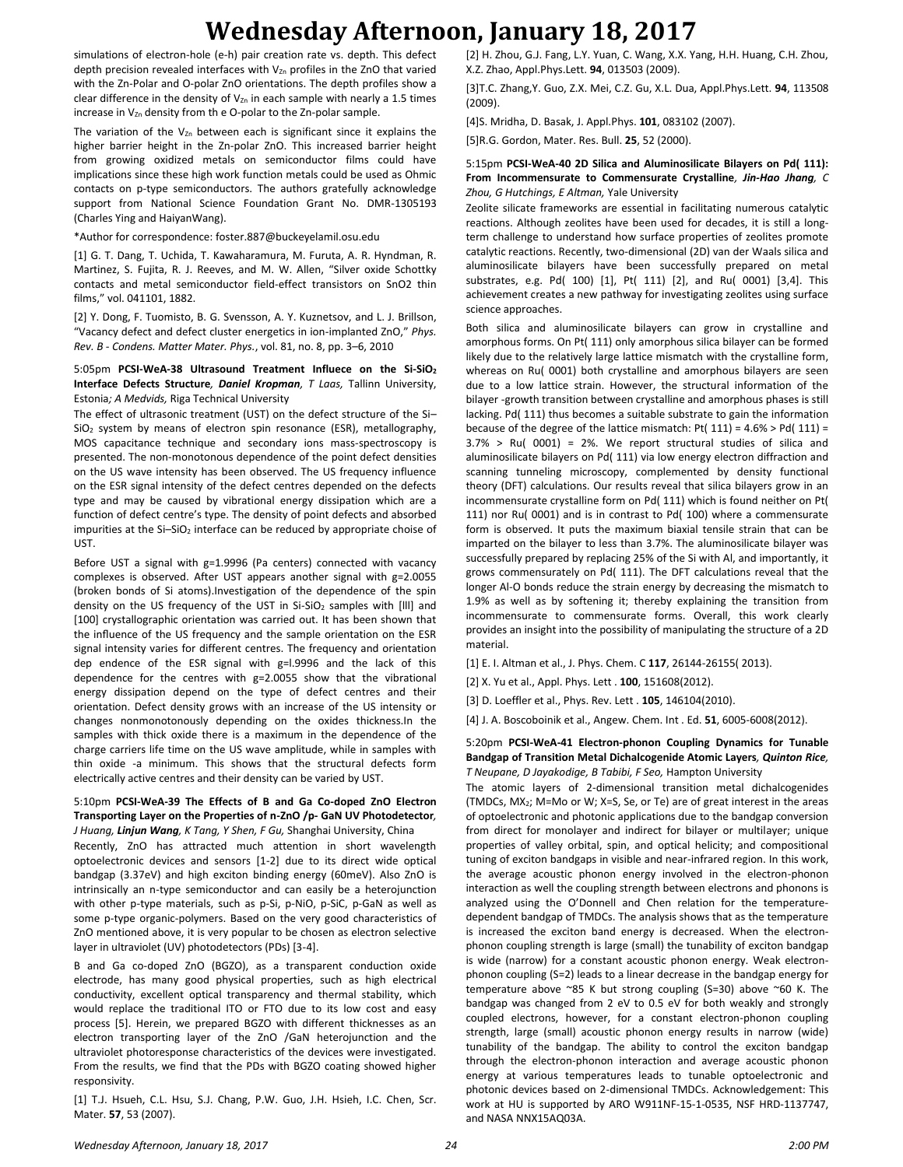simulations of electron-hole (e-h) pair creation rate vs. depth. This defect depth precision revealed interfaces with  $V_{Zn}$  profiles in the ZnO that varied with the Zn-Polar and O-polar ZnO orientations. The depth profiles show a clear difference in the density of  $V_{Zn}$  in each sample with nearly a 1.5 times increase in  $V_{Zn}$  density from the O-polar to the Zn-polar sample.

The variation of the  $V_{Zn}$  between each is significant since it explains the higher barrier height in the Zn-polar ZnO. This increased barrier height from growing oxidized metals on semiconductor films could have implications since these high work function metals could be used as Ohmic contacts on p-type semiconductors. The authors gratefully acknowledge support from National Science Foundation Grant No. DMR-1305193 (Charles Ying and HaiyanWang).

\*Author for correspondence: foster.887@buckeyelamil.osu.edu

[1] G. T. Dang, T. Uchida, T. Kawaharamura, M. Furuta, A. R. Hyndman, R. Martinez, S. Fujita, R. J. Reeves, and M. W. Allen, "Silver oxide Schottky contacts and metal semiconductor field-effect transistors on SnO2 thin films," vol. 041101, 1882.

[2] Y. Dong, F. Tuomisto, B. G. Svensson, A. Y. Kuznetsov, and L. J. Brillson, "Vacancy defect and defect cluster energetics in ion-implanted ZnO," *Phys. Rev. B - Condens. Matter Mater. Phys.*, vol. 81, no. 8, pp. 3–6, 2010

5:05pm **PCSI-WeA-38 Ultrasound Treatment Influece on the Si-SiO<sup>2</sup> Interface Defects Structure***, Daniel Kropman, T Laas,* Tallinn University, Estonia*; A Medvids,* Riga Technical University

The effect of ultrasonic treatment (UST) on the defect structure of the Si– SiO<sub>2</sub> system by means of electron spin resonance (ESR), metallography, MOS capacitance technique and secondary ions mass-spectroscopy is presented. The non-monotonous dependence of the point defect densities on the US wave intensity has been observed. The US frequency influence on the ESR signal intensity of the defect centres depended on the defects type and may be caused by vibrational energy dissipation which are a function of defect centre's type. The density of point defects and absorbed impurities at the Si-SiO<sub>2</sub> interface can be reduced by appropriate choise of UST.

Before UST a signal with g=1.9996 (Pa centers) connected with vacancy complexes is observed. After UST appears another signal with g=2.0055 (broken bonds of Si atoms).Investigation of the dependence of the spin density on the US frequency of the UST in Si-SiO<sub>2</sub> samples with [III] and [100] crystallographic orientation was carried out. It has been shown that the influence of the US frequency and the sample orientation on the ESR signal intensity varies for different centres. The frequency and orientation dep endence of the ESR signal with g=l.9996 and the lack of this dependence for the centres with g=2.0055 show that the vibrational energy dissipation depend on the type of defect centres and their orientation. Defect density grows with an increase of the US intensity or changes nonmonotonously depending on the oxides thickness.In the samples with thick oxide there is a maximum in the dependence of the charge carriers life time on the US wave amplitude, while in samples with thin oxide -a minimum. This shows that the structural defects form electrically active centres and their density can be varied by UST.

#### 5:10pm **PCSI-WeA-39 The Effects of B and Ga Co-doped ZnO Electron Transporting Layer on the Properties of n-ZnO /p- GaN UV Photodetector***, J Huang, Linjun Wang, K Tang, Y Shen, F Gu,* Shanghai University, China

Recently, ZnO has attracted much attention in short wavelength optoelectronic devices and sensors [1-2] due to its direct wide optical bandgap (3.37eV) and high exciton binding energy (60meV). Also ZnO is intrinsically an n-type semiconductor and can easily be a heterojunction with other p-type materials, such as p-Si, p-NiO, p-SiC, p-GaN as well as some p-type organic-polymers. Based on the very good characteristics of ZnO mentioned above, it is very popular to be chosen as electron selective layer in ultraviolet (UV) photodetectors (PDs) [3-4].

B and Ga co-doped ZnO (BGZO), as a transparent conduction oxide electrode, has many good physical properties, such as high electrical conductivity, excellent optical transparency and thermal stability, which would replace the traditional ITO or FTO due to its low cost and easy process [5]. Herein, we prepared BGZO with different thicknesses as an electron transporting layer of the ZnO /GaN heterojunction and the ultraviolet photoresponse characteristics of the devices were investigated. From the results, we find that the PDs with BGZO coating showed higher responsivity.

[1] T.J. Hsueh, C.L. Hsu, S.J. Chang, P.W. Guo, J.H. Hsieh, I.C. Chen, Scr. Mater. **57**, 53 (2007).

[2] H. Zhou, G.J. Fang, L.Y. Yuan, C. Wang, X.X. Yang, H.H. Huang, C.H. Zhou, X.Z. Zhao, Appl.Phys.Lett. **94**, 013503 (2009).

[3]T.C. Zhang,Y. Guo, Z.X. Mei, C.Z. Gu, X.L. Dua, Appl.Phys.Lett. **94**, 113508 (2009).

[4]S. Mridha, D. Basak, J. Appl.Phys. **101**, 083102 (2007).

[5]R.G. Gordon, Mater. Res. Bull. **25**, 52 (2000).

#### 5:15pm **PCSI-WeA-40 2D Silica and Aluminosilicate Bilayers on Pd( 111): From Incommensurate to Commensurate Crystalline***, Jin-Hao Jhang, C Zhou, G Hutchings, E Altman,* Yale University

Zeolite silicate frameworks are essential in facilitating numerous catalytic reactions. Although zeolites have been used for decades, it is still a longterm challenge to understand how surface properties of zeolites promote catalytic reactions. Recently, two-dimensional (2D) van der Waals silica and aluminosilicate bilayers have been successfully prepared on metal substrates, e.g. Pd( 100) [1], Pt( 111) [2], and Ru( 0001) [3,4]. This achievement creates a new pathway for investigating zeolites using surface science approaches.

Both silica and aluminosilicate bilayers can grow in crystalline and amorphous forms. On Pt( 111) only amorphous silica bilayer can be formed likely due to the relatively large lattice mismatch with the crystalline form, whereas on Ru( 0001) both crystalline and amorphous bilayers are seen due to a low lattice strain. However, the structural information of the bilayer -growth transition between crystalline and amorphous phases is still lacking. Pd( 111) thus becomes a suitable substrate to gain the information because of the degree of the lattice mismatch: Pt( $111$ ) = 4.6% > Pd( $111$ ) =  $3.7\%$  > Ru( 0001) = 2%. We report structural studies of silica and aluminosilicate bilayers on Pd( 111) via low energy electron diffraction and scanning tunneling microscopy, complemented by density functional theory (DFT) calculations. Our results reveal that silica bilayers grow in an incommensurate crystalline form on Pd( 111) which is found neither on Pt( 111) nor Ru( 0001) and is in contrast to Pd( 100) where a commensurate form is observed. It puts the maximum biaxial tensile strain that can be imparted on the bilayer to less than 3.7%. The aluminosilicate bilayer was successfully prepared by replacing 25% of the Si with Al, and importantly, it grows commensurately on Pd( 111). The DFT calculations reveal that the longer Al-O bonds reduce the strain energy by decreasing the mismatch to 1.9% as well as by softening it; thereby explaining the transition from incommensurate to commensurate forms. Overall, this work clearly provides an insight into the possibility of manipulating the structure of a 2D material.

[1] E. I. Altman et al., J. Phys. Chem. C **117**, 26144-26155( 2013).

[2] X. Yu et al., Appl. Phys. Lett . **100**, 151608(2012).

[3] D. Loeffler et al., Phys. Rev. Lett . **105**, 146104(2010).

[4] J. A. Boscoboinik et al., Angew. Chem. Int . Ed. **51**, 6005-6008(2012).

#### 5:20pm **PCSI-WeA-41 Electron-phonon Coupling Dynamics for Tunable Bandgap of Transition Metal Dichalcogenide Atomic Layers***, Quinton Rice, T Neupane, D Jayakodige, B Tabibi, F Seo,* Hampton University

The atomic layers of 2-dimensional transition metal dichalcogenides (TMDCs, MX2; M=Mo or W; X=S, Se, or Te) are of great interest in the areas of optoelectronic and photonic applications due to the bandgap conversion from direct for monolayer and indirect for bilayer or multilayer; unique properties of valley orbital, spin, and optical helicity; and compositional tuning of exciton bandgaps in visible and near-infrared region. In this work, the average acoustic phonon energy involved in the electron-phonon interaction as well the coupling strength between electrons and phonons is analyzed using the O'Donnell and Chen relation for the temperaturedependent bandgap of TMDCs. The analysis shows that as the temperature is increased the exciton band energy is decreased. When the electronphonon coupling strength is large (small) the tunability of exciton bandgap is wide (narrow) for a constant acoustic phonon energy. Weak electronphonon coupling (S=2) leads to a linear decrease in the bandgap energy for temperature above ~85 K but strong coupling (S=30) above ~60 K. The bandgap was changed from 2 eV to 0.5 eV for both weakly and strongly coupled electrons, however, for a constant electron-phonon coupling strength, large (small) acoustic phonon energy results in narrow (wide) tunability of the bandgap. The ability to control the exciton bandgap through the electron-phonon interaction and average acoustic phonon energy at various temperatures leads to tunable optoelectronic and photonic devices based on 2-dimensional TMDCs. Acknowledgement: This work at HU is supported by ARO W911NF-15-1-0535, NSF HRD-1137747, and NASA NNX15AQ03A.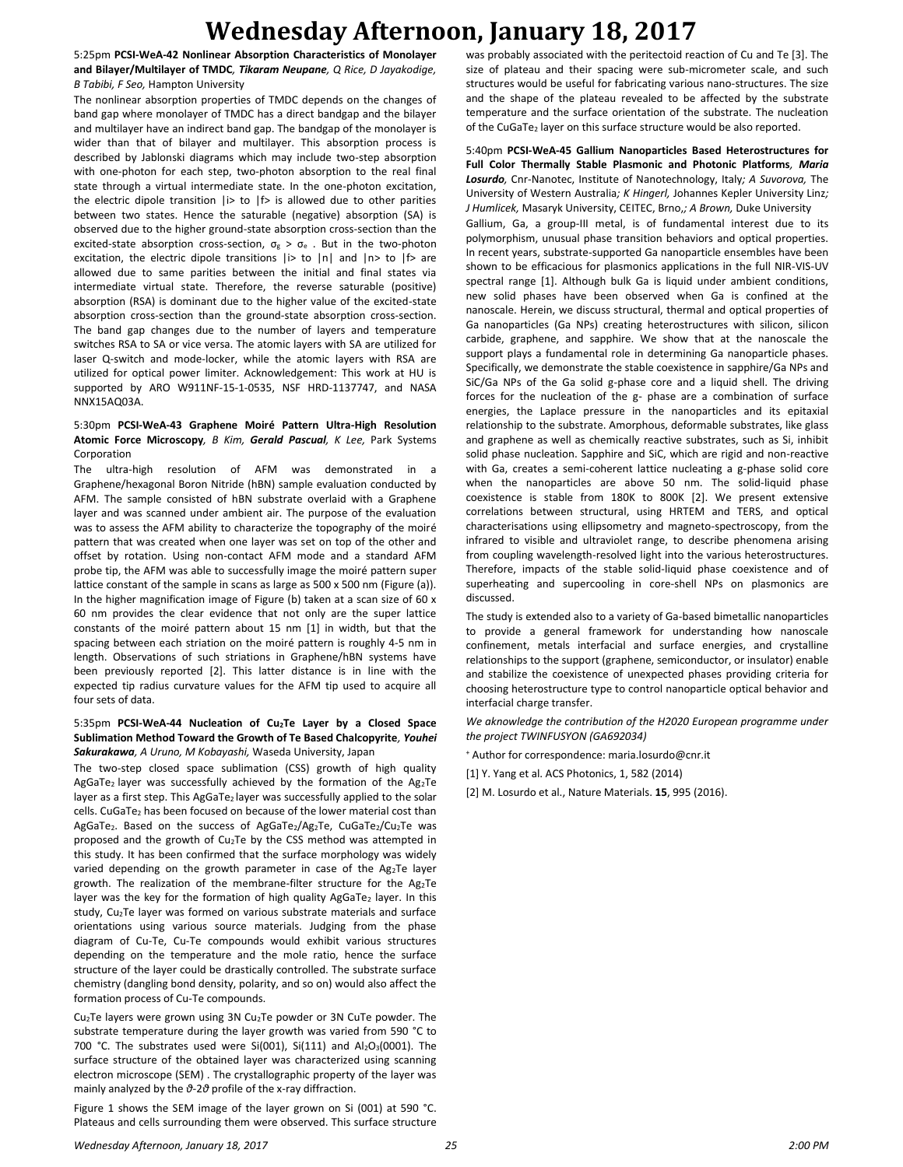5:25pm **PCSI-WeA-42 Nonlinear Absorption Characteristics of Monolayer and Bilayer/Multilayer of TMDC***, Tikaram Neupane, Q Rice, D Jayakodige, B Tabibi, F Seo,* Hampton University

The nonlinear absorption properties of TMDC depends on the changes of band gap where monolayer of TMDC has a direct bandgap and the bilayer and multilayer have an indirect band gap. The bandgap of the monolayer is wider than that of bilayer and multilayer. This absorption process is described by Jablonski diagrams which may include two-step absorption with one-photon for each step, two-photon absorption to the real final state through a virtual intermediate state. In the one-photon excitation, the electric dipole transition  $|i\rangle$  to  $|f\rangle$  is allowed due to other parities between two states. Hence the saturable (negative) absorption (SA) is observed due to the higher ground-state absorption cross-section than the excited-state absorption cross-section,  $\sigma_g > \sigma_e$ . But in the two-photon excitation, the electric dipole transitions  $|i\rangle$  to  $|n|$  and  $|n\rangle$  to  $|f\rangle$  are allowed due to same parities between the initial and final states via intermediate virtual state. Therefore, the reverse saturable (positive) absorption (RSA) is dominant due to the higher value of the excited-state absorption cross-section than the ground-state absorption cross-section. The band gap changes due to the number of layers and temperature switches RSA to SA or vice versa. The atomic layers with SA are utilized for laser Q-switch and mode-locker, while the atomic layers with RSA are utilized for optical power limiter. Acknowledgement: This work at HU is supported by ARO W911NF-15-1-0535, NSF HRD-1137747, and NASA NNX15AQ03A.

#### 5:30pm **PCSI-WeA-43 Graphene Moiré Pattern Ultra-High Resolution Atomic Force Microscopy***, B Kim, Gerald Pascual, K Lee,* Park Systems Corporation

The ultra-high resolution of AFM was demonstrated in a Graphene/hexagonal Boron Nitride (hBN) sample evaluation conducted by AFM. The sample consisted of hBN substrate overlaid with a Graphene layer and was scanned under ambient air. The purpose of the evaluation was to assess the AFM ability to characterize the topography of the moiré pattern that was created when one layer was set on top of the other and offset by rotation. Using non-contact AFM mode and a standard AFM probe tip, the AFM was able to successfully image the moiré pattern super lattice constant of the sample in scans as large as 500 x 500 nm (Figure (a)). In the higher magnification image of Figure (b) taken at a scan size of 60 x 60 nm provides the clear evidence that not only are the super lattice constants of the moiré pattern about 15 nm [1] in width, but that the spacing between each striation on the moiré pattern is roughly 4-5 nm in length. Observations of such striations in Graphene/hBN systems have been previously reported [2]. This latter distance is in line with the expected tip radius curvature values for the AFM tip used to acquire all four sets of data.

#### 5:35pm **PCSI-WeA-44 Nucleation of Cu2Te Layer by a Closed Space Sublimation Method Toward the Growth of Te Based Chalcopyrite***, Youhei Sakurakawa, A Uruno, M Kobayashi,* Waseda University, Japan

The two-step closed space sublimation (CSS) growth of high quality AgGaTe<sub>2</sub> layer was successfully achieved by the formation of the Ag<sub>2</sub>Te layer as a first step. This AgGaTe2 layer was successfully applied to the solar cells. CuGaTe<sub>2</sub> has been focused on because of the lower material cost than AgGaTe<sub>2</sub>. Based on the success of AgGaTe<sub>2</sub>/Ag<sub>2</sub>Te, CuGaTe<sub>2</sub>/Cu<sub>2</sub>Te was proposed and the growth of Cu<sub>2</sub>Te by the CSS method was attempted in this study. It has been confirmed that the surface morphology was widely varied depending on the growth parameter in case of the  $Ag_2Te$  layer growth. The realization of the membrane-filter structure for the  $Ag_2Te$ layer was the key for the formation of high quality AgGaTe2 layer. In this study, Cu2Te layer was formed on various substrate materials and surface orientations using various source materials. Judging from the phase diagram of Cu-Te, Cu-Te compounds would exhibit various structures depending on the temperature and the mole ratio, hence the surface structure of the layer could be drastically controlled. The substrate surface chemistry (dangling bond density, polarity, and so on) would also affect the formation process of Cu-Te compounds.

Cu2Te layers were grown using 3N Cu2Te powder or 3N CuTe powder. The substrate temperature during the layer growth was varied from 590 °C to 700 °C. The substrates used were Si(001), Si(111) and Al2O3(0001). The surface structure of the obtained layer was characterized using scanning electron microscope (SEM) . The crystallographic property of the layer was mainly analyzed by the *θ*-2*θ* profile of the x-ray diffraction.

Figure 1 shows the SEM image of the layer grown on Si (001) at 590 °C. Plateaus and cells surrounding them were observed. This surface structure was probably associated with the peritectoid reaction of Cu and Te [3]. The size of plateau and their spacing were sub-micrometer scale, and such structures would be useful for fabricating various nano-structures. The size and the shape of the plateau revealed to be affected by the substrate temperature and the surface orientation of the substrate. The nucleation of the CuGaTe<sub>2</sub> layer on this surface structure would be also reported.

#### 5:40pm **PCSI-WeA-45 Gallium Nanoparticles Based Heterostructures for Full Color Thermally Stable Plasmonic and Photonic Platforms***, Maria Losurdo,* Cnr-Nanotec, Institute of Nanotechnology, Italy*; A Suvorova,* The University of Western Australia*; K Hingerl,* Johannes Kepler University Linz*; J Humlicek,* Masaryk University, CEITEC, Brno,*; A Brown,* Duke University Gallium, Ga, a group-III metal, is of fundamental interest due to its polymorphism, unusual phase transition behaviors and optical properties. In recent years, substrate-supported Ga nanoparticle ensembles have been shown to be efficacious for plasmonics applications in the full NIR-VIS-UV spectral range [1]. Although bulk Ga is liquid under ambient conditions, new solid phases have been observed when Ga is confined at the nanoscale. Herein, we discuss structural, thermal and optical properties of Ga nanoparticles (Ga NPs) creating heterostructures with silicon, silicon carbide, graphene, and sapphire. We show that at the nanoscale the support plays a fundamental role in determining Ga nanoparticle phases. Specifically, we demonstrate the stable coexistence in sapphire/Ga NPs and SiC/Ga NPs of the Ga solid g-phase core and a liquid shell. The driving forces for the nucleation of the g- phase are a combination of surface energies, the Laplace pressure in the nanoparticles and its epitaxial relationship to the substrate. Amorphous, deformable substrates, like glass and graphene as well as chemically reactive substrates, such as Si, inhibit solid phase nucleation. Sapphire and SiC, which are rigid and non-reactive with Ga, creates a semi-coherent lattice nucleating a g-phase solid core when the nanoparticles are above 50 nm. The solid-liquid phase coexistence is stable from 180K to 800K [2]. We present extensive correlations between structural, using HRTEM and TERS, and optical characterisations using ellipsometry and magneto-spectroscopy, from the infrared to visible and ultraviolet range, to describe phenomena arising from coupling wavelength-resolved light into the various heterostructures. Therefore, impacts of the stable solid-liquid phase coexistence and of superheating and supercooling in core-shell NPs on plasmonics are discussed.

The study is extended also to a variety of Ga-based bimetallic nanoparticles to provide a general framework for understanding how nanoscale confinement, metals interfacial and surface energies, and crystalline relationships to the support (graphene, semiconductor, or insulator) enable and stabilize the coexistence of unexpected phases providing criteria for choosing heterostructure type to control nanoparticle optical behavior and interfacial charge transfer.

*We aknowledge the contribution of the H2020 European programme under the project TWINFUSYON (GA692034)*

<sup>+</sup> Author for correspondence: maria.losurdo@cnr.it

[1] Y. Yang et al. ACS Photonics, 1, 582 (2014)

[2] M. Losurdo et al., Nature Materials. **15**, 995 (2016).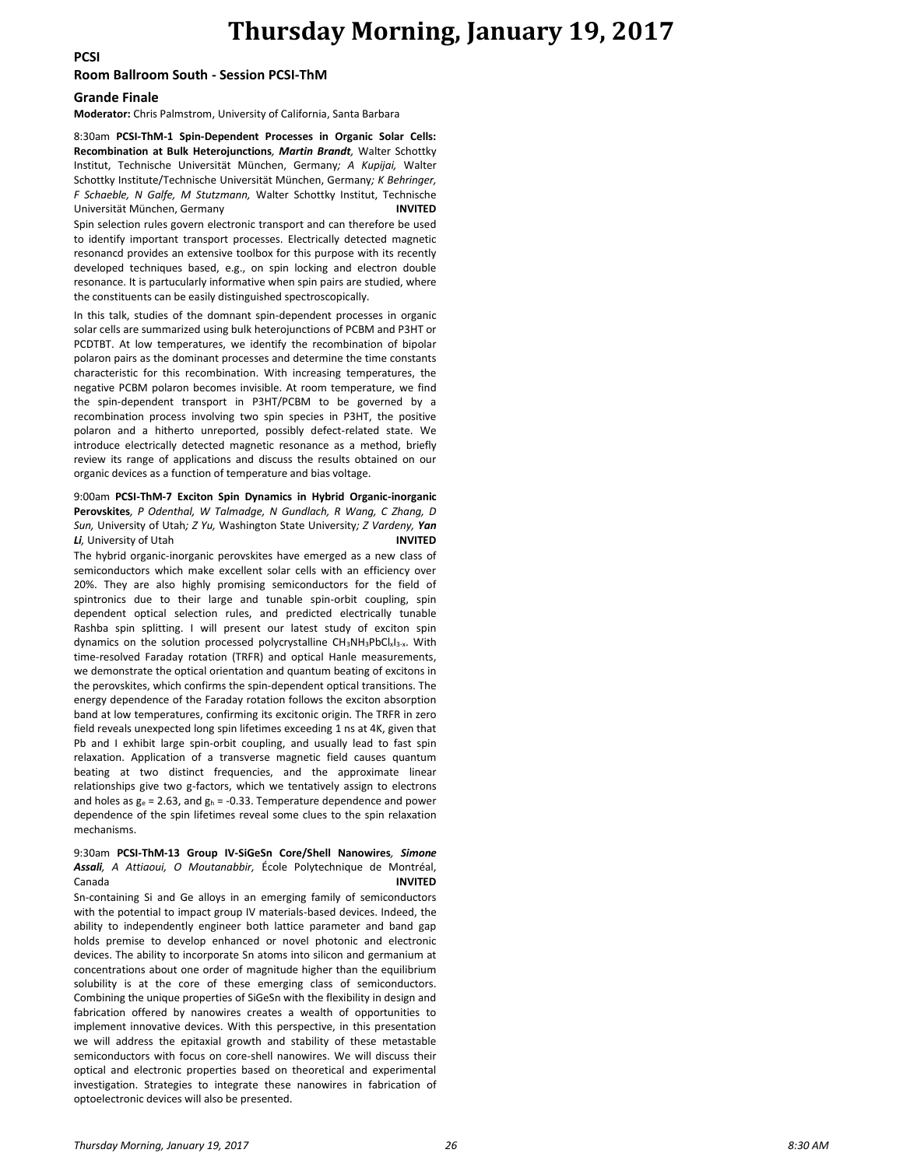## **Thursday Morning, January 19, 2017**

**PCSI**

#### **Room Ballroom South - Session PCSI-ThM**

#### **Grande Finale**

**Moderator:** Chris Palmstrom, University of California, Santa Barbara

8:30am **PCSI-ThM-1 Spin-Dependent Processes in Organic Solar Cells: Recombination at Bulk Heterojunctions***, Martin Brandt,* Walter Schottky Institut, Technische Universität München, Germany*; A Kupijai,* Walter Schottky Institute/Technische Universität München, Germany*; K Behringer, F Schaeble, N Galfe, M Stutzmann,* Walter Schottky Institut, Technische Universität München, Germany

Spin selection rules govern electronic transport and can therefore be used to identify important transport processes. Electrically detected magnetic resonancd provides an extensive toolbox for this purpose with its recently developed techniques based, e.g., on spin locking and electron double resonance. It is partucularly informative when spin pairs are studied, where the constituents can be easily distinguished spectroscopically.

In this talk, studies of the domnant spin-dependent processes in organic solar cells are summarized using bulk heterojunctions of PCBM and P3HT or PCDTBT. At low temperatures, we identify the recombination of bipolar polaron pairs as the dominant processes and determine the time constants characteristic for this recombination. With increasing temperatures, the negative PCBM polaron becomes invisible. At room temperature, we find the spin-dependent transport in P3HT/PCBM to be governed by a recombination process involving two spin species in P3HT, the positive polaron and a hitherto unreported, possibly defect-related state. We introduce electrically detected magnetic resonance as a method, briefly review its range of applications and discuss the results obtained on our organic devices as a function of temperature and bias voltage.

#### 9:00am **PCSI-ThM-7 Exciton Spin Dynamics in Hybrid Organic-inorganic Perovskites***, P Odenthal, W Talmadge, N Gundlach, R Wang, C Zhang, D Sun,* University of Utah*; Z Yu,* Washington State University*; Z Vardeny, Yan Li,* University of Utah **INVITED**

The hybrid organic-inorganic perovskites have emerged as a new class of semiconductors which make excellent solar cells with an efficiency over 20%. They are also highly promising semiconductors for the field of spintronics due to their large and tunable spin-orbit coupling, spin dependent optical selection rules, and predicted electrically tunable Rashba spin splitting. I will present our latest study of exciton spin dynamics on the solution processed polycrystalline CH3NH3PbClxI3-x. With time-resolved Faraday rotation (TRFR) and optical Hanle measurements, we demonstrate the optical orientation and quantum beating of excitons in the perovskites, which confirms the spin-dependent optical transitions. The energy dependence of the Faraday rotation follows the exciton absorption band at low temperatures, confirming its excitonic origin. The TRFR in zero field reveals unexpected long spin lifetimes exceeding 1 ns at 4K, given that Pb and I exhibit large spin-orbit coupling, and usually lead to fast spin relaxation. Application of a transverse magnetic field causes quantum beating at two distinct frequencies, and the approximate linear relationships give two g-factors, which we tentatively assign to electrons and holes as  $g_e = 2.63$ , and  $g_h = -0.33$ . Temperature dependence and power dependence of the spin lifetimes reveal some clues to the spin relaxation mechanisms.

#### 9:30am **PCSI-ThM-13 Group IV-SiGeSn Core/Shell Nanowires***, Simone Assali, A Attiaoui, O Moutanabbir,* École Polytechnique de Montréal, Canada **INVITED**

Sn-containing Si and Ge alloys in an emerging family of semiconductors with the potential to impact group IV materials-based devices. Indeed, the ability to independently engineer both lattice parameter and band gap holds premise to develop enhanced or novel photonic and electronic devices. The ability to incorporate Sn atoms into silicon and germanium at concentrations about one order of magnitude higher than the equilibrium solubility is at the core of these emerging class of semiconductors. Combining the unique properties of SiGeSn with the flexibility in design and fabrication offered by nanowires creates a wealth of opportunities to implement innovative devices. With this perspective, in this presentation we will address the epitaxial growth and stability of these metastable semiconductors with focus on core-shell nanowires. We will discuss their optical and electronic properties based on theoretical and experimental investigation. Strategies to integrate these nanowires in fabrication of optoelectronic devices will also be presented.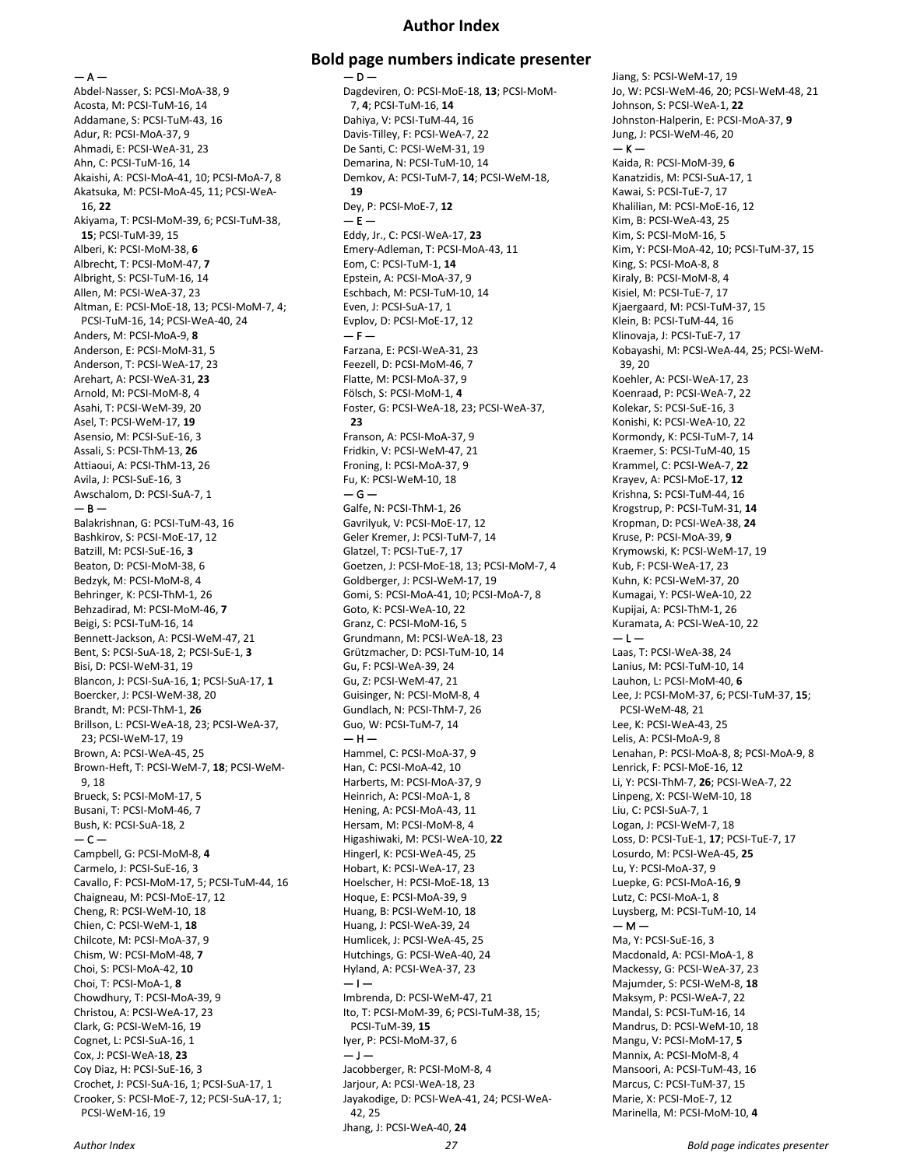### **Author Index**

 $- A -$ 

Abdel-Nasser, S: PCSI-MoA-38, 9 Acosta, M: PCSI-TuM-16, 14 Addamane, S: PCSI-TuM-43, 16 Adur, R: PCSI-MoA-37, 9 Ahmadi, E: PCSI-WeA-31, 23 Ahn, C: PCSI-TuM-16, 14 Akaishi, A: PCSI-MoA-41, 10; PCSI-MoA-7, 8 Akatsuka, M: PCSI-MoA-45, 11; PCSI-WeA-16, **22** Akiyama, T: PCSI-MoM-39, 6; PCSI-TuM-38, **15**; PCSI-TuM-39, 15 Alberi, K: PCSI-MoM-38, **6** Albrecht, T: PCSI-MoM-47, **7** Albright, S: PCSI-TuM-16, 14 Allen, M: PCSI-WeA-37, 23 Altman, E: PCSI-MoE-18, 13; PCSI-MoM-7, 4; PCSI-TuM-16, 14; PCSI-WeA-40, 24 Anders, M: PCSI-MoA-9, **8** Anderson, E: PCSI-MoM-31, 5 Anderson, T: PCSI-WeA-17, 23 Arehart, A: PCSI-WeA-31, **23** Arnold, M: PCSI-MoM-8, 4 Asahi, T: PCSI-WeM-39, 20 Asel, T: PCSI-WeM-17, **19** Asensio, M: PCSI-SuE-16, 3 Assali, S: PCSI-ThM-13, **26** Attiaoui, A: PCSI-ThM-13, 26 Avila, J: PCSI-SuE-16, 3 Awschalom, D: PCSI-SuA-7, 1  $- B -$ Balakrishnan, G: PCSI-TuM-43, 16 Bashkirov, S: PCSI-MoE-17, 12 Batzill, M: PCSI-SuE-16, **3** Beaton, D: PCSI-MoM-38, 6 Bedzyk, M: PCSI-MoM-8, 4 Behringer, K: PCSI-ThM-1, 26 Behzadirad, M: PCSI-MoM-46, **7** Beigi, S: PCSI-TuM-16, 14 Bennett-Jackson, A: PCSI-WeM-47, 21 Bent, S: PCSI-SuA-18, 2; PCSI-SuE-1, **3** Bisi, D: PCSI-WeM-31, 19 Blancon, J: PCSI-SuA-16, **1**; PCSI-SuA-17, **1** Boercker, J: PCSI-WeM-38, 20 Brandt, M: PCSI-ThM-1, **26** Brillson, L: PCSI-WeA-18, 23; PCSI-WeA-37, 23; PCSI-WeM-17, 19 Brown, A: PCSI-WeA-45, 25 Brown-Heft, T: PCSI-WeM-7, **18**; PCSI-WeM-9, 18 Brueck, S: PCSI-MoM-17, 5 Busani, T: PCSI-MoM-46, 7 Bush, K: PCSI-SuA-18, 2 — C — Campbell, G: PCSI-MoM-8, **4** Carmelo, J: PCSI-SuE-16, 3 Cavallo, F: PCSI-MoM-17, 5; PCSI-TuM-44, 16 Chaigneau, M: PCSI-MoE-17, 12 Cheng, R: PCSI-WeM-10, 18 Chien, C: PCSI-WeM-1, **18** Chilcote, M: PCSI-MoA-37, 9 Chism, W: PCSI-MoM-48, **7** Choi, S: PCSI-MoA-42, **10** Choi, T: PCSI-MoA-1, **8** Chowdhury, T: PCSI-MoA-39, 9 Christou, A: PCSI-WeA-17, 23 Clark, G: PCSI-WeM-16, 19 Cognet, L: PCSI-SuA-16, 1 Cox, J: PCSI-WeA-18, **23** Coy Diaz, H: PCSI-SuE-16, 3 Crochet, J: PCSI-SuA-16, 1; PCSI-SuA-17, 1 Crooker, S: PCSI-MoE-7, 12; PCSI-SuA-17, 1; PCSI-WeM-16, 19

### **Bold page numbers indicate presenter**  $-$  D –

Dagdeviren, O: PCSI-MoE-18, **13**; PCSI-MoM-7, **4**; PCSI-TuM-16, **14** Dahiya, V: PCSI-TuM-44, 16 Davis-Tilley, F: PCSI-WeA-7, 22 De Santi, C: PCSI-WeM-31, 19 Demarina, N: PCSI-TuM-10, 14 Demkov, A: PCSI-TuM-7, **14**; PCSI-WeM-18, **19** Dey, P: PCSI-MoE-7, **12**  $- E -$ Eddy, Jr., C: PCSI-WeA-17, **23** Emery-Adleman, T: PCSI-MoA-43, 11 Eom, C: PCSI-TuM-1, **14** Epstein, A: PCSI-MoA-37, 9 Eschbach, M: PCSI-TuM-10, 14 Even, J: PCSI-SuA-17, 1 Evplov, D: PCSI-MoE-17, 12  $- F -$ Farzana, E: PCSI-WeA-31, 23 Feezell, D: PCSI-MoM-46, 7 Flatte, M: PCSI-MoA-37, 9 Fölsch, S: PCSI-MoM-1, **4** Foster, G: PCSI-WeA-18, 23; PCSI-WeA-37, **23** Franson, A: PCSI-MoA-37, 9 Fridkin, V: PCSI-WeM-47, 21 Froning, I: PCSI-MoA-37, 9 Fu, K: PCSI-WeM-10, 18  $-$  G  $-$ Galfe, N: PCSI-ThM-1, 26 Gavrilyuk, V: PCSI-MoE-17, 12 Geler Kremer, J: PCSI-TuM-7, 14 Glatzel, T: PCSI-TuE-7, 17 Goetzen, J: PCSI-MoE-18, 13; PCSI-MoM-7, 4 Goldberger, J: PCSI-WeM-17, 19 Gomi, S: PCSI-MoA-41, 10; PCSI-MoA-7, 8 Goto, K: PCSI-WeA-10, 22 Granz, C: PCSI-MoM-16, 5 Grundmann, M: PCSI-WeA-18, 23 Grützmacher, D: PCSI-TuM-10, 14 Gu, F: PCSI-WeA-39, 24 Gu, Z: PCSI-WeM-47, 21 Guisinger, N: PCSI-MoM-8, 4 Gundlach, N: PCSI-ThM-7, 26 Guo, W: PCSI-TuM-7, 14  $-$  H  $-$ Hammel, C: PCSI-MoA-37, 9 Han, C: PCSI-MoA-42, 10 Harberts, M: PCSI-MoA-37, 9 Heinrich, A: PCSI-MoA-1, 8 Hening, A: PCSI-MoA-43, 11 Hersam, M: PCSI-MoM-8, 4 Higashiwaki, M: PCSI-WeA-10, **22** Hingerl, K: PCSI-WeA-45, 25 Hobart, K: PCSI-WeA-17, 23 Hoelscher, H: PCSI-MoE-18, 13 Hoque, E: PCSI-MoA-39, 9 Huang, B: PCSI-WeM-10, 18 Huang, J: PCSI-WeA-39, 24 Humlicek, J: PCSI-WeA-45, 25 Hutchings, G: PCSI-WeA-40, 24 Hyland, A: PCSI-WeA-37, 23  $-1-$ Imbrenda, D: PCSI-WeM-47, 21 Ito, T: PCSI-MoM-39, 6; PCSI-TuM-38, 15; PCSI-TuM-39, **15** Iyer, P: PCSI-MoM-37, 6  $-1-$ Jacobberger, R: PCSI-MoM-8, 4 Jarjour, A: PCSI-WeA-18, 23 Jayakodige, D: PCSI-WeA-41, 24; PCSI-WeA-42, 25 Jhang, J: PCSI-WeA-40, **24**

Jiang, S: PCSI-WeM-17, 19 Jo, W: PCSI-WeM-46, 20; PCSI-WeM-48, 21 Johnson, S: PCSI-WeA-1, **22** Johnston-Halperin, E: PCSI-MoA-37, **9** Jung, J: PCSI-WeM-46, 20  $-$  K  $-$ Kaida, R: PCSI-MoM-39, **6** Kanatzidis, M: PCSI-SuA-17, 1 Kawai, S: PCSI-TuE-7, 17 Khalilian, M: PCSI-MoE-16, 12 Kim, B: PCSI-WeA-43, 25 Kim, S: PCSI-MoM-16, 5 Kim, Y: PCSI-MoA-42, 10; PCSI-TuM-37, 15 King, S: PCSI-MoA-8, 8 Kiraly, B: PCSI-MoM-8, 4 Kisiel, M: PCSI-TuE-7, 17 Kjaergaard, M: PCSI-TuM-37, 15 Klein, B: PCSI-TuM-44, 16 Klinovaja, J: PCSI-TuE-7, 17 Kobayashi, M: PCSI-WeA-44, 25; PCSI-WeM-39, 20 Koehler, A: PCSI-WeA-17, 23 Koenraad, P: PCSI-WeA-7, 22 Kolekar, S: PCSI-SuE-16, 3 Konishi, K: PCSI-WeA-10, 22 Kormondy, K: PCSI-TuM-7, 14 Kraemer, S: PCSI-TuM-40, 15 Krammel, C: PCSI-WeA-7, **22** Krayev, A: PCSI-MoE-17, **12** Krishna, S: PCSI-TuM-44, 16 Krogstrup, P: PCSI-TuM-31, **14** Kropman, D: PCSI-WeA-38, **24** Kruse, P: PCSI-MoA-39, **9** Krymowski, K: PCSI-WeM-17, 19 Kub, F: PCSI-WeA-17, 23 Kuhn, K: PCSI-WeM-37, 20 Kumagai, Y: PCSI-WeA-10, 22 Kupijai, A: PCSI-ThM-1, 26 Kuramata, A: PCSI-WeA-10, 22  $-1 -$ Laas, T: PCSI-WeA-38, 24 Lanius, M: PCSI-TuM-10, 14 Lauhon, L: PCSI-MoM-40, **6** Lee, J: PCSI-MoM-37, 6; PCSI-TuM-37, **15**; PCSI-WeM-48, 21 Lee, K: PCSI-WeA-43, 25 Lelis, A: PCSI-MoA-9, 8 Lenahan, P: PCSI-MoA-8, 8; PCSI-MoA-9, 8 Lenrick, F: PCSI-MoE-16, 12 Li, Y: PCSI-ThM-7, **26**; PCSI-WeA-7, 22 Linpeng, X: PCSI-WeM-10, 18 Liu, C: PCSI-SuA-7, 1 Logan, J: PCSI-WeM-7, 18 Loss, D: PCSI-TuE-1, **17**; PCSI-TuE-7, 17 Losurdo, M: PCSI-WeA-45, **25** Lu, Y: PCSI-MoA-37, 9 Luepke, G: PCSI-MoA-16, **9** Lutz, C: PCSI-MoA-1, 8 Luysberg, M: PCSI-TuM-10, 14  $- M -$ Ma, Y: PCSI-SuE-16, 3 Macdonald, A: PCSI-MoA-1, 8 Mackessy, G: PCSI-WeA-37, 23 Majumder, S: PCSI-WeM-8, **18** Maksym, P: PCSI-WeA-7, 22 Mandal, S: PCSI-TuM-16, 14 Mandrus, D: PCSI-WeM-10, 18 Mangu, V: PCSI-MoM-17, **5** Mannix, A: PCSI-MoM-8, 4 Mansoori, A: PCSI-TuM-43, 16 Marcus, C: PCSI-TuM-37, 15 Marie, X: PCSI-MoE-7, 12 Marinella, M: PCSI-MoM-10, **4**